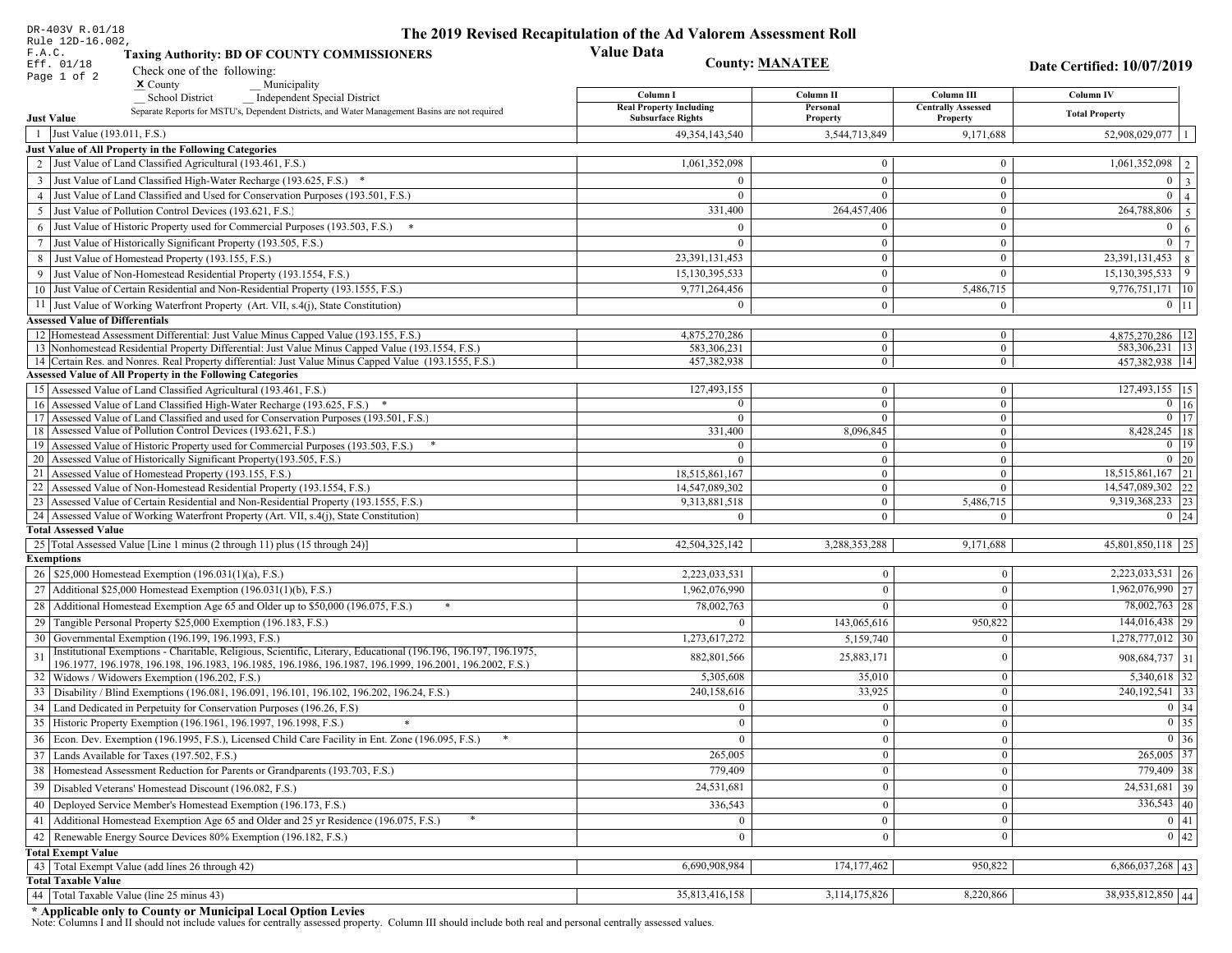| DR-403V R.01/18                                                                                                                                             | The 2019 Revised Recapitulation of the Ad Valorem Assessment Roll |                           |                                  |                                               |  |
|-------------------------------------------------------------------------------------------------------------------------------------------------------------|-------------------------------------------------------------------|---------------------------|----------------------------------|-----------------------------------------------|--|
| Rule 12D-16.002,<br>F.A.C.<br><b>Taxing Authority: BD OF COUNTY COMMISSIONERS</b><br>Eff. 01/18                                                             | <b>Value Data</b><br><b>County: MANATEE</b>                       |                           |                                  |                                               |  |
| Check one of the following:<br>Page 1 of 2                                                                                                                  |                                                                   |                           |                                  | Date Certified: 10/07/2019                    |  |
| $x$ County<br>Municipality<br>School District<br>_ Independent Special District                                                                             | Column I                                                          | Column II                 | Column III                       | Column IV                                     |  |
| Separate Reports for MSTU's, Dependent Districts, and Water Management Basins are not required                                                              | <b>Real Property Including</b>                                    | Personal                  | <b>Centrally Assessed</b>        | <b>Total Property</b>                         |  |
| <b>Just Value</b>                                                                                                                                           | <b>Subsurface Rights</b>                                          | Property                  | Property                         |                                               |  |
| 1 Just Value (193.011, F.S.)                                                                                                                                | 49, 354, 143, 540                                                 | 3,544,713,849             | 9,171,688                        | 52,908,029,077                                |  |
| Just Value of All Property in the Following Categories<br>2 Just Value of Land Classified Agricultural (193.461, F.S.)                                      |                                                                   |                           | $\bf{0}$                         | $1,061,352,098$   2                           |  |
|                                                                                                                                                             | 1,061,352,098                                                     | $\bf{0}$                  |                                  |                                               |  |
| 3 Just Value of Land Classified High-Water Recharge (193.625, F.S.) *<br>4 Just Value of Land Classified and Used for Conservation Purposes (193.501, F.S.) | $\Omega$                                                          | $\mathbf{0}$<br>$\theta$  | $\mathbf{0}$<br>$\boldsymbol{0}$ | $0 \mid 3$<br>$\overline{0}$                  |  |
| 5 Just Value of Pollution Control Devices (193.621, F.S.)                                                                                                   | 331,400                                                           | 264,457,406               | $\bf{0}$                         | $\vert 4 \vert$<br>$\overline{264,788,806}$ 5 |  |
|                                                                                                                                                             |                                                                   | $\theta$                  | $\boldsymbol{0}$                 | $\boldsymbol{0}$                              |  |
| 6 Just Value of Historic Property used for Commercial Purposes (193.503, F.S.) *                                                                            | $\Omega$                                                          |                           |                                  | <sup>6</sup><br>$0 \overline{7}$              |  |
| 7 Just Value of Historically Significant Property (193.505, F.S.)                                                                                           |                                                                   | $\bf{0}$<br>$\bf{0}$      | $\bf{0}$<br>$\boldsymbol{0}$     | $23,391,131,453$ 8                            |  |
| 8 Just Value of Homestead Property (193.155, F.S.)<br>9 Just Value of Non-Homestead Residential Property (193.1554, F.S.)                                   | 23,391,131,453<br>15,130,395,533                                  | $\bf{0}$                  | $\Omega$                         | $15,130,395,533$ 9                            |  |
| 10 Just Value of Certain Residential and Non-Residential Property (193.1555, F.S.)                                                                          | 9,771,264,456                                                     | $\mathbf{0}$              | 5,486,715                        | 9,776,751,171 10                              |  |
|                                                                                                                                                             | $\Omega$                                                          |                           |                                  | $0$   11                                      |  |
| 11 Just Value of Working Waterfront Property (Art. VII, s.4(j), State Constitution)<br><b>Assessed Value of Differentials</b>                               |                                                                   | $\mathbf{0}$              | $\bf{0}$                         |                                               |  |
| 12 Homestead Assessment Differential: Just Value Minus Capped Value (193.155, F.S.)                                                                         | 4,875,270,286                                                     | $\bf{0}$                  | $\bf{0}$                         | 4,875,270,286   12                            |  |
| 13 Nonhomestead Residential Property Differential: Just Value Minus Capped Value (193.1554, F.S.)                                                           | 583,306,231                                                       | $\overline{0}$            | $\mathbf{0}$                     | 583,306,231   13                              |  |
| 14 Certain Res. and Nonres. Real Property differential: Just Value Minus Capped Value (193.1555, F.S.)                                                      | 457,382,938                                                       | $\overline{0}$            | $\overline{0}$                   | 457,382,938   14                              |  |
| <b>Assessed Value of All Property in the Following Categories</b>                                                                                           |                                                                   |                           |                                  |                                               |  |
| 15 Assessed Value of Land Classified Agricultural (193.461, F.S.)                                                                                           | 127,493,155                                                       | $\mathbf{0}$              | $\bf{0}$                         | 127,493,155 15                                |  |
| 16 Assessed Value of Land Classified High-Water Recharge (193.625, F.S.) *                                                                                  | $\Omega$                                                          | $\overline{0}$            | $\mathbf{0}$                     | $\overline{0}$ 16                             |  |
| 17 Assessed Value of Land Classified and used for Conservation Purposes (193.501, F.S.)                                                                     | $\Omega$                                                          | $\overline{0}$            | $\bf{0}$                         | $0$ 17                                        |  |
| 18 Assessed Value of Pollution Control Devices (193.621, F.S.)<br>19 Assessed Value of Historic Property used for Commercial Purposes (193.503, F.S.)       | 331,400<br>$\Omega$                                               | 8,096,845<br>$\mathbf{0}$ | $\mathbf{0}$<br>$\bf{0}$         | 8,428,245   18<br>$0 \mid 19$                 |  |
| 20 Assessed Value of Historically Significant Property (193.505, F.S.)                                                                                      | $\Omega$                                                          | $\overline{0}$            | $\mathbf{0}$                     | $0\vert 20$                                   |  |
| 21 Assessed Value of Homestead Property (193.155, F.S.)                                                                                                     | 18,515,861,167                                                    | $\mathbf{0}$              | $\bf{0}$                         | $18,515,861,167$ 21                           |  |
| 22 Assessed Value of Non-Homestead Residential Property (193.1554, F.S.)                                                                                    | 14,547,089,302                                                    | $\overline{0}$            | $\mathbf{0}$                     | 14,547,089,302 22                             |  |
| 23 Assessed Value of Certain Residential and Non-Residential Property (193.1555, F.S.)                                                                      | 9,313,881,518                                                     | $\overline{0}$            | 5,486,715                        | 9,319,368,233 23                              |  |
| 24 Assessed Value of Working Waterfront Property (Art. VII, s.4(j), State Constitution)                                                                     | $\Omega$                                                          | $\overline{0}$            | $\mathbf{0}$                     | $0 \mid 24$                                   |  |
| <b>Total Assessed Value</b>                                                                                                                                 |                                                                   |                           |                                  |                                               |  |
| 25 Total Assessed Value [Line 1 minus (2 through 11) plus (15 through 24)]                                                                                  | 42,504,325,142                                                    | 3,288,353,288             | 9,171,688                        | 45,801,850,118 25                             |  |
| <b>Exemptions</b>                                                                                                                                           |                                                                   |                           |                                  |                                               |  |
| 26   \$25,000 Homestead Exemption (196.031(1)(a), F.S.)                                                                                                     | 2,223,033,531                                                     | $\bf{0}$                  | $\mathbf{0}$                     | 2,223,033,531 26                              |  |
| 27   Additional \$25,000 Homestead Exemption (196.031(1)(b), F.S.)                                                                                          | 1,962,076,990                                                     | $\Omega$                  | $\Omega$                         | $\overline{1,962,076,990}$ 27                 |  |
| 28 Additional Homestead Exemption Age 65 and Older up to \$50,000 (196.075, F.S.)                                                                           | 78,002,763                                                        | $\mathbf{0}$              | $\Omega$                         | $78,002,763$ 28                               |  |
| 29 Tangible Personal Property \$25,000 Exemption (196.183, F.S.)                                                                                            | $\Omega$                                                          | 143,065,616               | 950,822                          | 144,016,438 29                                |  |
| 30 Governmental Exemption (196.199, 196.1993, F.S.)                                                                                                         | 1,273,617,272                                                     | 5,159,740                 | $\Omega$                         | $1,278,777,012$ 30                            |  |
| Institutional Exemptions - Charitable, Religious, Scientific, Literary, Educational (196.196, 196.197, 196.1975,<br>31                                      | 882,801,566                                                       | 25,883,171                | $\Omega$                         | 908,684,737 31                                |  |
| 196.1977, 196.1978, 196.198, 196.1983, 196.1985, 196.1986, 196.1987, 196.1999, 196.2001, 196.2002, F.S.)<br>32 Widows / Widowers Exemption (196.202, F.S.)  | 5,305,608                                                         | 35,010                    | $\mathbf{0}$                     | $5,340,618$ 32                                |  |
| 33<br>Disability / Blind Exemptions (196.081, 196.091, 196.101, 196.102, 196.202, 196.24, F.S.)                                                             | 240,158,616                                                       | 33,925                    | $\Omega$                         | 240, 192, 541 33                              |  |
| Land Dedicated in Perpetuity for Conservation Purposes (196.26, F.S)                                                                                        | $\Omega$                                                          | $\mathbf{0}$              | $\Omega$                         | 0 34                                          |  |
| 35 Historic Property Exemption (196.1961, 196.1997, 196.1998, F.S.)                                                                                         | 0.                                                                | $\mathbf{0}$              | $\mathbf{0}$                     | $\boxed{0}$ 35                                |  |
| 36 Econ. Dev. Exemption (196.1995, F.S.), Licensed Child Care Facility in Ent. Zone (196.095, F.S.)                                                         | $\Omega$                                                          | $\boldsymbol{0}$          | $\Omega$                         | $0 \mid 36$                                   |  |
| $37$ Lands Available for Taxes (197.502, F.S.)                                                                                                              | 265,005                                                           | $\mathbf{0}$              | $\Omega$                         | $265,005$ 37                                  |  |
| 38   Homestead Assessment Reduction for Parents or Grandparents (193.703, F.S.)                                                                             | 779,409                                                           | $\bf{0}$                  | $\mathbf{0}$                     | 779,409 38                                    |  |
| 39<br>Disabled Veterans' Homestead Discount (196.082, F.S.)                                                                                                 | 24,531,681                                                        | $\mathbf{0}$              | $\overline{0}$                   | $\overline{24,531,681}$ 39                    |  |
| Deployed Service Member's Homestead Exemption (196.173, F.S.)                                                                                               |                                                                   |                           |                                  | $336,543$ 40                                  |  |
| 40                                                                                                                                                          | 336,543                                                           | $\mathbf{0}$              | $\Omega$                         |                                               |  |
| 41   Additional Homestead Exemption Age 65 and Older and 25 yr Residence (196.075, F.S.)                                                                    | $\overline{0}$                                                    | $\overline{0}$            | $\mathbf{0}$                     | 0 41                                          |  |
| 42 Renewable Energy Source Devices 80% Exemption (196.182, F.S.)                                                                                            | $\mathbf{0}$                                                      | $\bf{0}$                  | $\Omega$                         | 0 42                                          |  |
| <b>Total Exempt Value</b>                                                                                                                                   | 6,690,908,984                                                     | 174, 177, 462             | 950,822                          |                                               |  |
| 43 Total Exempt Value (add lines 26 through 42)<br><b>Total Taxable Value</b>                                                                               |                                                                   |                           |                                  | $6,866,037,268$ 43                            |  |
| 44   Total Taxable Value (line 25 minus 43)                                                                                                                 | 35,813,416,158                                                    | 3,114,175,826             | 8,220,866                        | 38,935,812,850 44                             |  |
|                                                                                                                                                             |                                                                   |                           |                                  |                                               |  |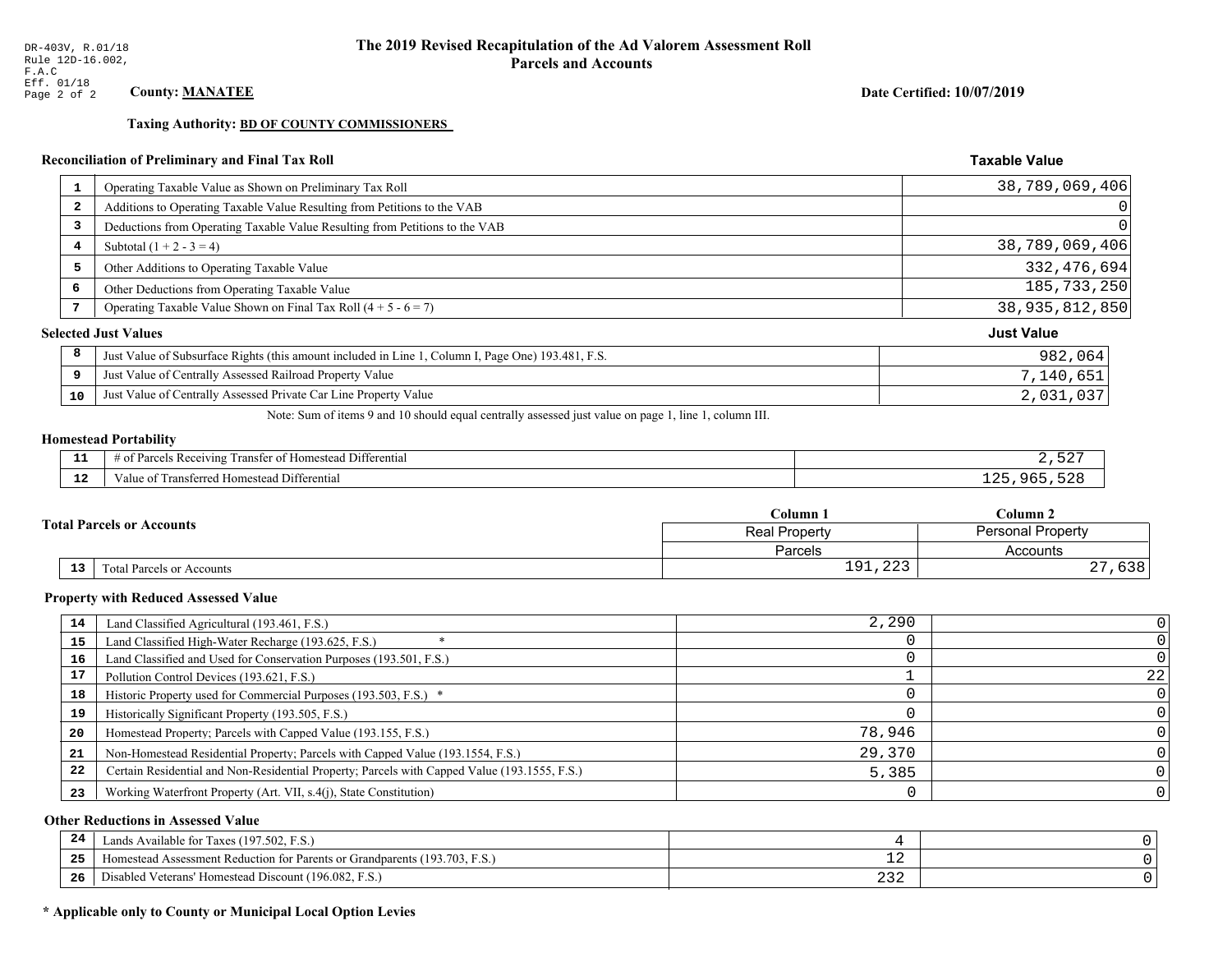**Taxing Authority: BD OF COUNTY COMMISSIONERS** 

### Reconciliation of Preliminary and Final Tax Roll

| $\mathbf{1}$            | Operating Taxable Value as Shown on Preliminary Tax Roll                                           | 38,789,069,406    |
|-------------------------|----------------------------------------------------------------------------------------------------|-------------------|
| $\overline{\mathbf{2}}$ | Additions to Operating Taxable Value Resulting from Petitions to the VAB                           | $\Omega$          |
| 3                       | Deductions from Operating Taxable Value Resulting from Petitions to the VAB                        | $\Omega$          |
| 4                       | Subtotal $(1 + 2 - 3 = 4)$                                                                         | 38,789,069,406    |
| 5                       | Other Additions to Operating Taxable Value                                                         | 332, 476, 694     |
| 6                       | Other Deductions from Operating Taxable Value                                                      | 185, 733, 250     |
| 7                       | Operating Taxable Value Shown on Final Tax Roll $(4 + 5 - 6 = 7)$                                  | 38,935,812,850    |
|                         | <b>Selected Just Values</b>                                                                        | <b>Just Value</b> |
| 8                       | Just Value of Subsurface Rights (this amount included in Line 1, Column I, Page One) 193.481, F.S. | 982,064           |
| 9                       | Just Value of Centrally Assessed Railroad Property Value                                           | 7,140,651         |
| 10                      | Just Value of Centrally Assessed Private Car Line Property Value                                   | 2,031,037         |

Note: Sum of items 9 and 10 should equal centrally assessed just value on page 1, line 1, column III.

# **Homestead Portability**

| - 3<br>.             | l Differential<br># of Parcels Receiving<br>Transfer of Homestead              | $  -$ |
|----------------------|--------------------------------------------------------------------------------|-------|
| $\mathbf{A}$<br>- 14 | Value c<br>$\overline{\phantom{a}}$<br>l Differential<br>Transferred Homestead | uh'   |

|    |                                  | Column 1                                         | Column 2             |  |
|----|----------------------------------|--------------------------------------------------|----------------------|--|
|    | <b>Total Parcels or Accounts</b> | <b>Personal Property</b><br><b>Real Property</b> |                      |  |
|    |                                  | Parcels                                          | Accounts             |  |
| 13 | <b>Fotal Parcels or Accounts</b> | $\cap$<br>$\circ$ 1                              | $\sim$ $\sim$<br>りうさ |  |

#### **Property with Reduced Assessed Value**

| 14 | Land Classified Agricultural (193.461, F.S.)                                                 | 2,290  |    |
|----|----------------------------------------------------------------------------------------------|--------|----|
| 15 | Land Classified High-Water Recharge (193.625, F.S.)                                          |        |    |
| 16 | Land Classified and Used for Conservation Purposes (193.501, F.S.)                           |        |    |
|    | Pollution Control Devices (193.621, F.S.)                                                    |        | 22 |
| 18 | Historic Property used for Commercial Purposes (193.503, F.S.) *                             |        |    |
| 19 | Historically Significant Property (193.505, F.S.)                                            |        |    |
| 20 | Homestead Property; Parcels with Capped Value (193.155, F.S.)                                | 78,946 |    |
| 21 | Non-Homestead Residential Property; Parcels with Capped Value (193.1554, F.S.)               | 29,370 |    |
| 22 | Certain Residential and Non-Residential Property; Parcels with Capped Value (193.1555, F.S.) | 5,385  |    |
| 23 | Working Waterfront Property (Art. VII, s.4(j), State Constitution)                           |        |    |

### **Other Reductions in Assessed Value**

| 24 | Lands Available for Taxes (197.502, F.S.)                                               |                      |  |
|----|-----------------------------------------------------------------------------------------|----------------------|--|
| 25 | Assessment Reduction for Parents or Grandparents (193.<br>I3.703.<br>F.S.<br>Homestead. | — <i>—</i>           |  |
| 26 | $ -$<br>1 Veterans' Homestead Discount (196.082, F.S.)<br>)isabled                      | $\sim$ $\sim$<br>ے ت |  |

### \* Applicable only to County or Municipal Local Option Levies

Date Certified: 10/07/2019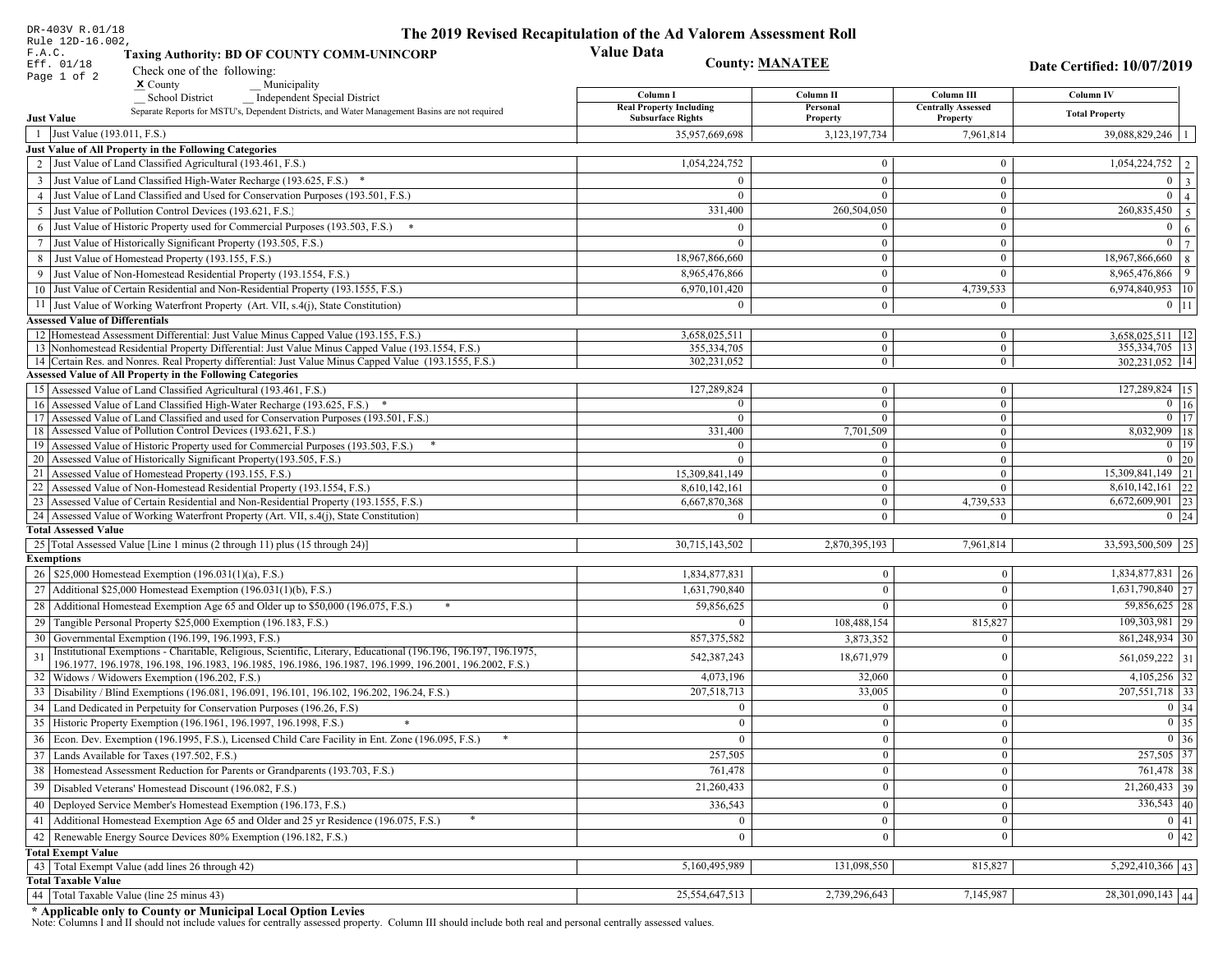| DR-403V R.01/18                                                                                                                                                                                                              | The 2019 Revised Recapitulation of the Ad Valorem Assessment Roll |                                  |                                         |                                          |
|------------------------------------------------------------------------------------------------------------------------------------------------------------------------------------------------------------------------------|-------------------------------------------------------------------|----------------------------------|-----------------------------------------|------------------------------------------|
| Rule 12D-16.002,<br>F.A.C.<br><b>Taxing Authority: BD OF COUNTY COMM-UNINCORP</b>                                                                                                                                            | <b>Value Data</b>                                                 |                                  |                                         |                                          |
| Eff. 01/18<br>Check one of the following:                                                                                                                                                                                    | <b>County: MANATEE</b>                                            |                                  |                                         | Date Certified: 10/07/2019               |
| Page 1 of 2<br>$x$ County<br>Municipality                                                                                                                                                                                    |                                                                   |                                  |                                         |                                          |
| <b>School District</b><br><b>Independent Special District</b>                                                                                                                                                                | Column I<br><b>Real Property Including</b>                        | Column II<br>Personal            | Column III<br><b>Centrally Assessed</b> | Column IV                                |
| Separate Reports for MSTU's, Dependent Districts, and Water Management Basins are not required<br><b>Just Value</b>                                                                                                          | <b>Subsurface Rights</b>                                          | Property                         | Property                                | <b>Total Property</b>                    |
| 1 Just Value (193.011, F.S.)                                                                                                                                                                                                 | 35,957,669,698                                                    | 3,123,197,734                    | 7,961,814                               | 39,088,829,246   1                       |
| Just Value of All Property in the Following Categories                                                                                                                                                                       |                                                                   |                                  |                                         |                                          |
| 2 Just Value of Land Classified Agricultural (193.461, F.S.)                                                                                                                                                                 | 1,054,224,752                                                     | $\bf{0}$                         | $\bf{0}$                                | $1,054,224,752$   2                      |
| 3 Just Value of Land Classified High-Water Recharge (193.625, F.S.) *                                                                                                                                                        | $\Omega$                                                          | $\mathbf{0}$                     | $\mathbf{0}$                            | $0 \mid 3$                               |
| 4 Just Value of Land Classified and Used for Conservation Purposes (193.501, F.S.)                                                                                                                                           | $\Omega$                                                          | $\Omega$                         | $\boldsymbol{0}$                        | $\overline{0}$<br>$\vert$ 4              |
| 5 Just Value of Pollution Control Devices (193.621, F.S.)                                                                                                                                                                    | 331,400                                                           | 260,504,050                      | $\mathbf{0}$                            | $\overline{260,835,450}$ 5               |
| 6 Just Value of Historic Property used for Commercial Purposes (193.503, F.S.) *                                                                                                                                             | $\Omega$                                                          |                                  | $\boldsymbol{0}$                        | $\boldsymbol{0}$<br><sup>6</sup>         |
| 7 Just Value of Historically Significant Property (193.505, F.S.)                                                                                                                                                            | $\Omega$                                                          | $\bf{0}$                         | $\mathbf{0}$                            | $0 \overline{7}$                         |
| 8 Just Value of Homestead Property (193.155, F.S.)                                                                                                                                                                           | 18,967,866,660                                                    | $\mathbf{0}$                     | $\boldsymbol{0}$                        | 18,967,866,660<br> 8                     |
| 9 Just Value of Non-Homestead Residential Property (193.1554, F.S.)                                                                                                                                                          | 8,965,476,866                                                     | $\mathbf{0}$                     | $\theta$                                | 8,965,476,866<br>  9                     |
| 10 Just Value of Certain Residential and Non-Residential Property (193.1555, F.S.)                                                                                                                                           | 6,970,101,420                                                     | $\mathbf{0}$                     | 4,739,533                               | 6,974,840,953 10                         |
| 11 Just Value of Working Waterfront Property (Art. VII, s.4(j), State Constitution)                                                                                                                                          | $\Omega$                                                          | $\mathbf{0}$                     | $\mathbf{0}$                            | $0$   11                                 |
| <b>Assessed Value of Differentials</b>                                                                                                                                                                                       |                                                                   |                                  |                                         |                                          |
| 12   Homestead Assessment Differential: Just Value Minus Capped Value (193.155, F.S.)<br>13 Nonhomestead Residential Property Differential: Just Value Minus Capped Value (193.1554, F.S.)                                   | 3,658,025,511<br>355, 334, 705                                    | $\bf{0}$<br>$\mathbf{0}$         | $\bf{0}$<br>$\mathbf{0}$                | $3,658,025,511$ 12<br>355, 334, 705   13 |
| 14 Certain Res. and Nonres. Real Property differential: Just Value Minus Capped Value (193.1555, F.S.)                                                                                                                       | 302,231,052                                                       | $\overline{0}$                   | $\overline{0}$                          | 302,231,052   14                         |
| <b>Assessed Value of All Property in the Following Categories</b>                                                                                                                                                            |                                                                   |                                  |                                         |                                          |
| 15 Assessed Value of Land Classified Agricultural (193.461, F.S.)                                                                                                                                                            | 127,289,824                                                       | $\mathbf{0}$                     | $\mathbf{0}$                            | 127,289,824 15                           |
| Assessed Value of Land Classified High-Water Recharge (193.625, F.S.) *                                                                                                                                                      | $\Omega$                                                          | $\overline{0}$                   | $\mathbf{0}$                            | $\overline{0}$ 16                        |
| Assessed Value of Land Classified and used for Conservation Purposes (193.501, F.S.)<br>17                                                                                                                                   | $\theta$                                                          | $\overline{0}$                   | $\boldsymbol{0}$                        | $0$   17                                 |
| Assessed Value of Pollution Control Devices (193.621, F.S.)<br>18                                                                                                                                                            | 331,400                                                           | 7,701,509                        | $\mathbf{0}$                            | $8,032,909$ 18                           |
| 19 Assessed Value of Historic Property used for Commercial Purposes (193.503, F.S.)<br>20 Assessed Value of Historically Significant Property (193.505, F.S.)                                                                | $\overline{0}$<br>$\Omega$                                        | $\overline{0}$<br>$\overline{0}$ | $\mathbf{0}$<br>$\overline{0}$          | $0 \mid 19$<br>$0 \mid 20$               |
| 21 Assessed Value of Homestead Property (193.155, F.S.)                                                                                                                                                                      | 15,309,841,149                                                    | $\overline{0}$                   | $\boldsymbol{0}$                        | 15,309,841,149 21                        |
| 22 Assessed Value of Non-Homestead Residential Property (193.1554, F.S.)                                                                                                                                                     | 8,610,142,161                                                     | $\overline{0}$                   | $\mathbf{0}$                            | $8,610,142,161$ 22                       |
| 23 Assessed Value of Certain Residential and Non-Residential Property (193.1555, F.S.)                                                                                                                                       | 6,667,870,368                                                     | $\overline{0}$                   | 4,739,533                               | 6,672,609,901 23                         |
| 24 Assessed Value of Working Waterfront Property (Art. VII, s.4(j), State Constitution)                                                                                                                                      | $\Omega$                                                          | $\overline{0}$                   | $\mathbf{0}$                            | $0 \mid 24$                              |
| <b>Total Assessed Value</b>                                                                                                                                                                                                  |                                                                   |                                  |                                         |                                          |
| 25 Total Assessed Value [Line 1 minus (2 through 11) plus (15 through 24)]                                                                                                                                                   | 30,715,143,502                                                    | 2,870,395,193                    | 7,961,814                               | 33,593,500,509 25                        |
| <b>Exemptions</b>                                                                                                                                                                                                            |                                                                   |                                  |                                         |                                          |
| 26   \$25,000 Homestead Exemption (196.031(1)(a), F.S.)                                                                                                                                                                      | 1,834,877,831                                                     | $\mathbf{0}$                     | $\mathbf{0}$                            | 1,834,877,831 26                         |
| 27   Additional \$25,000 Homestead Exemption $(196.031(1)(b), F.S.)$                                                                                                                                                         | 1,631,790,840                                                     | $\Omega$                         | $\Omega$                                | $1,631,790,840$ 27                       |
| 28 Additional Homestead Exemption Age 65 and Older up to \$50,000 (196.075, F.S.)                                                                                                                                            | 59,856,625                                                        | $\Omega$                         | $\Omega$                                | $59,856,625$ 28                          |
| 29 Tangible Personal Property \$25,000 Exemption (196.183, F.S.)                                                                                                                                                             | $\Omega$                                                          | 108,488,154                      | 815,827                                 | 109,303,981<br>29                        |
| 30 Governmental Exemption (196.199, 196.1993, F.S.)                                                                                                                                                                          | 857, 375, 582                                                     | 3,873,352                        | $\Omega$                                | 861,248,934 30                           |
| Institutional Exemptions - Charitable, Religious, Scientific, Literary, Educational (196.196, 196.197, 196.1975,<br>196.1977, 196.1978, 196.198, 196.1983, 196.1985, 196.1986, 196.1987, 196.1999, 196.2001, 196.2002, F.S.) | 542,387,243                                                       | 18,671,979                       | $\Omega$                                | 561,059,222 31                           |
| 32 Widows / Widowers Exemption (196.202, F.S.)                                                                                                                                                                               | 4,073,196                                                         | 32,060                           | $\mathbf{0}$                            | $4,105,256$ 32                           |
| 33 Disability / Blind Exemptions (196.081, 196.091, 196.101, 196.102, 196.202, 196.24, F.S.)                                                                                                                                 | 207,518,713                                                       | 33,005                           | $\Omega$                                | 207, 551, 718 33                         |
| 34 Land Dedicated in Perpetuity for Conservation Purposes (196.26, F.S)                                                                                                                                                      | $\Omega$                                                          | $\mathbf{0}$                     | $\Omega$                                | 0 34                                     |
| 35 Historic Property Exemption (196.1961, 196.1997, 196.1998, F.S.)                                                                                                                                                          | 0                                                                 | $\mathbf{0}$                     | $\mathbf{0}$                            | $\boxed{0}$ 35                           |
| 36 Econ. Dev. Exemption (196.1995, F.S.), Licensed Child Care Facility in Ent. Zone (196.095, F.S.)                                                                                                                          |                                                                   | $\mathbf{0}$                     | $\Omega$                                | $0 \mid 36$                              |
| 37 Lands Available for Taxes (197.502, F.S.)                                                                                                                                                                                 | 257,505                                                           | $\mathbf{0}$                     | $\Omega$                                | 257,505 37                               |
| 38   Homestead Assessment Reduction for Parents or Grandparents (193.703, F.S.)                                                                                                                                              | 761,478                                                           | $\mathbf{0}$                     | $\overline{0}$                          | 761,478 38                               |
| 39   Disabled Veterans' Homestead Discount (196.082, F.S.)                                                                                                                                                                   | 21,260,433                                                        | $\mathbf{0}$                     | $\overline{0}$                          | $\overline{21,260,433}$ 39               |
| 40   Deployed Service Member's Homestead Exemption (196.173, F.S.)                                                                                                                                                           | 336,543                                                           | $\mathbf{0}$                     | $\Omega$                                | $336,543$ 40                             |
| 41   Additional Homestead Exemption Age 65 and Older and 25 yr Residence (196.075, F.S.)                                                                                                                                     | $\overline{0}$                                                    | $\mathbf{0}$                     | $\mathbf{0}$                            | 0 41                                     |
| 42 Renewable Energy Source Devices 80% Exemption (196.182, F.S.)                                                                                                                                                             | $\mathbf{0}$                                                      | $\mathbf{0}$                     | $\Omega$                                | 0 42                                     |
| <b>Total Exempt Value</b>                                                                                                                                                                                                    |                                                                   |                                  |                                         |                                          |
| 43 Total Exempt Value (add lines 26 through 42)                                                                                                                                                                              | 5,160,495,989                                                     | 131,098,550                      | 815,827                                 | 5,292,410,366 43                         |
| <b>Total Taxable Value</b>                                                                                                                                                                                                   |                                                                   |                                  |                                         |                                          |
| 44   Total Taxable Value (line 25 minus 43)                                                                                                                                                                                  | 25,554,647,513                                                    | 2,739,296,643                    | 7,145,987                               | 28, 301, 090, 143 44                     |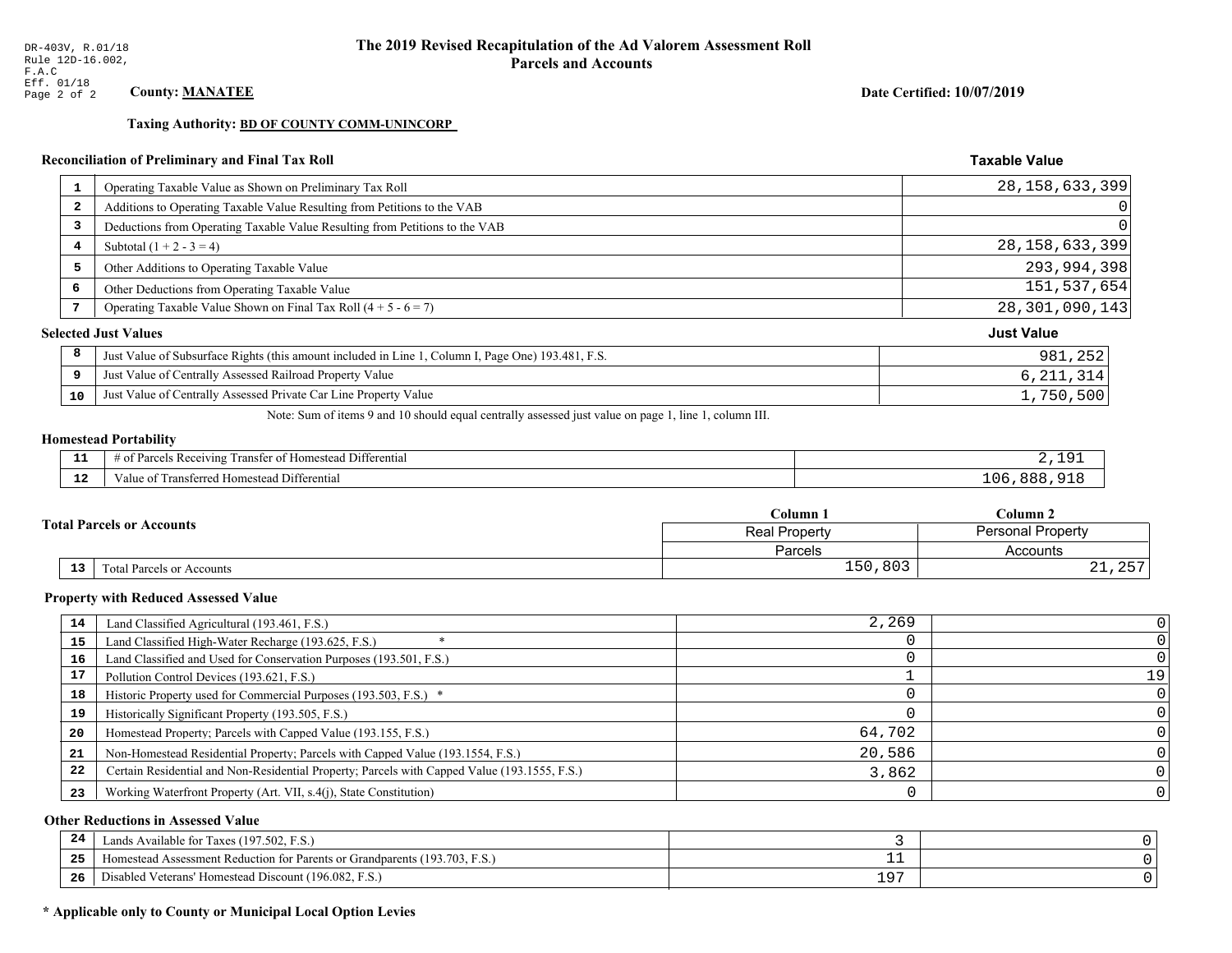**Taxing Authority: BD OF COUNTY COMM-UNINCORP** 

### Reconciliation of Preliminary and Final Tax Roll

| 1  | Operating Taxable Value as Shown on Preliminary Tax Roll                                           | 28, 158, 633, 399 |
|----|----------------------------------------------------------------------------------------------------|-------------------|
| 2  | Additions to Operating Taxable Value Resulting from Petitions to the VAB                           | 0                 |
| 3  | Deductions from Operating Taxable Value Resulting from Petitions to the VAB                        | 0                 |
| 4  | Subtotal $(1 + 2 - 3 = 4)$                                                                         | 28, 158, 633, 399 |
| 5  | Other Additions to Operating Taxable Value                                                         | 293,994,398       |
| 6  | Other Deductions from Operating Taxable Value                                                      | 151,537,654       |
| 7  | Operating Taxable Value Shown on Final Tax Roll $(4 + 5 - 6 = 7)$                                  | 28, 301, 090, 143 |
|    | <b>Selected Just Values</b>                                                                        | <b>Just Value</b> |
| 8  | Just Value of Subsurface Rights (this amount included in Line 1, Column I, Page One) 193.481, F.S. | 981,252           |
| 9  | Just Value of Centrally Assessed Railroad Property Value                                           | 6, 211, 314       |
| 10 | Just Value of Centrally Assessed Private Car Line Property Value                                   | 1,750,500         |

Note: Sum of items 9 and 10 should equal centrally assessed just value on page 1, line 1, column III.

### **Homestead Portability**

| - -<br>.     | Differential<br><b>POPIVING</b><br>ranstei<br>: Rec<br>"OPOS<br>±omestean :<br>н.<br>. . | $\Omega$    |
|--------------|------------------------------------------------------------------------------------------|-------------|
| $\sim$<br>-- | <b>Differential</b><br>Transferreo<br><b>Homestea</b><br>anie<br>$\Omega$                | $\cup$<br>. |

|    |                                  | Column 1                                         | Column 2               |
|----|----------------------------------|--------------------------------------------------|------------------------|
|    | <b>Total Parcels or Accounts</b> | <b>Personal Property</b><br><b>Real Property</b> |                        |
|    |                                  | Parcels                                          | Accounts               |
| 13 | <b>Fotal Parcels or Accounts</b> | 150,803                                          | $\cap$ $\Box$<br>21,2J |

#### **Property with Reduced Assessed Value**

| 14 | Land Classified Agricultural (193.461, F.S.)                                                 | 2,269  |    |
|----|----------------------------------------------------------------------------------------------|--------|----|
| 15 | Land Classified High-Water Recharge (193.625, F.S.)                                          |        |    |
| 16 | Land Classified and Used for Conservation Purposes (193.501, F.S.)                           |        |    |
| 17 | Pollution Control Devices (193.621, F.S.)                                                    |        | 19 |
| 18 | Historic Property used for Commercial Purposes (193.503, F.S.) *                             |        |    |
| 19 | Historically Significant Property (193.505, F.S.)                                            |        |    |
| 20 | Homestead Property; Parcels with Capped Value (193.155, F.S.)                                | 64,702 |    |
| 21 | Non-Homestead Residential Property; Parcels with Capped Value (193.1554, F.S.)               | 20,586 |    |
| 22 | Certain Residential and Non-Residential Property; Parcels with Capped Value (193.1555, F.S.) | 3,862  |    |
| 23 | Working Waterfront Property (Art. VII, s.4(j), State Constitution)                           |        |    |

### **Other Reductions in Assessed Value**

| 24    | (197.502, F.S.)<br>Lands Available for Taxes (                       |                  |  |
|-------|----------------------------------------------------------------------|------------------|--|
| - - - | Iomestead Assessment Reduction for Parents or Grandparents (193.703, | --               |  |
| -26   | I Veterans' Homestead Discount (196.082, F.S.)<br>Disabled           | ים ו<br><u>+</u> |  |

# \* Applicable only to County or Municipal Local Option Levies

Date Certified: 10/07/2019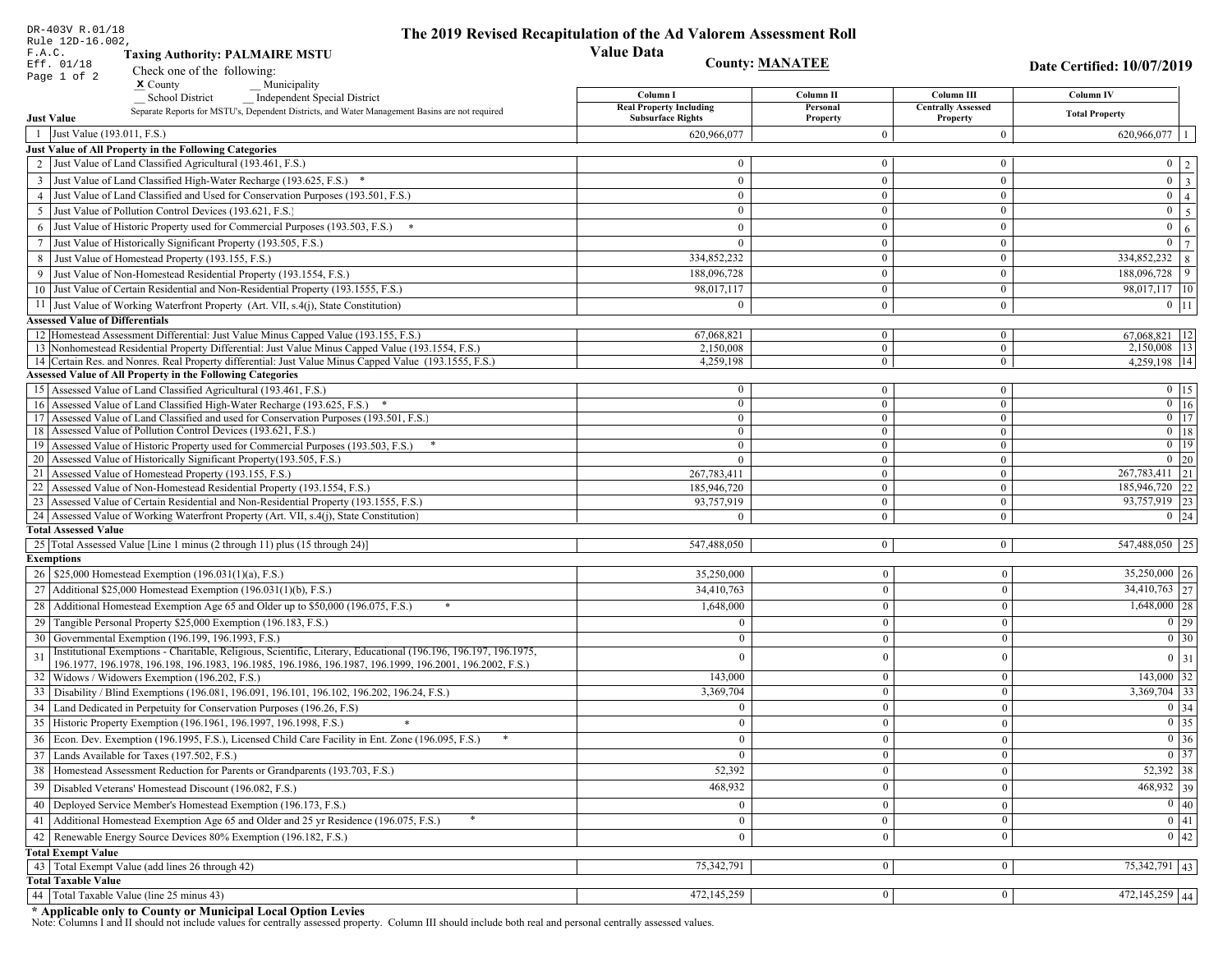| DR-403V R.01/18<br>Rule 12D-16.002,                                                                                                                                                                                                | The 2019 Revised Recapitulation of the Ad Valorem Assessment Roll |                                |                                       |                                  |
|------------------------------------------------------------------------------------------------------------------------------------------------------------------------------------------------------------------------------------|-------------------------------------------------------------------|--------------------------------|---------------------------------------|----------------------------------|
| <b>Value Data</b><br>F.A.C.<br><b>Taxing Authority: PALMAIRE MSTU</b>                                                                                                                                                              |                                                                   |                                |                                       |                                  |
| <b>County: MANATEE</b><br>Eff. 01/18<br>Check one of the following:                                                                                                                                                                |                                                                   |                                |                                       | Date Certified: 10/07/2019       |
| Page 1 of 2<br>$x$ County<br>Municipality                                                                                                                                                                                          |                                                                   |                                |                                       |                                  |
| <b>Independent Special District</b><br><b>School District</b>                                                                                                                                                                      | Column I                                                          | Column II                      | Column III                            | Column IV                        |
| Separate Reports for MSTU's, Dependent Districts, and Water Management Basins are not required<br><b>Just Value</b>                                                                                                                | <b>Real Property Including</b><br><b>Subsurface Rights</b>        | Personal<br>Property           | <b>Centrally Assessed</b><br>Property | <b>Total Property</b>            |
| 1 Just Value (193.011, F.S.)                                                                                                                                                                                                       | 620,966,077                                                       | $\Omega$                       | $\boldsymbol{0}$                      | 620,966,077                      |
| Just Value of All Property in the Following Categories                                                                                                                                                                             |                                                                   |                                |                                       |                                  |
| 2 Just Value of Land Classified Agricultural (193.461, F.S.)                                                                                                                                                                       | $\mathbf{0}$                                                      | $\mathbf{0}$                   | $\mathbf{0}$                          | $0 \mid 2$                       |
| 3 Just Value of Land Classified High-Water Recharge (193.625, F.S.) *                                                                                                                                                              | $\Omega$                                                          | $\mathbf{0}$                   | $\theta$                              | $0 \overline{3}$                 |
| 4 Just Value of Land Classified and Used for Conservation Purposes (193.501, F.S.)                                                                                                                                                 | $\mathbf{0}$                                                      | $\mathbf{0}$                   | $\mathbf{0}$                          | $0 \mid 4$                       |
| 5 Just Value of Pollution Control Devices (193.621, F.S.)                                                                                                                                                                          | $\mathbf{0}$                                                      | $\mathbf{0}$                   | $\mathbf{0}$                          | $\overline{5}$<br>$\overline{0}$ |
| 6 Just Value of Historic Property used for Commercial Purposes (193.503, F.S.) *                                                                                                                                                   | $\Omega$                                                          | $\Omega$                       | $\theta$                              | 6<br>$\overline{0}$              |
| 7 Just Value of Historically Significant Property (193.505, F.S.)                                                                                                                                                                  | $\mathbf{0}$                                                      | $\overline{0}$                 | $\mathbf{0}$                          | $0 \mid 7$                       |
| 8 Just Value of Homestead Property (193.155, F.S.)                                                                                                                                                                                 | 334,852,232                                                       | $\overline{0}$                 | $\boldsymbol{0}$                      | $334,852,232$ 8                  |
| 9 Just Value of Non-Homestead Residential Property (193.1554, F.S.)                                                                                                                                                                | 188,096,728                                                       | $\mathbf{0}$                   | $\mathbf{0}$                          | 188,096,728<br>9                 |
| 10 Just Value of Certain Residential and Non-Residential Property (193.1555, F.S.)                                                                                                                                                 | 98,017,117                                                        | $\mathbf{0}$                   | $\boldsymbol{0}$                      | 98,017,117 10                    |
| 11 Just Value of Working Waterfront Property (Art. VII, s.4(j), State Constitution)                                                                                                                                                | $\Omega$                                                          | $\mathbf{0}$                   | $\boldsymbol{0}$                      | $0$ 11                           |
| <b>Assessed Value of Differentials</b>                                                                                                                                                                                             |                                                                   |                                |                                       |                                  |
| 12 Homestead Assessment Differential: Just Value Minus Capped Value (193.155, F.S.)                                                                                                                                                | 67,068,821                                                        | $\bf{0}$                       | $\mathbf{0}$                          | 67,068,821 12                    |
| 13 Nonhomestead Residential Property Differential: Just Value Minus Capped Value (193.1554, F.S.)<br>14 Certain Res. and Nonres. Real Property differential: Just Value Minus Capped Value (193.1555, F.S.)                        | 2,150,008<br>4,259,198                                            | $\mathbf{0}$<br>$\mathbf{0}$   | $\mathbf{0}$<br>$\mathbf{0}$          | 2,150,008 13<br>4,259,198 14     |
| <b>Assessed Value of All Property in the Following Categories</b>                                                                                                                                                                  |                                                                   |                                |                                       |                                  |
| 15 Assessed Value of Land Classified Agricultural (193.461, F.S.)                                                                                                                                                                  | $\bf{0}$                                                          | $\overline{0}$                 | $\boldsymbol{0}$                      | $0$   15                         |
| 16 Assessed Value of Land Classified High-Water Recharge (193.625, F.S.) *                                                                                                                                                         | $\mathbf{0}$                                                      | $\mathbf{0}$                   | $\mathbf{0}$                          | $\overline{0}$ 16                |
| 17 Assessed Value of Land Classified and used for Conservation Purposes (193.501, F.S.)                                                                                                                                            | $\mathbf{0}$                                                      | $\mathbf{0}$                   | $\boldsymbol{0}$                      | $\overline{0}$ 17                |
| 18 Assessed Value of Pollution Control Devices (193.621, F.S.)                                                                                                                                                                     | $\mathbf{0}$                                                      | $\mathbf{0}$                   | $\mathbf{0}$                          | $\boxed{0}$ 18                   |
| 19 Assessed Value of Historic Property used for Commercial Purposes (193.503, F.S.)<br>20 Assessed Value of Historically Significant Property (193.505, F.S.)                                                                      | $\mathbf{0}$                                                      | $\mathbf{0}$                   | $\overline{0}$                        | $\boxed{0}$ 19                   |
| 21 Assessed Value of Homestead Property (193.155, F.S.)                                                                                                                                                                            | $\theta$<br>267,783,411                                           | $\overline{0}$<br>$\mathbf{0}$ | $\mathbf{0}$<br>$\overline{0}$        | $0 \mid 20$<br>$267,783,411$ 21  |
| 22 Assessed Value of Non-Homestead Residential Property (193.1554, F.S.)                                                                                                                                                           | 185,946,720                                                       | $\boldsymbol{0}$               | $\mathbf{0}$                          | 185,946,720 22                   |
| 23 Assessed Value of Certain Residential and Non-Residential Property (193.1555, F.S.)                                                                                                                                             | 93,757,919                                                        | $\overline{0}$                 | $\mathbf{0}$                          | 93,757,919 23                    |
| 24 Assessed Value of Working Waterfront Property (Art. VII, s.4(j), State Constitution)                                                                                                                                            | $\Omega$                                                          | $\theta$                       | $\mathbf{0}$                          | $0 \quad 24$                     |
| <b>Total Assessed Value</b>                                                                                                                                                                                                        |                                                                   |                                |                                       |                                  |
| 25 Total Assessed Value [Line 1 minus (2 through 11) plus (15 through 24)]                                                                                                                                                         | 547,488,050                                                       | $\overline{0}$                 | $\mathbf{0}$                          | 547,488,050 25                   |
| <b>Exemptions</b>                                                                                                                                                                                                                  |                                                                   |                                |                                       |                                  |
| 26   \$25,000 Homestead Exemption (196.031(1)(a), F.S.)                                                                                                                                                                            | 35,250,000                                                        | $\mathbf{0}$                   | $\mathbf{0}$                          | $35,250,000$ 26                  |
| 27   Additional \$25,000 Homestead Exemption (196.031(1)(b), F.S.)                                                                                                                                                                 | 34,410,763                                                        | $\mathbf{0}$                   | $\mathbf{0}$                          | $34,410,763$ 27                  |
| 28 Additional Homestead Exemption Age 65 and Older up to \$50,000 (196.075, F.S.)                                                                                                                                                  | 1,648,000                                                         | $\mathbf{0}$                   | $\overline{0}$                        | $1,648,000$ 28                   |
| 29 Tangible Personal Property \$25,000 Exemption (196.183, F.S.)                                                                                                                                                                   | £                                                                 | $\Omega$                       | $\mathbf{0}$                          | $\boxed{0}$ 29                   |
| 30 Governmental Exemption (196.199, 196.1993, F.S.)                                                                                                                                                                                |                                                                   | $\theta$                       | $\Omega$                              | 0 30                             |
| Institutional Exemptions - Charitable, Religious, Scientific, Literary, Educational (196.196, 196.197, 196.1975,<br>31<br>196.1977, 196.1978, 196.198, 196.1983, 196.1985, 196.1986, 196.1987, 196.1999, 196.2001, 196.2002, F.S.) |                                                                   |                                | $\theta$                              | $0 \mid 31$                      |
| 32   Widows / Widowers Exemption (196.202, F.S.)                                                                                                                                                                                   | 143,000                                                           | $\mathbf{0}$                   | $\bf{0}$                              | $143,000$ 32                     |
| 33<br>Disability / Blind Exemptions (196.081, 196.091, 196.101, 196.102, 196.202, 196.24, F.S.)                                                                                                                                    | 3,369,704                                                         | $\mathbf{0}$                   | $\mathbf{0}$                          | $3,369,704$ 33                   |
| Land Dedicated in Perpetuity for Conservation Purposes (196.26, F.S)                                                                                                                                                               | $\Omega$                                                          | $\Omega$                       | $\mathbf{0}$                          | $0 \mid 34$                      |
| 35 Historic Property Exemption (196.1961, 196.1997, 196.1998, F.S.)                                                                                                                                                                | 0                                                                 | $\mathbf{U}$                   | 0                                     | $\boxed{0}$ 35                   |
| 36 Econ. Dev. Exemption (196.1995, F.S.), Licensed Child Care Facility in Ent. Zone (196.095, F.S.)                                                                                                                                | $\theta$                                                          | $\mathbf{0}$                   | $\mathbf{0}$                          | $\boxed{0}$ 36                   |
| 37 Lands Available for Taxes (197.502, F.S.)                                                                                                                                                                                       |                                                                   | $\theta$                       | $\mathbf{0}$                          | $\boxed{0}$ 37                   |
| 38   Homestead Assessment Reduction for Parents or Grandparents (193.703, F.S.)                                                                                                                                                    | 52,392                                                            | $\mathbf{0}$                   | 0                                     | 52,392 38                        |
| 39<br>Disabled Veterans' Homestead Discount (196.082, F.S.)                                                                                                                                                                        | 468,932                                                           |                                | $\mathbf{0}$                          | 468,932 39                       |
| Deployed Service Member's Homestead Exemption (196.173, F.S.)<br>40                                                                                                                                                                | $\Omega$                                                          | $\Omega$                       | $\mathbf{0}$                          | $\boxed{0}$ 40                   |
| 41   Additional Homestead Exemption Age 65 and Older and 25 yr Residence (196.075, F.S.)                                                                                                                                           | $\Omega$                                                          | $\mathbf{0}$                   | $\mathbf{0}$                          | $\boxed{0}$ 41                   |
| Renewable Energy Source Devices 80% Exemption (196.182, F.S.)<br>42                                                                                                                                                                | $\Omega$                                                          | $\mathbf{0}$                   | 0                                     | $\boxed{0}$ 42                   |
| <b>Total Exempt Value</b>                                                                                                                                                                                                          |                                                                   |                                |                                       |                                  |
| 43 Total Exempt Value (add lines 26 through 42)                                                                                                                                                                                    | 75,342,791                                                        | $\Omega$                       | $\bf{0}$                              | 75, 342, 791 43                  |
| <b>Total Taxable Value</b>                                                                                                                                                                                                         |                                                                   |                                |                                       |                                  |
| 44   Total Taxable Value (line 25 minus 43)                                                                                                                                                                                        | 472,145,259                                                       | 0                              | $\overline{0}$                        | $472,145,259$ 44                 |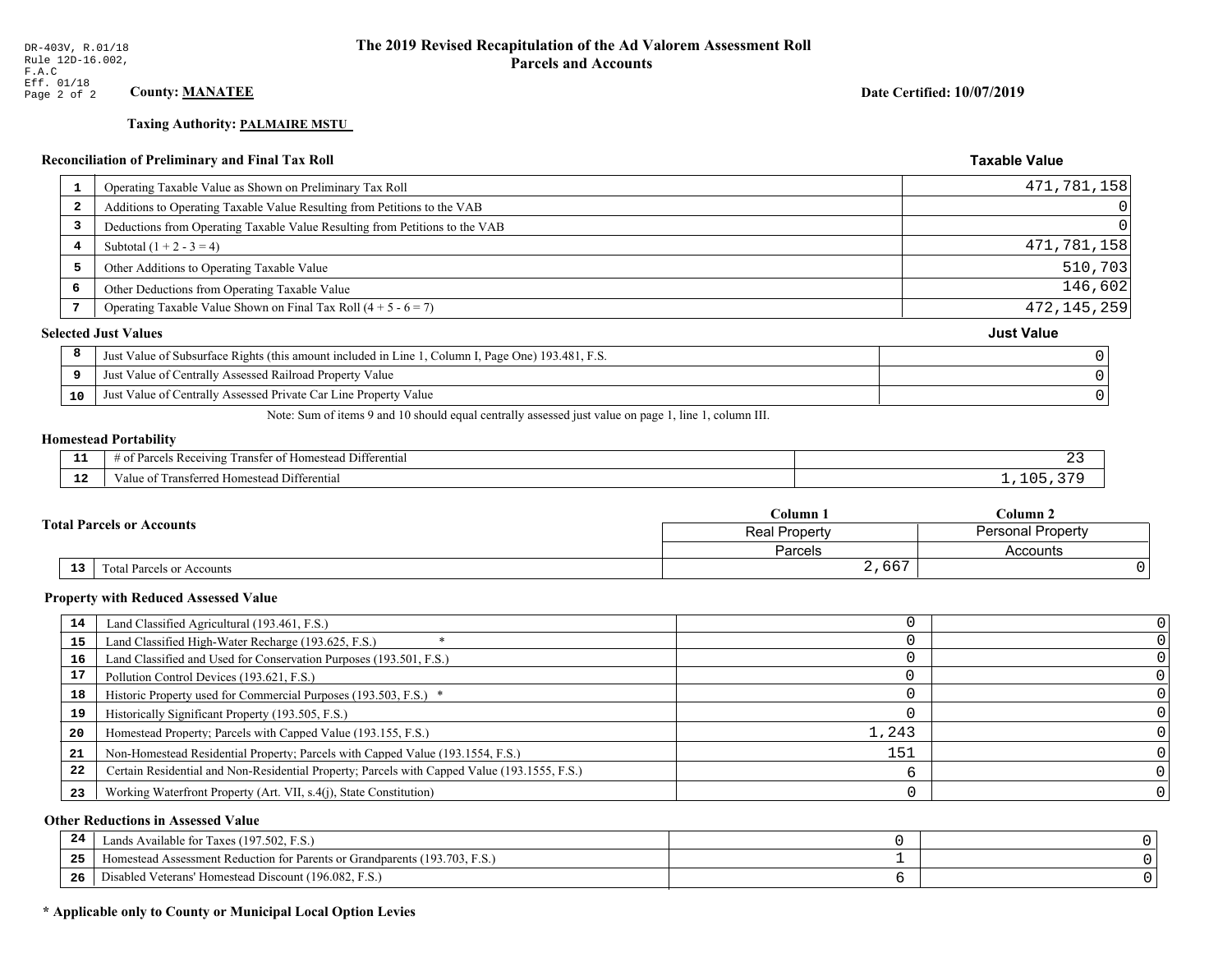# **Taxing Authority: PALMAIRE MSTU**

### Reconciliation of Preliminary and Final Tax Roll

| 1  | Operating Taxable Value as Shown on Preliminary Tax Roll                                           | 471,781,158       |
|----|----------------------------------------------------------------------------------------------------|-------------------|
| -2 | Additions to Operating Taxable Value Resulting from Petitions to the VAB                           | 0                 |
| 3  | Deductions from Operating Taxable Value Resulting from Petitions to the VAB                        | 0                 |
| 4  | Subtotal $(1 + 2 - 3 = 4)$                                                                         | 471,781,158       |
| 5  | Other Additions to Operating Taxable Value                                                         | 510,703           |
| 6  | Other Deductions from Operating Taxable Value                                                      | 146,602           |
|    | Operating Taxable Value Shown on Final Tax Roll $(4 + 5 - 6 = 7)$                                  | 472, 145, 259     |
|    | <b>Selected Just Values</b>                                                                        | <b>Just Value</b> |
| 8  | Just Value of Subsurface Rights (this amount included in Line 1, Column I, Page One) 193.481, F.S. |                   |
| 9  | Just Value of Centrally Assessed Railroad Property Value                                           |                   |
| 10 | Just Value of Centrally Assessed Private Car Line Property Value                                   |                   |
|    |                                                                                                    |                   |

Note: Sum of items 9 and 10 should equal centrally assessed just value on page 1, line 1, column III.

#### **Homestead Portability**

ł,

| --            | $ -$<br>. Differential<br>Parce<br>ranster of<br>ceiving<br>: Homestead<br>- OT<br>, , , , , , | . |
|---------------|------------------------------------------------------------------------------------------------|---|
| $\sim$<br>. . | Transferred Homestead Differential<br>∕alu                                                     |   |

|  |                                  | Column <sub>1</sub>                       | $C$ olumn 2 |  |
|--|----------------------------------|-------------------------------------------|-------------|--|
|  | <b>Total Parcels or Accounts</b> | <b>Personal Property</b><br>Real Property |             |  |
|  |                                  | Parcels                                   | Accounts    |  |
|  | 13<br>Total Parcels or Accounts  | 2,667                                     |             |  |

#### **Property with Reduced Assessed Value**

| 14 | Land Classified Agricultural (193.461, F.S.)                                                 |       |  |
|----|----------------------------------------------------------------------------------------------|-------|--|
| 15 | Land Classified High-Water Recharge (193.625, F.S.)                                          |       |  |
| 16 | Land Classified and Used for Conservation Purposes (193.501, F.S.)                           |       |  |
| 17 | Pollution Control Devices (193.621, F.S.)                                                    |       |  |
| 18 | Historic Property used for Commercial Purposes (193.503, F.S.) *                             |       |  |
| 19 | Historically Significant Property (193.505, F.S.)                                            |       |  |
| 20 | Homestead Property; Parcels with Capped Value (193.155, F.S.)                                | 1,243 |  |
| 21 | Non-Homestead Residential Property; Parcels with Capped Value (193.1554, F.S.)               | 151   |  |
| 22 | Certain Residential and Non-Residential Property; Parcels with Capped Value (193.1555, F.S.) |       |  |
| 23 | Working Waterfront Property (Art. VII, s.4(j), State Constitution)                           |       |  |

### **Other Reductions in Assessed Value**

| -44        | Available for Taxes (197.502, F.S.)                                                                |  |
|------------|----------------------------------------------------------------------------------------------------|--|
| つち<br>ر ہے | $(193.703, F_{\odot})$<br>nt Reduction for Parents or Grandparents (1).<br>fomestead<br>Assessment |  |
| 26         | Disabled Veterans' Homestead Discount (196.082, F<br>F.S.                                          |  |

# \* Applicable only to County or Municipal Local Option Levies

Date Certified: 10/07/2019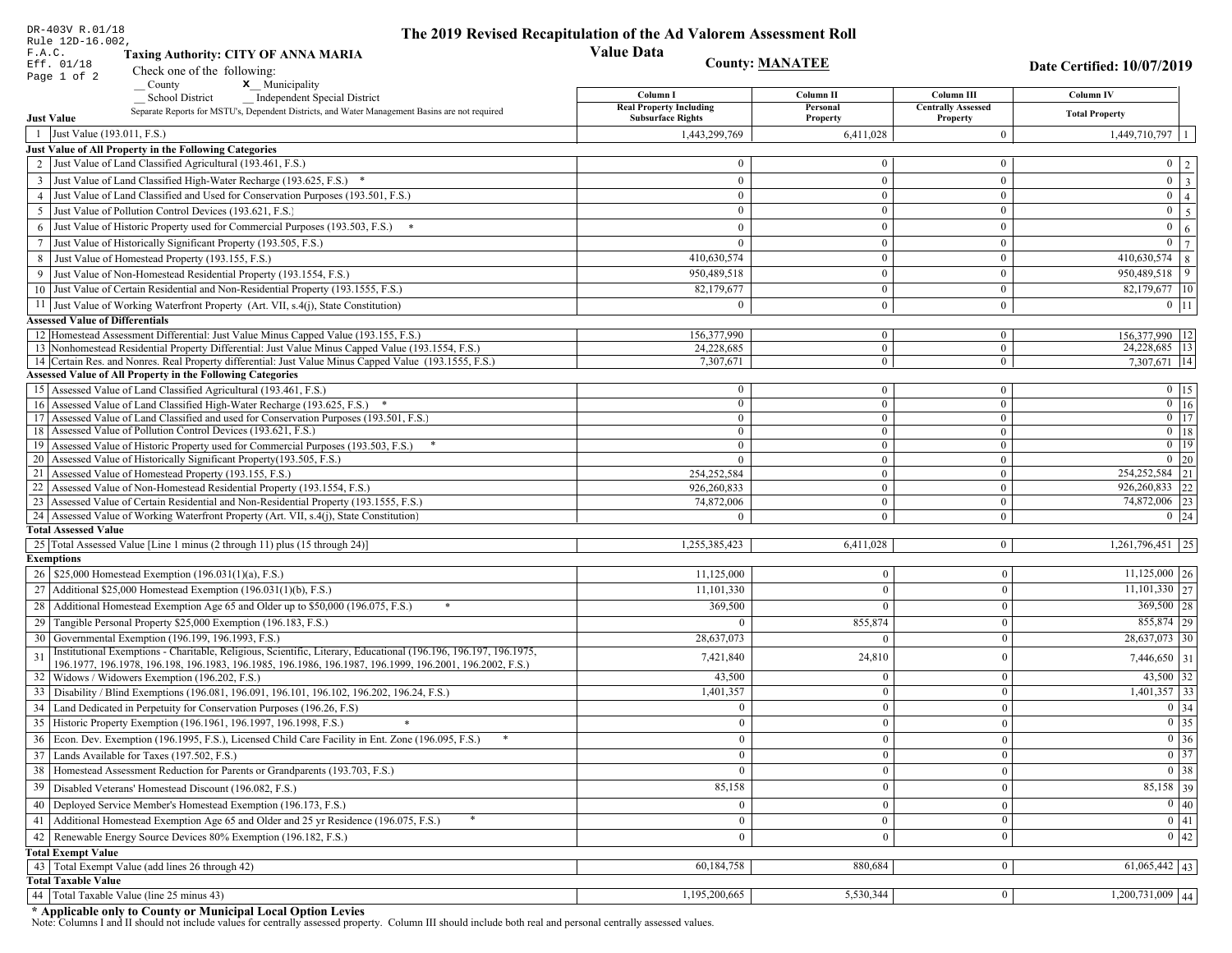| DR-403V R.01/18<br>Rule 12D-16.002,                                                                                                    | The 2019 Revised Recapitulation of the Ad Valorem Assessment Roll |                        |                                       |                                                                                 |
|----------------------------------------------------------------------------------------------------------------------------------------|-------------------------------------------------------------------|------------------------|---------------------------------------|---------------------------------------------------------------------------------|
| F.A.C.<br><b>Taxing Authority: CITY OF ANNA MARIA</b>                                                                                  | <b>Value Data</b>                                                 |                        |                                       |                                                                                 |
| Eff. 01/18<br>Check one of the following:                                                                                              |                                                                   | <b>County: MANATEE</b> |                                       | Date Certified: 10/07/2019                                                      |
| Page 1 of 2<br>x Municipality<br>County                                                                                                |                                                                   |                        |                                       |                                                                                 |
| <b>School District</b><br><b>Independent Special District</b>                                                                          | Column I                                                          | Column <sub>II</sub>   | Column III                            | Column IV                                                                       |
| Separate Reports for MSTU's, Dependent Districts, and Water Management Basins are not required<br><b>Just Value</b>                    | <b>Real Property Including</b><br><b>Subsurface Rights</b>        | Personal<br>Property   | <b>Centrally Assessed</b><br>Property | <b>Total Property</b>                                                           |
| 1 Just Value (193.011, F.S.)                                                                                                           | 1,443,299,769                                                     | 6,411,028              | $\overline{0}$                        | 1,449,710,797                                                                   |
| Just Value of All Property in the Following Categories                                                                                 |                                                                   |                        |                                       |                                                                                 |
| 2 Just Value of Land Classified Agricultural (193.461, F.S.)                                                                           | $\Omega$                                                          | $\overline{0}$         | $\bf{0}$                              | $0 \mid 2$                                                                      |
| 3 Just Value of Land Classified High-Water Recharge (193.625, F.S.) *                                                                  | $\theta$                                                          | $\theta$               | $\bf{0}$                              | $\overline{\mathbf{3}}$<br>$\overline{0}$                                       |
| 4 Just Value of Land Classified and Used for Conservation Purposes (193.501, F.S.)                                                     | $\Omega$                                                          | $\boldsymbol{0}$       | $\bf{0}$                              | $\overline{0}$<br>$\overline{4}$                                                |
| 5 Just Value of Pollution Control Devices (193.621, F.S.)                                                                              | $\overline{0}$                                                    | $\overline{0}$         | $\bf{0}$                              | $\overline{5}$<br>$\overline{0}$                                                |
| Just Value of Historic Property used for Commercial Purposes (193.503, F.S.)<br>6                                                      | $\theta$                                                          | $\mathbf{0}$           | $\bf{0}$                              | $\overline{0}$<br>$\sqrt{6}$                                                    |
| Just Value of Historically Significant Property (193.505, F.S.)<br>7                                                                   | $\overline{0}$                                                    | $\mathbf{0}$           | $\bf{0}$                              | $\overline{7}$<br>$\mathbf{0}$                                                  |
| 8 Just Value of Homestead Property (193.155, F.S.)                                                                                     | 410,630,574                                                       | $\overline{0}$         | $\overline{0}$                        | 410,630,574<br>$\,8\,$                                                          |
| Just Value of Non-Homestead Residential Property (193.1554, F.S.)                                                                      | 950,489,518                                                       | $\Omega$               | $\bf{0}$                              | 9<br>950,489,518                                                                |
| 10 Just Value of Certain Residential and Non-Residential Property (193.1555, F.S.)                                                     | 82,179,677                                                        | $\overline{0}$         | $\bf{0}$                              | 82,179,677 10                                                                   |
| 11 Just Value of Working Waterfront Property (Art. VII, s.4(j), State Constitution)                                                    | $\Omega$                                                          | $\overline{0}$         | $\bf{0}$                              | $0$ 11                                                                          |
| <b>Assessed Value of Differentials</b>                                                                                                 |                                                                   |                        |                                       |                                                                                 |
| 12 Homestead Assessment Differential: Just Value Minus Capped Value (193.155, F.S.)                                                    | 156,377,990                                                       | $\overline{0}$         | $\bf{0}$                              | 156,377,990 12                                                                  |
| 13 Nonhomestead Residential Property Differential: Just Value Minus Capped Value (193.1554, F.S.)                                      | 24,228,685                                                        | $\overline{0}$         | $\overline{0}$                        | 24, 228, 685   13                                                               |
| 14 Certain Res. and Nonres. Real Property differential: Just Value Minus Capped Value (193.1555, F.S.)                                 | 7,307,671                                                         | $\overline{0}$         | $\mathbf{0}$                          | 7,307,671 14                                                                    |
| <b>Assessed Value of All Property in the Following Categories</b><br>15 Assessed Value of Land Classified Agricultural (193.461, F.S.) | $\bf{0}$                                                          | $\overline{0}$         |                                       | $0$   15                                                                        |
| 16 Assessed Value of Land Classified High-Water Recharge (193.625, F.S.) *                                                             | $\mathbf{0}$                                                      | $\overline{0}$         | $\bf{0}$<br>$\overline{0}$            | $\boxed{0}$ 16                                                                  |
| 17 Assessed Value of Land Classified and used for Conservation Purposes (193.501, F.S.)                                                | $\overline{0}$                                                    | $\overline{0}$         | $\bf{0}$                              | $\overline{0}$ 17                                                               |
| 18 Assessed Value of Pollution Control Devices (193.621, F.S.)                                                                         | $\bf{0}$                                                          | $\overline{0}$         | $\overline{0}$                        | $0$   18                                                                        |
| 19 Assessed Value of Historic Property used for Commercial Purposes (193.503, F.S.)                                                    | $\bf{0}$                                                          | $\overline{0}$         | $\bf{0}$                              | $\overline{0}$ 19                                                               |
| 20 Assessed Value of Historically Significant Property (193.505, F.S.)                                                                 | $\theta$                                                          | $\mathbf{0}$           | $\mathbf{0}$                          | $\boxed{0}$ 20                                                                  |
| 21 Assessed Value of Homestead Property (193.155, F.S.)                                                                                | 254, 252, 584                                                     | $\overline{0}$         | $\bf{0}$                              | 254, 252, 584 21                                                                |
| 22 Assessed Value of Non-Homestead Residential Property (193.1554, F.S.)                                                               | 926,260,833                                                       | $\overline{0}$         | $\bf{0}$                              | 926,260,833 22                                                                  |
| 23 Assessed Value of Certain Residential and Non-Residential Property (193.1555, F.S.)                                                 | 74,872,006                                                        | $\overline{0}$         | $\bf{0}$                              | 74,872,006 23                                                                   |
| 24 Assessed Value of Working Waterfront Property (Art. VII, s.4(j), State Constitution)<br><b>Total Assessed Value</b>                 | $\theta$                                                          | $\Omega$               | $\overline{0}$                        | $0 \quad 24$                                                                    |
| 25 Total Assessed Value [Line 1 minus (2 through 11) plus (15 through 24)]                                                             | 1,255,385,423                                                     | 6,411,028              | $\mathbf{0}$                          | $1,261,796,451$ 25                                                              |
| <b>Exemptions</b>                                                                                                                      |                                                                   |                        |                                       |                                                                                 |
| 26   \$25,000 Homestead Exemption (196.031(1)(a), F.S.)                                                                                | 11,125,000                                                        | $\bf{0}$               | $\bf{0}$                              | $11,125,000$ 26                                                                 |
| 27   Additional \$25,000 Homestead Exemption $(196.031(1)(b), F.S.)$                                                                   | 11,101,330                                                        | $\Omega$               | $\Omega$                              | $11,101,330$ 27                                                                 |
| 28 Additional Homestead Exemption Age 65 and Older up to \$50,000 (196.075, F.S.)                                                      | 369,500                                                           | $\Omega$               | $\theta$                              | $369,500$ 28                                                                    |
| 29 Tangible Personal Property \$25,000 Exemption (196.183, F.S.)                                                                       |                                                                   | 855,874                | $\mathbf{0}$                          | 855,874 29                                                                      |
| 30 Governmental Exemption (196.199, 196.1993, F.S.)                                                                                    | 28,637,073                                                        |                        | $\boldsymbol{0}$                      | 28,637,073 30                                                                   |
| Institutional Exemptions - Charitable, Religious, Scientific, Literary, Educational (196.196, 196.197, 196.1975,<br>31                 |                                                                   | 24,810                 | $\boldsymbol{0}$                      |                                                                                 |
| 196.1977, 196.1978, 196.198, 196.1983, 196.1985, 196.1986, 196.1987, 196.1999, 196.2001, 196.2002, F.S.)                               | 7,421,840                                                         |                        |                                       | 7,446,650 31                                                                    |
| 32   Widows / Widowers Exemption (196.202, F.S.)                                                                                       | 43,500                                                            | $\bf{0}$               | $\mathbf{0}$                          | 43,500 32                                                                       |
| 33 Disability / Blind Exemptions (196.081, 196.091, 196.101, 196.102, 196.202, 196.24, F.S.)                                           | 1,401,357                                                         | $\Omega$               | $\Omega$                              | $1,401,357$ 33                                                                  |
| 34 Land Dedicated in Perpetuity for Conservation Purposes (196.26, F.S)                                                                | $\Omega$                                                          | $\Omega$               | $\theta$                              | $0 \mid 34$                                                                     |
| 35 Historic Property Exemption (196.1961, 196.1997, 196.1998, F.S.)                                                                    | $\cup$                                                            | $\mathbf{0}$           | $\mathbf{0}$                          | $\begin{array}{ c c }\n\hline\n0 & 35 \\ \hline\n0 & 36 \\ \hline\n\end{array}$ |
| 36 Econ. Dev. Exemption (196.1995, F.S.), Licensed Child Care Facility in Ent. Zone (196.095, F.S.)                                    | $\overline{0}$                                                    | $\Omega$               | $\theta$                              |                                                                                 |
| 37 Lands Available for Taxes (197.502, F.S.)                                                                                           | $\overline{0}$                                                    | $\theta$               | $\theta$                              | $\overline{0}$ 37                                                               |
| 38   Homestead Assessment Reduction for Parents or Grandparents (193.703, F.S.)                                                        | $\mathbf{0}$                                                      | $\bf{0}$               | $\mathbf{0}$                          | $\boxed{0}$ 38                                                                  |
| Disabled Veterans' Homestead Discount (196.082, F.S.)<br>39                                                                            | 85,158                                                            |                        | $\boldsymbol{0}$                      | 85,158 39                                                                       |
| 40 Deployed Service Member's Homestead Exemption (196.173, F.S.)                                                                       | $\overline{0}$                                                    | $\Omega$               | $\mathbf{0}$                          | $\overline{0}$ 40                                                               |
| 41 Additional Homestead Exemption Age 65 and Older and 25 yr Residence (196.075, F.S.)                                                 | $\mathbf{0}$                                                      | $\boldsymbol{0}$       | $\bf{0}$                              | $\boxed{0}$ 41                                                                  |
| Renewable Energy Source Devices 80% Exemption (196.182, F.S.)<br>42                                                                    | $\overline{0}$                                                    | $\bf{0}$               | $\boldsymbol{0}$                      | 0 42                                                                            |
| <b>Total Exempt Value</b>                                                                                                              |                                                                   |                        |                                       |                                                                                 |
| 43 Total Exempt Value (add lines 26 through 42)                                                                                        | 60,184,758                                                        | 880,684                | $\mathbf{0}$                          | $61,065,442$ 43                                                                 |
| <b>Total Taxable Value</b><br>Total Taxable Value (line 25 minus 43)<br>44                                                             | 1,195,200,665                                                     | 5,530,344              | $\bf{0}$                              | $1,200,731,009$ 44                                                              |
|                                                                                                                                        |                                                                   |                        |                                       |                                                                                 |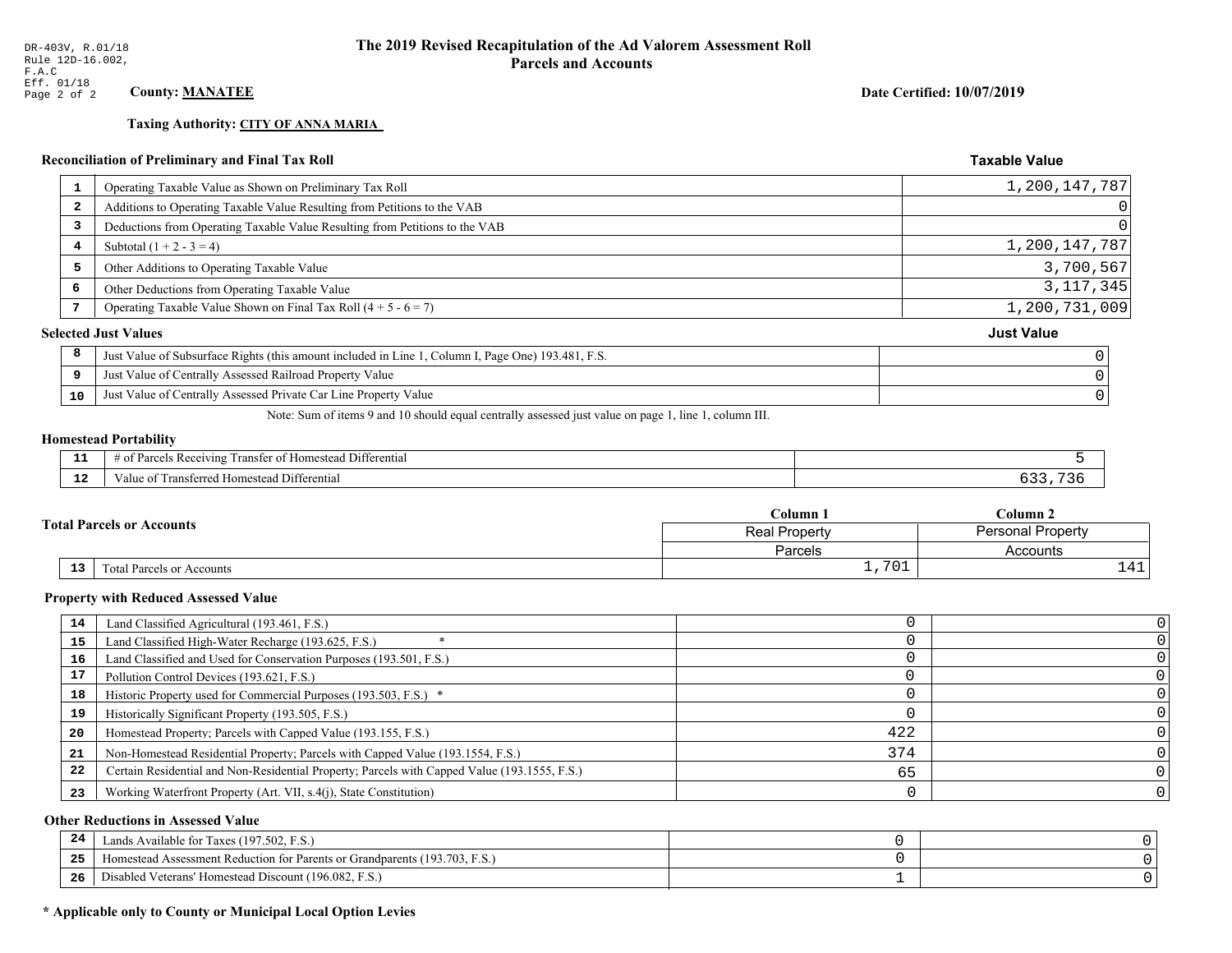### **Taxing Authority: CITY OF ANNA MARIA**

### Reconciliation of Preliminary and Final Tax Roll

| 1  | Operating Taxable Value as Shown on Preliminary Tax Roll                                           | 1,200,147,787     |
|----|----------------------------------------------------------------------------------------------------|-------------------|
| 2  | Additions to Operating Taxable Value Resulting from Petitions to the VAB                           | $\Omega$          |
| 3  | Deductions from Operating Taxable Value Resulting from Petitions to the VAB                        | $\Omega$          |
| 4  | Subtotal $(1 + 2 - 3 = 4)$                                                                         | 1,200,147,787     |
| 5  | Other Additions to Operating Taxable Value                                                         | 3,700,567         |
| 6  | Other Deductions from Operating Taxable Value                                                      | 3, 117, 345       |
|    | Operating Taxable Value Shown on Final Tax Roll $(4 + 5 - 6 = 7)$                                  | 1,200,731,009     |
|    | <b>Selected Just Values</b>                                                                        | <b>Just Value</b> |
| 8  | Just Value of Subsurface Rights (this amount included in Line 1, Column I, Page One) 193.481, F.S. |                   |
| 9  | Just Value of Centrally Assessed Railroad Property Value                                           |                   |
| 10 | Just Value of Centrally Assessed Private Car Line Property Value                                   |                   |
|    |                                                                                                    |                   |

Note: Sum of items 9 and 10 should equal centrally assessed just value on page 1, line 1, column III.

### **Homestead Portability**

ł,

| - -         | --<br>Differential<br>ranster<br>Reception<br>. arce:<br>-01<br>n |  |
|-------------|-------------------------------------------------------------------|--|
| $\sim$<br>. | l Differential<br>alue<br><b>Homestead</b><br>тан<br>менен        |  |

|  |                                              | Column 1        | Column 2                 |
|--|----------------------------------------------|-----------------|--------------------------|
|  | <b>Fotal Parcels or Accounts</b>             | Real Property   | <b>Personal Property</b> |
|  |                                              | Parcels         | Accounts                 |
|  | 13 <sub>1</sub><br>Total Parcels or Accounts | 701<br><u>ـ</u> | $\lambda$ 1              |

#### **Property with Reduced Assessed Value**

| 14 | Land Classified Agricultural (193.461, F.S.)                                                 |     |  |
|----|----------------------------------------------------------------------------------------------|-----|--|
| 15 | Land Classified High-Water Recharge (193.625, F.S.)                                          |     |  |
| 16 | Land Classified and Used for Conservation Purposes (193.501, F.S.)                           |     |  |
| 17 | Pollution Control Devices (193.621, F.S.)                                                    |     |  |
| 18 | Historic Property used for Commercial Purposes (193.503, F.S.) *                             |     |  |
| 19 | Historically Significant Property (193.505, F.S.)                                            |     |  |
| 20 | Homestead Property; Parcels with Capped Value (193.155, F.S.)                                | 422 |  |
| 21 | Non-Homestead Residential Property; Parcels with Capped Value (193.1554, F.S.)               | 374 |  |
| 22 | Certain Residential and Non-Residential Property; Parcels with Capped Value (193.1555, F.S.) | 65  |  |
| 23 | Working Waterfront Property (Art. VII, s.4(j), State Constitution)                           |     |  |

### **Other Reductions in Assessed Value**

| -44 | Available for Taxes (197.502, F.S.)                                            |  |
|-----|--------------------------------------------------------------------------------|--|
| 25  | (193.703, F.S.<br>Aomestead Assessment Reduction for Parents or Grandparents ( |  |
| 26  | Disabled Veterans' Homestead Discount (196.082, F.S.)                          |  |

### \* Applicable only to County or Municipal Local Option Levies

Date Certified: 10/07/2019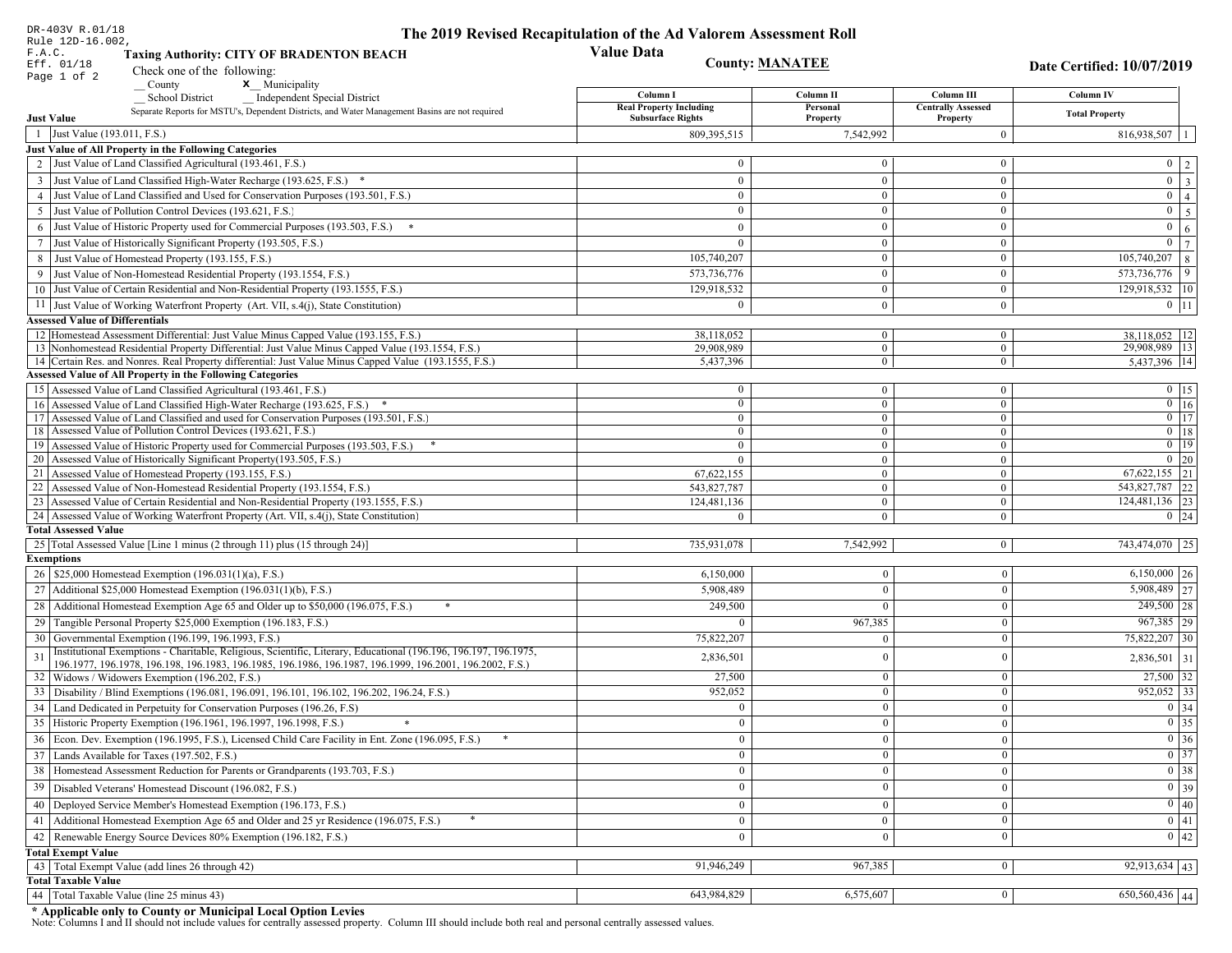| DR-403V R.01/18                        |                                                                                                                                                                       | The 2019 Revised Recapitulation of the Ad Valorem Assessment Roll |                                  |                                  |                                                                       |
|----------------------------------------|-----------------------------------------------------------------------------------------------------------------------------------------------------------------------|-------------------------------------------------------------------|----------------------------------|----------------------------------|-----------------------------------------------------------------------|
| Rule 12D-16.002,<br>F.A.C.             |                                                                                                                                                                       | <b>Value Data</b>                                                 |                                  |                                  |                                                                       |
| Eff. 01/18                             | <b>Taxing Authority: CITY OF BRADENTON BEACH</b><br><b>County: MANATEE</b>                                                                                            |                                                                   |                                  |                                  | Date Certified: 10/07/2019                                            |
| Page 1 of 2                            | Check one of the following:<br>x Municipality                                                                                                                         |                                                                   |                                  |                                  |                                                                       |
|                                        | County<br><b>School District</b><br><b>Independent Special District</b>                                                                                               | Column I                                                          | Column II                        | Column III                       | <b>Column IV</b>                                                      |
|                                        | Separate Reports for MSTU's, Dependent Districts, and Water Management Basins are not required                                                                        | <b>Real Property Including</b>                                    | Personal                         | <b>Centrally Assessed</b>        | <b>Total Property</b>                                                 |
| <b>Just Value</b>                      |                                                                                                                                                                       | <b>Subsurface Rights</b>                                          | Property                         | Property                         |                                                                       |
| 1 Just Value (193.011, F.S.)           |                                                                                                                                                                       | 809,395,515                                                       | 7,542,992                        | $\overline{0}$                   | $816,938,507$   1                                                     |
|                                        | Just Value of All Property in the Following Categories                                                                                                                |                                                                   |                                  |                                  |                                                                       |
|                                        | 2 Just Value of Land Classified Agricultural (193.461, F.S.)                                                                                                          | $\mathbf{0}$                                                      | $\Omega$                         | $\mathbf{0}$                     | $0 \mid 2 \mid$                                                       |
|                                        | 3 Just Value of Land Classified High-Water Recharge (193.625, F.S.) *                                                                                                 | $\mathbf{0}$                                                      | $\mathbf{0}$                     | $\overline{0}$                   | $\boxed{0}$ $\boxed{3}$                                               |
|                                        | 4 Just Value of Land Classified and Used for Conservation Purposes (193.501, F.S.)                                                                                    | $\bf{0}$                                                          | $\mathbf{0}$                     | $\overline{0}$                   | $\overline{0}$   4                                                    |
|                                        | 5 Just Value of Pollution Control Devices (193.621, F.S.)                                                                                                             | $\mathbf{0}$                                                      | $\Omega$                         | $\mathbf{0}$                     | $0 \mid 5 \mid$                                                       |
|                                        | 6 Just Value of Historic Property used for Commercial Purposes (193.503, F.S.)                                                                                        | $\mathbf{0}$                                                      | $\mathbf{0}$                     | $\mathbf{0}$                     | $0 \mid 6 \mid$                                                       |
|                                        | 7 Just Value of Historically Significant Property (193.505, F.S.)                                                                                                     | $\overline{0}$                                                    | $\mathbf{0}$                     | $\mathbf{0}$                     | $\mathbf{0}$<br>$7\phantom{.0}$                                       |
|                                        | 8 Just Value of Homestead Property (193.155, F.S.)                                                                                                                    | 105,740,207                                                       | $\Omega$                         | $\mathbf{0}$                     | $105,740,207$ 8                                                       |
|                                        | 9 Just Value of Non-Homestead Residential Property (193.1554, F.S.)                                                                                                   | 573,736,776                                                       | $\mathbf{0}$                     | $\overline{0}$                   | $573,736,776$ 9                                                       |
|                                        | 10 Just Value of Certain Residential and Non-Residential Property (193.1555, F.S.)                                                                                    | 129,918,532                                                       | $\mathbf{0}$                     | $\overline{0}$                   | 129,918,532   10                                                      |
|                                        | 11 Just Value of Working Waterfront Property (Art. VII, s.4(j), State Constitution)                                                                                   | $\theta$                                                          | $\mathbf{0}$                     | $\overline{0}$                   | $0 \mid 11 \mid$                                                      |
| <b>Assessed Value of Differentials</b> |                                                                                                                                                                       |                                                                   |                                  |                                  |                                                                       |
|                                        | 12 Homestead Assessment Differential: Just Value Minus Capped Value (193.155, F.S.)                                                                                   | 38,118,052                                                        | $\overline{0}$                   | $\overline{0}$                   | 38,118,052   12                                                       |
|                                        | 13 Nonhomestead Residential Property Differential: Just Value Minus Capped Value (193.1554, F.S.)                                                                     | 29,908,989                                                        | $\overline{0}$                   | $\overline{0}$                   | 29,908,989 13                                                         |
|                                        | 14 Certain Res. and Nonres. Real Property differential: Just Value Minus Capped Value (193.1555, F.S.)                                                                | 5,437,396                                                         | $\mathbf{0}$                     | $\overline{0}$                   | 5,437,396 14                                                          |
|                                        | <b>Assessed Value of All Property in the Following Categories</b>                                                                                                     |                                                                   |                                  |                                  |                                                                       |
|                                        | 15 Assessed Value of Land Classified Agricultural (193.461, F.S.)                                                                                                     | $\bf{0}$                                                          | $\overline{0}$                   | $\overline{0}$                   | $0 \t15$                                                              |
|                                        | 16 Assessed Value of Land Classified High-Water Recharge (193.625, F.S.) *<br>17 Assessed Value of Land Classified and used for Conservation Purposes (193.501, F.S.) | $\overline{0}$<br>$\mathbf{0}$                                    | $\overline{0}$<br>$\overline{0}$ | $\overline{0}$<br>$\overline{0}$ | $0 \mid 16$<br>$0$ 17                                                 |
|                                        | 18 Assessed Value of Pollution Control Devices (193.621, F.S.)                                                                                                        | $\ddot{\mathbf{0}}$                                               | $\mathbf{0}$                     | $\overline{0}$                   | $0$ 18                                                                |
|                                        | 19 Assessed Value of Historic Property used for Commercial Purposes (193.503, F.S.)                                                                                   | $\mathbf{0}$                                                      | $\mathbf{0}$                     | $\mathbf{0}$                     | $0$ 19                                                                |
|                                        | 20 Assessed Value of Historically Significant Property (193.505, F.S.)                                                                                                | $\overline{0}$                                                    | $\theta$                         | $\overline{0}$                   | $0 \mid 20$                                                           |
|                                        | 21 Assessed Value of Homestead Property (193.155, F.S.)                                                                                                               | 67,622,155                                                        | $\mathbf{0}$                     | $\mathbf{0}$                     | 67, 622, 155 21                                                       |
|                                        | 22 Assessed Value of Non-Homestead Residential Property (193.1554, F.S.)                                                                                              | 543,827,787                                                       | $\mathbf{0}$                     | $\mathbf{0}$                     | 543,827,787 22                                                        |
|                                        | 23 Assessed Value of Certain Residential and Non-Residential Property (193.1555, F.S.)                                                                                | 124,481,136                                                       | $\overline{0}$                   | $\overline{0}$                   | 124,481,136 23                                                        |
|                                        | 24 Assessed Value of Working Waterfront Property (Art. VII, s.4(j), State Constitution)                                                                               | $\Omega$                                                          | $\Omega$                         | $\overline{0}$                   | $0 \quad 24$                                                          |
| <b>Total Assessed Value</b>            |                                                                                                                                                                       |                                                                   |                                  |                                  |                                                                       |
|                                        | 25 Total Assessed Value [Line 1 minus (2 through 11) plus (15 through 24)]                                                                                            | 735,931,078                                                       | 7,542,992                        | $\vert 0 \vert$                  | 743,474,070 25                                                        |
| <b>Exemptions</b>                      |                                                                                                                                                                       |                                                                   |                                  |                                  |                                                                       |
|                                        | 26   \$25,000 Homestead Exemption (196.031(1)(a), F.S.)                                                                                                               | 6,150,000                                                         | $\overline{0}$                   | $\boldsymbol{0}$                 | $6,150,000$ 26                                                        |
|                                        | 27   Additional \$25,000 Homestead Exemption (196.031(1)(b), F.S.)                                                                                                    | 5,908,489                                                         | $\overline{0}$                   | $\boldsymbol{0}$                 | $5,908,489$ 27                                                        |
| 28                                     | Additional Homestead Exemption Age 65 and Older up to \$50,000 (196.075, F.S.)<br>*                                                                                   | 249,500                                                           | $\overline{0}$                   | $\boldsymbol{0}$                 | $249,500$ 28                                                          |
|                                        | 29 Tangible Personal Property \$25,000 Exemption (196.183, F.S.)                                                                                                      | $\Omega$                                                          | 967,385                          | $\boldsymbol{0}$                 | $967,385$ 29                                                          |
|                                        | 30 Governmental Exemption (196.199, 196.1993, F.S.)                                                                                                                   | 75,822,207                                                        | $\overline{0}$                   | $\boldsymbol{0}$                 | 75,822,207 30                                                         |
| 31                                     | Institutional Exemptions - Charitable, Religious, Scientific, Literary, Educational (196.196, 196.197, 196.1975,                                                      | 2,836,501                                                         | $\overline{0}$                   | $\boldsymbol{0}$                 | $2,836,501$ 31                                                        |
|                                        | 196.1977, 196.1978, 196.198, 196.1983, 196.1985, 196.1986, 196.1987, 196.1999, 196.2001, 196.2002, F.S.)                                                              |                                                                   |                                  |                                  |                                                                       |
|                                        | 32   Widows / Widowers Exemption (196.202, F.S.)                                                                                                                      | 27,500                                                            | $\overline{0}$                   | $\boldsymbol{0}$                 | $27,500$ 32                                                           |
| 33                                     | Disability / Blind Exemptions (196.081, 196.091, 196.101, 196.102, 196.202, 196.24, F.S.)                                                                             | 952,052                                                           | $\Omega$                         | $\mathbf{0}$                     | $952,052$ 33                                                          |
| 34                                     | Land Dedicated in Perpetuity for Conservation Purposes (196.26, F.S)                                                                                                  | $\mathbf{0}$                                                      | $\mathbf{0}$                     | $\bf{0}$                         | 0 34                                                                  |
|                                        | 35 Historic Property Exemption (196.1961, 196.1997, 196.1998, F.S.)                                                                                                   | $\mathbf{0}$                                                      | $\mathbf{0}$                     | $\mathbf{0}$                     | $\begin{array}{ c c }\n\hline\n0 & 35 \\ \hline\n0 & 36\n\end{array}$ |
|                                        | 36 Econ. Dev. Exemption (196.1995, F.S.), Licensed Child Care Facility in Ent. Zone (196.095, F.S.)                                                                   | $\overline{0}$                                                    | $\overline{0}$                   | $\mathbf{0}$                     |                                                                       |
|                                        | 37 Lands Available for Taxes (197.502, F.S.)                                                                                                                          | $\overline{0}$                                                    | $\bf{0}$                         | $\bf{0}$                         | $0 \overline{\smash)37}$                                              |
|                                        | 38   Homestead Assessment Reduction for Parents or Grandparents (193.703, F.S.)                                                                                       | $\overline{0}$                                                    | $\overline{0}$                   | $\bf{0}$                         | $\boxed{0}$ 38                                                        |
|                                        | 39   Disabled Veterans' Homestead Discount (196.082, F.S.)                                                                                                            | $\overline{0}$                                                    | $\overline{0}$                   | $\bf{0}$                         | 0 39                                                                  |
|                                        | 40   Deployed Service Member's Homestead Exemption (196.173, F.S.)                                                                                                    | $\overline{0}$                                                    | $\mathbf{0}$                     | $\boldsymbol{0}$                 | $\boxed{0}$ 40                                                        |
| 41                                     | Additional Homestead Exemption Age 65 and Older and 25 yr Residence (196.075, F.S.)                                                                                   | $\overline{0}$                                                    | $\mathbf{0}$                     | $\boldsymbol{0}$                 | $\overline{0}$ 41                                                     |
| 42                                     | Renewable Energy Source Devices 80% Exemption (196.182, F.S.)                                                                                                         | $\overline{0}$                                                    | $\theta$                         | $\bf{0}$                         | $0 \mid 42$                                                           |
| <b>Total Exempt Value</b>              |                                                                                                                                                                       |                                                                   |                                  |                                  |                                                                       |
|                                        | 43 Total Exempt Value (add lines 26 through 42)                                                                                                                       | 91,946,249                                                        | 967,385                          | $\overline{0}$                   | $92,913,634$ 43                                                       |
| <b>Total Taxable Value</b>             |                                                                                                                                                                       |                                                                   |                                  |                                  |                                                                       |
|                                        | 44 Total Taxable Value (line 25 minus 43)                                                                                                                             | 643,984,829                                                       | 6,575,607                        | $\bf{0}$                         | $650,560,436$ 44                                                      |

DR-403V R.01/18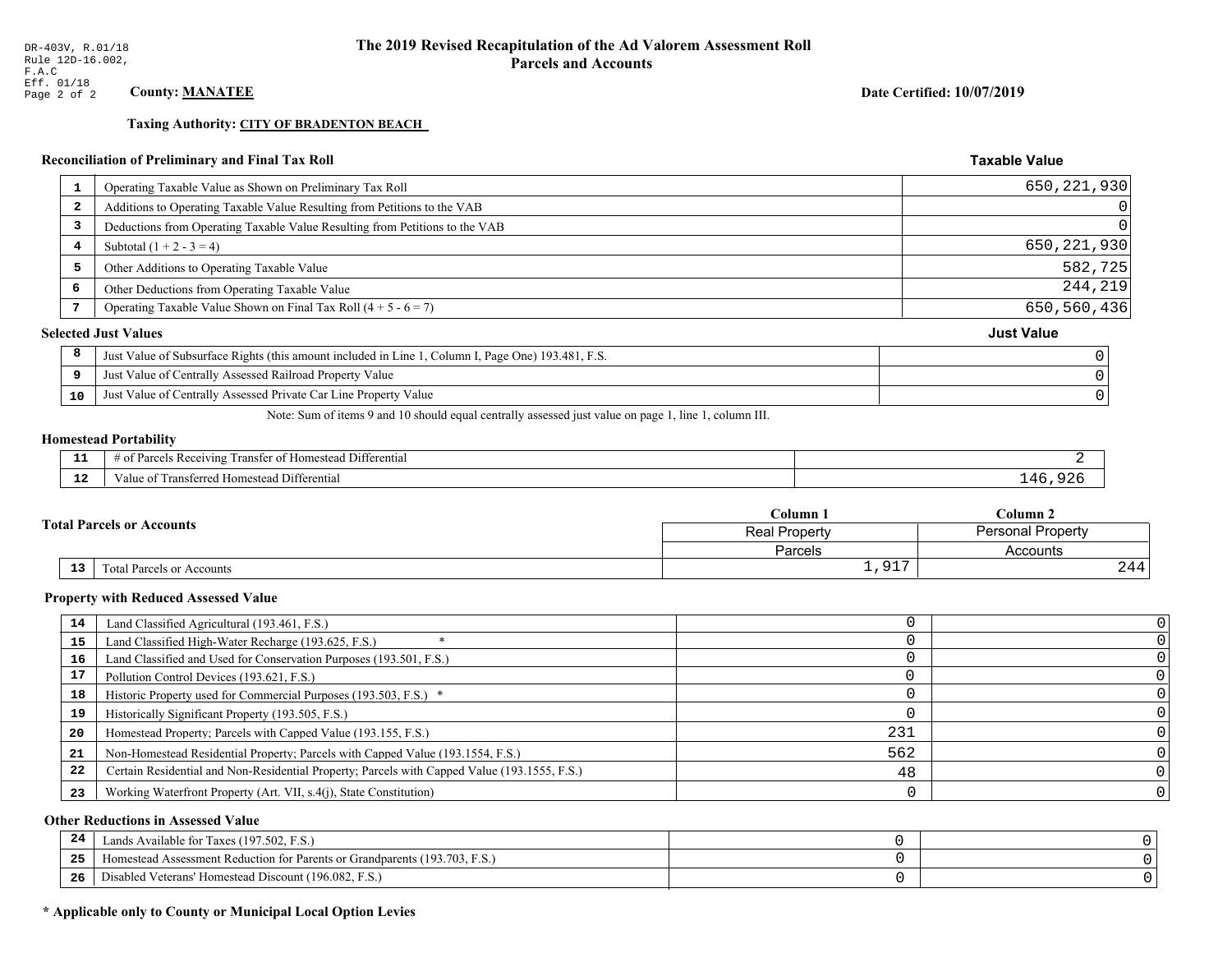**Taxing Authority: CITY OF BRADENTON BEACH** 

### Reconciliation of Preliminary and Final Tax Roll

| -1                      | Operating Taxable Value as Shown on Preliminary Tax Roll                                           | 650, 221, 930     |
|-------------------------|----------------------------------------------------------------------------------------------------|-------------------|
| $\overline{\mathbf{2}}$ | Additions to Operating Taxable Value Resulting from Petitions to the VAB                           | 0                 |
| 3                       | Deductions from Operating Taxable Value Resulting from Petitions to the VAB                        | $\Omega$          |
| 4                       | Subtotal $(1 + 2 - 3 = 4)$                                                                         | 650, 221, 930     |
| 5                       | Other Additions to Operating Taxable Value                                                         | 582,725           |
| 6                       | Other Deductions from Operating Taxable Value                                                      | 244,219           |
|                         | Operating Taxable Value Shown on Final Tax Roll $(4 + 5 - 6 = 7)$                                  | 650,560,436       |
|                         | <b>Selected Just Values</b>                                                                        | <b>Just Value</b> |
| 8                       | Just Value of Subsurface Rights (this amount included in Line 1, Column I, Page One) 193.481, F.S. |                   |
| 9                       | Just Value of Centrally Assessed Railroad Property Value                                           |                   |
| 10                      | Just Value of Centrally Assessed Private Car Line Property Value                                   |                   |
|                         |                                                                                                    |                   |

Note: Sum of items 9 and 10 should equal centrally assessed just value on page 1, line 1, column III.

#### **Homestead Portability**

| - -         | l Differential<br>els Receiving<br>ranster<br>$\sim$ +<br>i Homestead<br>arce,<br>-01<br>. . |    |
|-------------|----------------------------------------------------------------------------------------------|----|
| $\sim$<br>. | Fransferred Homestead Differential<br>alue                                                   | 4k |

| <b>Fotal Parcels or Accounts</b> |                                 | Column <sub>1</sub> | Column 2          |  |
|----------------------------------|---------------------------------|---------------------|-------------------|--|
|                                  |                                 | Real Property       | Personal Property |  |
|                                  |                                 | Parcels             | Accounts          |  |
|                                  | 13<br>Total Parcels or Accounts | Q17                 | 244               |  |

#### **Property with Reduced Assessed Value**

| 14 | Land Classified Agricultural (193.461, F.S.)                                                 |     |  |
|----|----------------------------------------------------------------------------------------------|-----|--|
| 15 | Land Classified High-Water Recharge (193.625, F.S.)                                          |     |  |
| 16 | Land Classified and Used for Conservation Purposes (193.501, F.S.)                           |     |  |
| 17 | Pollution Control Devices (193.621, F.S.)                                                    |     |  |
| 18 | Historic Property used for Commercial Purposes (193.503, F.S.) *                             |     |  |
| 19 | Historically Significant Property (193.505, F.S.)                                            |     |  |
| 20 | Homestead Property; Parcels with Capped Value (193.155, F.S.)                                | 231 |  |
| 21 | Non-Homestead Residential Property; Parcels with Capped Value (193.1554, F.S.)               | 562 |  |
| 22 | Certain Residential and Non-Residential Property; Parcels with Capped Value (193.1555, F.S.) | 48  |  |
| 23 | Working Waterfront Property (Art. VII, s.4(j), State Constitution)                           |     |  |

### **Other Reductions in Assessed Value**

| -44 | Available for Taxes (197.502, F.S.)                                          |  |
|-----|------------------------------------------------------------------------------|--|
| 25  | 'omestead Assessment Reduction for Parents or Grandparents $(193.703, F.S.)$ |  |
| 26  | isabled Veterans' Homestead Discount (196.082, F.S.)                         |  |

# \* Applicable only to County or Municipal Local Option Levies

Date Certified: 10/07/2019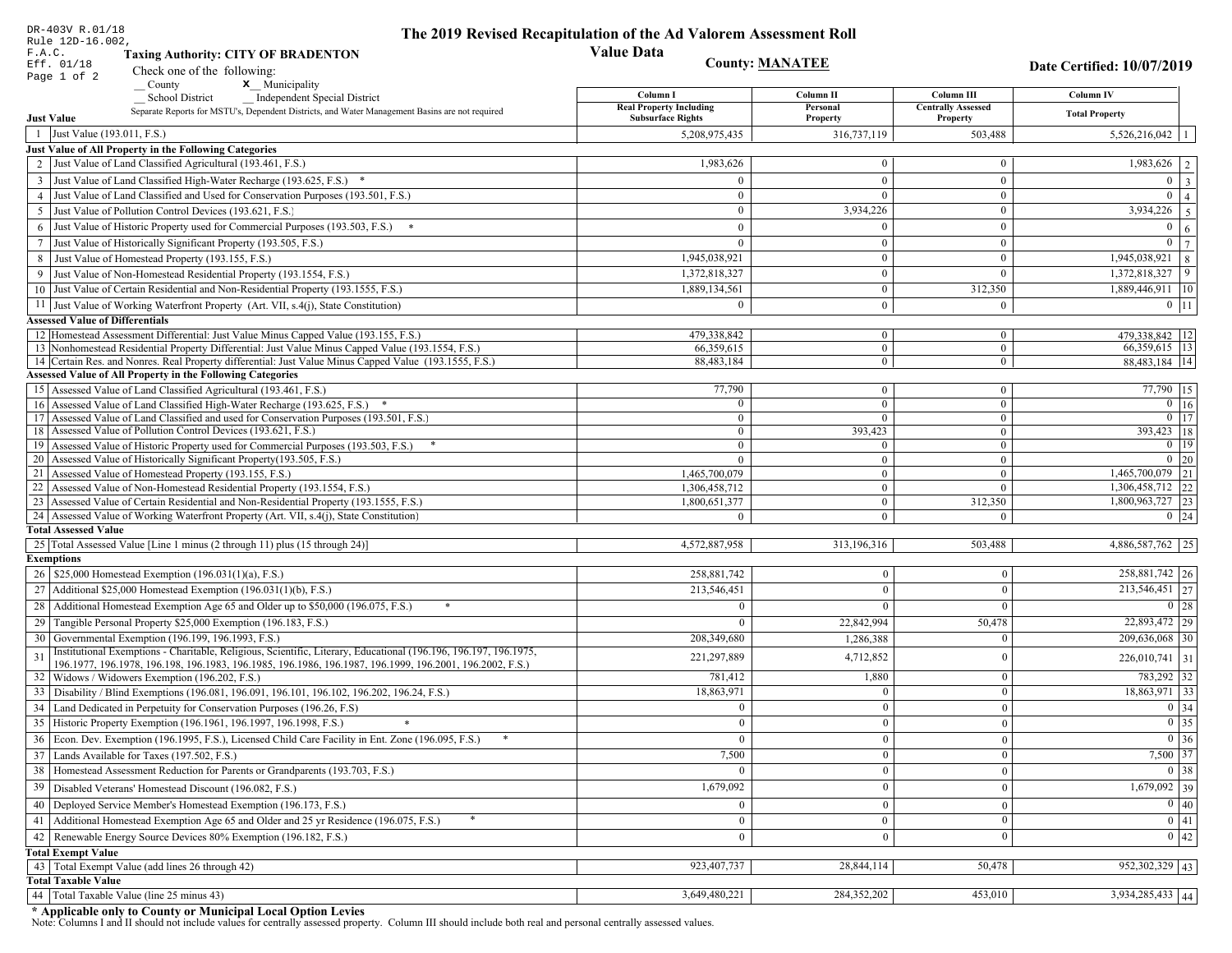|                 | DR-403V R.01/18<br>Rule 12D-16.002,                                                                                                                                         | The 2019 Revised Recapitulation of the Ad Valorem Assessment Roll |                            |                                         |                                 |
|-----------------|-----------------------------------------------------------------------------------------------------------------------------------------------------------------------------|-------------------------------------------------------------------|----------------------------|-----------------------------------------|---------------------------------|
| F.A.C.          | <b>Taxing Authority: CITY OF BRADENTON</b>                                                                                                                                  | <b>Value Data</b>                                                 |                            |                                         |                                 |
|                 | Eff. 01/18<br>Check one of the following:                                                                                                                                   |                                                                   | <b>County: MANATEE</b>     |                                         | Date Certified: 10/07/2019      |
|                 | Page 1 of 2<br>x Municipality<br>County                                                                                                                                     |                                                                   |                            |                                         |                                 |
|                 | <b>School District</b><br><b>Independent Special District</b>                                                                                                               | Column I<br><b>Real Property Including</b>                        | Column II<br>Personal      | Column III<br><b>Centrally Assessed</b> | Column IV                       |
|                 | Separate Reports for MSTU's, Dependent Districts, and Water Management Basins are not required<br><b>Just Value</b>                                                         | <b>Subsurface Rights</b>                                          | Property                   | Property                                | <b>Total Property</b>           |
|                 | 1 Just Value (193.011, F.S.)                                                                                                                                                | 5,208,975,435                                                     | 316,737,119                | 503,488                                 | $5,526,216,042$   1             |
|                 | Just Value of All Property in the Following Categories                                                                                                                      |                                                                   |                            |                                         |                                 |
|                 | 2 Just Value of Land Classified Agricultural (193.461, F.S.)                                                                                                                | 1,983,626                                                         | $\overline{0}$             | $\mathbf{0}$                            | $\overline{1,983,626}$   2      |
|                 | 3 Just Value of Land Classified High-Water Recharge (193.625, F.S.) *                                                                                                       | $\Omega$                                                          | $\Omega$                   | $\overline{0}$                          | $0 \mid 3$                      |
|                 | 4 Just Value of Land Classified and Used for Conservation Purposes (193.501, F.S.)                                                                                          | $\mathbf{0}$                                                      |                            | $\mathbf{0}$                            | $\overline{0}$   4              |
|                 | 5 Just Value of Pollution Control Devices (193.621, F.S.)                                                                                                                   | $\overline{0}$                                                    | 3,934,226                  | $\mathbf{0}$                            | 3,934,226 5                     |
| 6               | Just Value of Historic Property used for Commercial Purposes (193.503, F.S.)                                                                                                | $\theta$                                                          |                            | $\mathbf{0}$                            | 0 <sup>1</sup><br>6             |
| $7\phantom{.0}$ | Just Value of Historically Significant Property (193.505, F.S.)                                                                                                             | $\bf{0}$                                                          | $\mathbf{0}$               | $\overline{0}$                          | $0 \mid 7$                      |
|                 | 8 Just Value of Homestead Property (193.155, F.S.)                                                                                                                          | 1,945,038,921                                                     | $\mathbf{0}$               | $\overline{0}$                          | 1,945,038,921<br>$\overline{8}$ |
|                 | Just Value of Non-Homestead Residential Property (193.1554, F.S.)                                                                                                           | 1,372,818,327                                                     | $\Omega$                   | $\theta$                                | 1,372,818,327 9                 |
|                 | 10 Just Value of Certain Residential and Non-Residential Property (193.1555, F.S.)                                                                                          | 1,889,134,561                                                     | $\mathbf{0}$               | 312,350                                 | 1,889,446,911 10                |
|                 | 11 Just Value of Working Waterfront Property (Art. VII, s.4(j), State Constitution)                                                                                         | $\Omega$                                                          | $\mathbf{0}$               | $\mathbf{0}$                            | $0$   11                        |
|                 | <b>Assessed Value of Differentials</b>                                                                                                                                      |                                                                   |                            |                                         |                                 |
|                 | 12 Homestead Assessment Differential: Just Value Minus Capped Value (193.155, F.S.)                                                                                         | 479,338,842                                                       | $\overline{0}$             | $\bf{0}$                                | 479,338,842   12                |
|                 | 13 Nonhomestead Residential Property Differential: Just Value Minus Capped Value (193.1554, F.S.)                                                                           | 66,359,615                                                        | $\overline{0}$             | $\mathbf{0}$                            | 66,359,615   13                 |
|                 | 14 Certain Res. and Nonres. Real Property differential: Just Value Minus Capped Value (193.1555, F.S.)<br><b>Assessed Value of All Property in the Following Categories</b> | 88,483,184                                                        | $\mathbf{0}$               | $\mathbf{0}$                            | 88.483.184 14                   |
|                 |                                                                                                                                                                             |                                                                   |                            |                                         | $\overline{77,790}$ 15          |
|                 | 15 Assessed Value of Land Classified Agricultural (193.461, F.S.)<br>16 Assessed Value of Land Classified High-Water Recharge (193.625, F.S.) *                             | 77,790<br>$\theta$                                                | $\overline{0}$<br>$\Omega$ | $\mathbf{0}$<br>$\overline{0}$          | $0$ 16                          |
|                 | 17 Assessed Value of Land Classified and used for Conservation Purposes (193.501, F.S.)                                                                                     | $\overline{0}$                                                    |                            | $\mathbf{0}$                            | $0$ 17                          |
|                 | 18 Assessed Value of Pollution Control Devices (193.621, F.S.)                                                                                                              | $\overline{0}$                                                    | 393,423                    | $\overline{0}$                          | 393,423 18                      |
|                 | 19 Assessed Value of Historic Property used for Commercial Purposes (193.503, F.S.)                                                                                         | $\bf{0}$                                                          | $\theta$                   | $\mathbf{0}$                            | $0$   19                        |
|                 | 20 Assessed Value of Historically Significant Property (193.505, F.S.)                                                                                                      | $\theta$                                                          | $\mathbf{0}$               | $\overline{0}$                          | $0 \mid 20$                     |
|                 | 21 Assessed Value of Homestead Property (193.155, F.S.)                                                                                                                     | 1,465,700,079                                                     | $\overline{0}$             | $\mathbf{0}$                            | 1,465,700,079 21                |
|                 | 22 Assessed Value of Non-Homestead Residential Property (193.1554, F.S.)                                                                                                    | 1,306,458,712                                                     | $\mathbf{0}$               | $\overline{0}$                          | $1,306,458,712$ 22              |
|                 | 23 Assessed Value of Certain Residential and Non-Residential Property (193.1555, F.S.)                                                                                      | 1,800,651,377                                                     | $\mathbf{0}$               | 312,350                                 | 1,800,963,727 23                |
|                 | 24 Assessed Value of Working Waterfront Property (Art. VII, s.4(j), State Constitution)                                                                                     | $\Omega$                                                          | $\Omega$                   | $\Omega$                                | $0 \mid 24$                     |
|                 | <b>Total Assessed Value</b>                                                                                                                                                 |                                                                   |                            |                                         |                                 |
|                 | 25 Total Assessed Value [Line 1 minus (2 through 11) plus (15 through 24)]<br><b>Exemptions</b>                                                                             | 4,572,887,958                                                     | 313,196,316                | 503,488                                 | 4,886,587,762 25                |
|                 | 26   \$25,000 Homestead Exemption (196.031(1)(a), F.S.)                                                                                                                     | 258,881,742                                                       | $\bf{0}$                   | $\mathbf{0}$                            | 258,881,742 26                  |
|                 | 27   Additional \$25,000 Homestead Exemption $(196.031(1)(b), F.S.)$                                                                                                        | 213,546,451                                                       | $\mathbf{0}$               | $\theta$                                | $\overline{213,546,451}$ 27     |
|                 | 28 Additional Homestead Exemption Age 65 and Older up to \$50,000 (196.075, F.S.)                                                                                           | $\Omega$                                                          | $\Omega$                   | $\Omega$                                | 0 28                            |
|                 |                                                                                                                                                                             |                                                                   |                            |                                         | 22,893,472 29                   |
|                 | 29 Tangible Personal Property \$25,000 Exemption (196.183, F.S.)                                                                                                            | $\Omega$                                                          | 22,842,994                 | 50,478                                  |                                 |
|                 | 30 Governmental Exemption (196.199, 196.1993, F.S.)<br>Institutional Exemptions - Charitable, Religious, Scientific, Literary, Educational (196.196, 196.197, 196.1975,     | 208,349,680                                                       | 1,286,388                  | $\theta$                                | 209,636,068 30                  |
| 31              | 196.1977, 196.1978, 196.198, 196.1983, 196.1985, 196.1986, 196.1987, 196.1999, 196.2001, 196.2002, F.S.)                                                                    | 221,297,889                                                       | 4,712,852                  | $\theta$                                | $226,010,741$ 31                |
|                 | 32   Widows / Widowers Exemption (196.202, F.S.)                                                                                                                            | 781,412                                                           | 1,880                      | $\mathbf{0}$                            | 783,292 32                      |
|                 | 33 Disability / Blind Exemptions (196.081, 196.091, 196.101, 196.102, 196.202, 196.24, F.S.)                                                                                | 18,863,971                                                        | $\Omega$                   | $\mathbf{0}$                            | $18,863,971$ 33                 |
|                 | 34 Land Dedicated in Perpetuity for Conservation Purposes (196.26, F.S)                                                                                                     | $\Omega$                                                          | $\theta$                   | $\Omega$                                | $0 \mid 34$                     |
|                 | 35 Historic Property Exemption (196.1961, 196.1997, 196.1998, F.S.)                                                                                                         | 0                                                                 | $\mathbf{U}$               | $\vert 0 \vert$                         | $\boxed{0}$ 35                  |
|                 | 36 Econ. Dev. Exemption (196.1995, F.S.), Licensed Child Care Facility in Ent. Zone (196.095, F.S.)                                                                         | $\overline{0}$                                                    | $\boldsymbol{0}$           | $\mathbf{0}$                            | $\overline{0}$ 36               |
|                 | 37 Lands Available for Taxes (197.502, F.S.)                                                                                                                                | 7,500                                                             | $\mathbf{0}$               | $\mathbf{0}$                            | 7,500 37                        |
|                 | 38   Homestead Assessment Reduction for Parents or Grandparents (193.703, F.S.)                                                                                             | $\bf{0}$                                                          | $\bf{0}$                   | $\boldsymbol{0}$                        | $0 \vert 38 \vert$              |
| 39              | Disabled Veterans' Homestead Discount (196.082, F.S.)                                                                                                                       | 1,679,092                                                         | $\mathbf{0}$               | $\mathbf{0}$                            | $1,679,092$ 39                  |
| 40              | Deployed Service Member's Homestead Exemption (196.173, F.S.)                                                                                                               | $\overline{0}$                                                    | $\boldsymbol{0}$           | $\mathbf{0}$                            | $\boxed{0}$ 40                  |
|                 | 41 Additional Homestead Exemption Age 65 and Older and 25 yr Residence (196.075, F.S.)                                                                                      | $\mathbf{0}$                                                      | $\overline{0}$             | $\mathbf{0}$                            | $\overline{0}$ 41               |
| 42              | Renewable Energy Source Devices 80% Exemption (196.182, F.S.)                                                                                                               | $\mathbf{0}$                                                      | $\mathbf{0}$               | $\mathbf{0}$                            | $\overline{0}$ 42               |
|                 | <b>Total Exempt Value</b>                                                                                                                                                   |                                                                   |                            |                                         |                                 |
|                 | 43 Total Exempt Value (add lines 26 through 42)                                                                                                                             | 923,407,737                                                       | 28,844,114                 | 50,478                                  | $952,302,329$ 43                |
|                 | <b>Total Taxable Value</b>                                                                                                                                                  |                                                                   |                            |                                         |                                 |
| 44              | Total Taxable Value (line 25 minus 43)                                                                                                                                      | 3,649,480,221                                                     | 284,352,202                | 453,010                                 | 3,934,285,433 44                |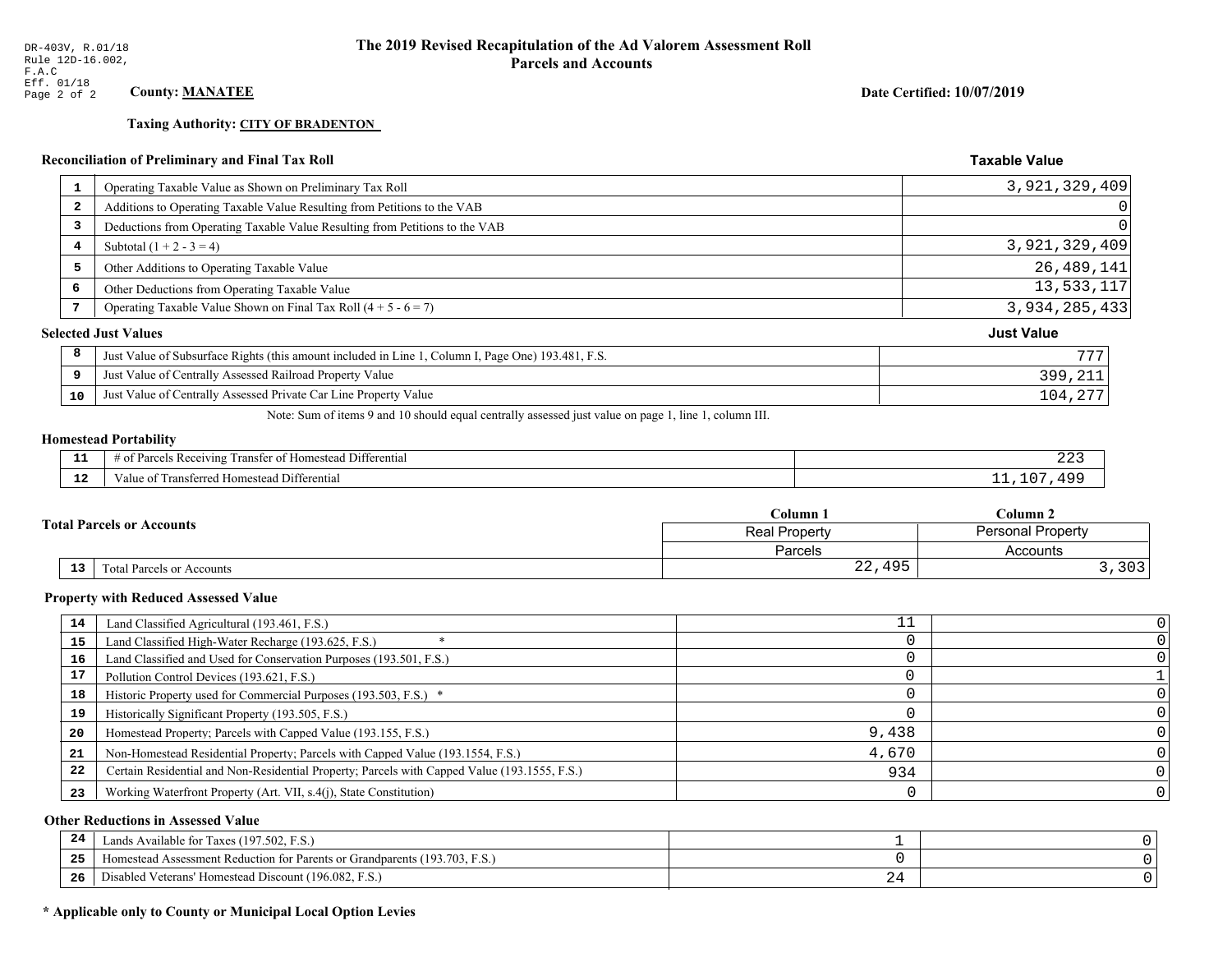**Taxing Authority: CITY OF BRADENTON** 

### Reconciliation of Preliminary and Final Tax Roll

| 1                       | Operating Taxable Value as Shown on Preliminary Tax Roll                                           | 3,921,329,409     |
|-------------------------|----------------------------------------------------------------------------------------------------|-------------------|
| $\overline{\mathbf{2}}$ | Additions to Operating Taxable Value Resulting from Petitions to the VAB                           | $\Omega$          |
| 3                       | Deductions from Operating Taxable Value Resulting from Petitions to the VAB                        | $\Omega$          |
| 4                       | Subtotal $(1 + 2 - 3 = 4)$                                                                         | 3,921,329,409     |
| 5                       | Other Additions to Operating Taxable Value                                                         | 26, 489, 141      |
| 6                       | Other Deductions from Operating Taxable Value                                                      | 13,533,117        |
| 7                       | Operating Taxable Value Shown on Final Tax Roll $(4 + 5 - 6 = 7)$                                  | 3,934,285,433     |
|                         | <b>Selected Just Values</b>                                                                        | <b>Just Value</b> |
| 8                       | Just Value of Subsurface Rights (this amount included in Line 1, Column I, Page One) 193.481, F.S. | 777               |
| 9                       | Just Value of Centrally Assessed Railroad Property Value                                           | 399,211           |
| 10                      | Just Value of Centrally Assessed Private Car Line Property Value                                   | 104,277           |

Note: Sum of items 9 and 10 should equal centrally assessed just value on page 1, line 1, column III.

# **Homestead Portability**

| - -<br>.     | Differential<br><b>POPIVING</b><br>ranstei<br>: Rec<br>$n \cdot n$<br>∴omestean ∙<br>н.<br>. . | 44       |
|--------------|------------------------------------------------------------------------------------------------|----------|
| $\sim$<br>-- | Differential<br>Transferreg<br><b>Homestea</b><br>anne                                         | $\Omega$ |

| <b>Total Parcels or Accounts</b> |    |                                  | Column 1             | Column 2                 |  |
|----------------------------------|----|----------------------------------|----------------------|--------------------------|--|
|                                  |    |                                  | <b>Real Property</b> | <b>Personal Property</b> |  |
|                                  |    |                                  | Parcels              | Accounts                 |  |
|                                  | 13 | <b>Fotal Parcels or Accounts</b> | 22,495               | つへつ<br>د ں ر             |  |

#### **Property with Reduced Assessed Value**

| 14 | Land Classified Agricultural (193.461, F.S.)                                                 |       |  |
|----|----------------------------------------------------------------------------------------------|-------|--|
| 15 | Land Classified High-Water Recharge (193.625, F.S.)                                          |       |  |
| 16 | Land Classified and Used for Conservation Purposes (193.501, F.S.)                           |       |  |
| 17 | Pollution Control Devices (193.621, F.S.)                                                    |       |  |
| 18 | Historic Property used for Commercial Purposes (193.503, F.S.) *                             |       |  |
| 19 | Historically Significant Property (193.505, F.S.)                                            |       |  |
| 20 | Homestead Property; Parcels with Capped Value (193.155, F.S.)                                | 9,438 |  |
| 21 | Non-Homestead Residential Property; Parcels with Capped Value (193.1554, F.S.)               | 4,670 |  |
| 22 | Certain Residential and Non-Residential Property; Parcels with Capped Value (193.1555, F.S.) | 934   |  |
| 23 | Working Waterfront Property (Art. VII, s.4(j), State Constitution)                           |       |  |

### **Other Reductions in Assessed Value**

| 24    | Lands Available for Taxes (197.502, F.S.)                                  |   |  |
|-------|----------------------------------------------------------------------------|---|--|
| - - - | Homestead Assessment Reduction for Parents or Grandparents (193.703, F.S.) |   |  |
| -26   | Disabled Veterans' Homestead Discount (196.082, F.S.)                      | ~ |  |

# \* Applicable only to County or Municipal Local Option Levies

Date Certified: 10/07/2019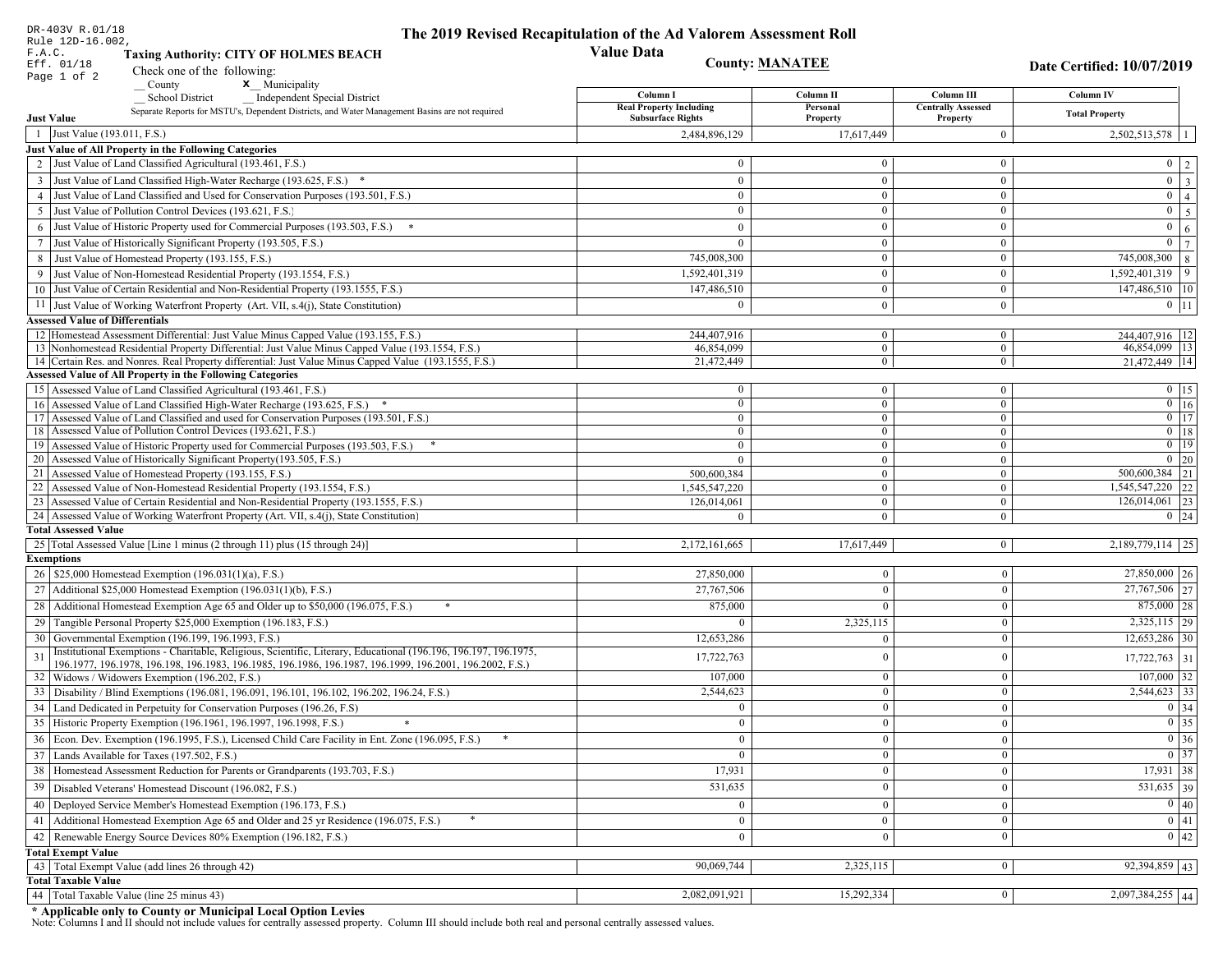| DR-403V R.01/18                        |                                                                                                                                                                       | The 2019 Revised Recapitulation of the Ad Valorem Assessment Roll |                                  |                                  |                                                                       |
|----------------------------------------|-----------------------------------------------------------------------------------------------------------------------------------------------------------------------|-------------------------------------------------------------------|----------------------------------|----------------------------------|-----------------------------------------------------------------------|
| Rule 12D-16.002,<br>F.A.C.             | <b>Taxing Authority: CITY OF HOLMES BEACH</b>                                                                                                                         | <b>Value Data</b>                                                 |                                  |                                  |                                                                       |
| Eff. 01/18                             | Check one of the following:                                                                                                                                           | <b>County: MANATEE</b><br>Date Certified: 10/07/2019              |                                  |                                  |                                                                       |
| Page 1 of 2                            | <b>x</b> Municipality<br>County                                                                                                                                       |                                                                   |                                  |                                  |                                                                       |
|                                        | <b>School District</b><br><b>Independent Special District</b>                                                                                                         | Column I                                                          | Column II                        | Column III                       | Column IV                                                             |
|                                        | Separate Reports for MSTU's, Dependent Districts, and Water Management Basins are not required                                                                        | <b>Real Property Including</b><br><b>Subsurface Rights</b>        | Personal                         | <b>Centrally Assessed</b>        | <b>Total Property</b>                                                 |
| <b>Just Value</b>                      |                                                                                                                                                                       |                                                                   | Property                         | Property                         |                                                                       |
| 1 Just Value (193.011, F.S.)           |                                                                                                                                                                       | 2,484,896,129                                                     | 17,617,449                       | $\overline{0}$                   | $2,502,513,578$   1                                                   |
|                                        | Just Value of All Property in the Following Categories<br>2 Just Value of Land Classified Agricultural (193.461, F.S.)                                                | $\mathbf{0}$                                                      | $\Omega$                         | $\mathbf{0}$                     |                                                                       |
|                                        |                                                                                                                                                                       |                                                                   |                                  |                                  | $0 \mid 2 \mid$                                                       |
|                                        | 3 Just Value of Land Classified High-Water Recharge (193.625, F.S.) *                                                                                                 | $\mathbf{0}$                                                      | $\theta$                         | $\overline{0}$                   | $\boxed{0}$ $\boxed{3}$                                               |
|                                        | 4 Just Value of Land Classified and Used for Conservation Purposes (193.501, F.S.)                                                                                    | $\bf{0}$                                                          | $\mathbf{0}$<br>$\Omega$         | $\overline{0}$                   | $\overline{0}$   4                                                    |
|                                        | 5 Just Value of Pollution Control Devices (193.621, F.S.)                                                                                                             | $\mathbf{0}$                                                      |                                  | $\mathbf{0}$                     | $0 \mid 5 \mid$                                                       |
|                                        | 6 Just Value of Historic Property used for Commercial Purposes (193.503, F.S.)                                                                                        | $\mathbf{0}$                                                      | $\mathbf{0}$                     | $\mathbf{0}$                     | $0 \mid 6 \mid$                                                       |
|                                        | 7 Just Value of Historically Significant Property (193.505, F.S.)                                                                                                     | $\overline{0}$                                                    | $\mathbf{0}$                     | $\mathbf{0}$                     | $\overline{0}$<br>$7\phantom{.0}$                                     |
|                                        | 8 Just Value of Homestead Property (193.155, F.S.)                                                                                                                    | 745,008,300                                                       | $\Omega$                         | $\bf{0}$                         | 745,008,300 8                                                         |
|                                        | 9 Just Value of Non-Homestead Residential Property (193.1554, F.S.)                                                                                                   | 1,592,401,319                                                     | $\mathbf{0}$                     | $\overline{0}$                   | $1,592,401,319$ 9                                                     |
|                                        | 10 Just Value of Certain Residential and Non-Residential Property (193.1555, F.S.)                                                                                    | 147,486,510                                                       | $\mathbf{0}$                     | $\overline{0}$                   | $147,486,510$   10                                                    |
|                                        | 11 Just Value of Working Waterfront Property (Art. VII, s.4(j), State Constitution)                                                                                   | $\theta$                                                          | $\mathbf{0}$                     | $\overline{0}$                   | $0$   11                                                              |
| <b>Assessed Value of Differentials</b> |                                                                                                                                                                       |                                                                   |                                  |                                  |                                                                       |
|                                        | 12 Homestead Assessment Differential: Just Value Minus Capped Value (193.155, F.S.)                                                                                   | 244.407.916                                                       | $\overline{0}$                   | $\overline{0}$                   | 244.407.916   12                                                      |
|                                        | 13 Nonhomestead Residential Property Differential: Just Value Minus Capped Value (193.1554, F.S.)                                                                     | 46,854,099                                                        | $\overline{0}$                   | $\overline{0}$                   | 46,854,099   13                                                       |
|                                        | 14 Certain Res. and Nonres. Real Property differential: Just Value Minus Capped Value (193.1555, F.S.)                                                                | 21,472,449                                                        | $\mathbf{0}$                     | $\overline{0}$                   | 21,472,449 14                                                         |
|                                        | <b>Assessed Value of All Property in the Following Categories</b>                                                                                                     |                                                                   |                                  |                                  |                                                                       |
|                                        | 15 Assessed Value of Land Classified Agricultural (193.461, F.S.)                                                                                                     | $\bf{0}$<br>$\overline{0}$                                        | $\overline{0}$<br>$\overline{0}$ | $\overline{0}$                   | $0 \t15$<br>$0$ 16                                                    |
|                                        | 16 Assessed Value of Land Classified High-Water Recharge (193.625, F.S.) *<br>17 Assessed Value of Land Classified and used for Conservation Purposes (193.501, F.S.) | $\mathbf{0}$                                                      | $\overline{0}$                   | $\overline{0}$<br>$\overline{0}$ | $0$ 17                                                                |
|                                        | 18 Assessed Value of Pollution Control Devices (193.621, F.S.)                                                                                                        | $\ddot{\mathbf{0}}$                                               | $\mathbf{0}$                     | $\overline{0}$                   | $0$ 18                                                                |
|                                        | 19 Assessed Value of Historic Property used for Commercial Purposes (193.503, F.S.)                                                                                   | $\mathbf{0}$                                                      | $\mathbf{0}$                     | $\mathbf{0}$                     | $0$ 19                                                                |
|                                        | 20 Assessed Value of Historically Significant Property (193.505, F.S.)                                                                                                | $\overline{0}$                                                    | $\theta$                         | $\overline{0}$                   | $0 \mid 20$                                                           |
|                                        | 21 Assessed Value of Homestead Property (193.155, F.S.)                                                                                                               | 500,600,384                                                       | $\mathbf{0}$                     | $\mathbf{0}$                     | 500,600,384 21                                                        |
|                                        | 22 Assessed Value of Non-Homestead Residential Property (193.1554, F.S.)                                                                                              | 1,545,547,220                                                     | $\mathbf{0}$                     | $\mathbf{0}$                     | 1,545,547,220 22                                                      |
|                                        | 23 Assessed Value of Certain Residential and Non-Residential Property (193.1555, F.S.)                                                                                | 126,014,061                                                       | $\overline{0}$                   | $\overline{0}$                   | $126,014,061$ 23                                                      |
|                                        | 24 Assessed Value of Working Waterfront Property (Art. VII, s.4(j), State Constitution)                                                                               | $\theta$                                                          | $\Omega$                         | $\overline{0}$                   | $0 \mid 24$                                                           |
| <b>Total Assessed Value</b>            |                                                                                                                                                                       |                                                                   |                                  |                                  |                                                                       |
|                                        | 25 Total Assessed Value [Line 1 minus (2 through 11) plus (15 through 24)]                                                                                            | 2,172,161,665                                                     | 17,617,449                       | $\vert 0 \vert$                  | $2,189,779,114$   25                                                  |
| <b>Exemptions</b>                      |                                                                                                                                                                       |                                                                   |                                  |                                  |                                                                       |
|                                        | 26   \$25,000 Homestead Exemption (196.031(1)(a), F.S.)                                                                                                               | 27,850,000                                                        | $\overline{0}$                   | $\boldsymbol{0}$                 | $27,850,000$ 26                                                       |
|                                        | 27   Additional \$25,000 Homestead Exemption (196.031(1)(b), F.S.)                                                                                                    | 27,767,506                                                        | $\theta$                         | $\bf{0}$                         | $\boxed{27,767,506}$ $\boxed{27}$                                     |
| 28                                     | Additional Homestead Exemption Age 65 and Older up to \$50,000 (196.075, F.S.)<br>*                                                                                   | 875,000                                                           | $\overline{0}$                   | $\boldsymbol{0}$                 | 875,000 28                                                            |
|                                        | 29 Tangible Personal Property \$25,000 Exemption (196.183, F.S.)                                                                                                      | $\Omega$                                                          | 2,325,115                        | $\boldsymbol{0}$                 | $2,325,115$ 29                                                        |
|                                        | 30 Governmental Exemption (196.199, 196.1993, F.S.)                                                                                                                   | 12,653,286                                                        | $\overline{0}$                   | $\boldsymbol{0}$                 | $12,653,286$ 30                                                       |
| 31                                     | Institutional Exemptions - Charitable, Religious, Scientific, Literary, Educational (196.196, 196.197, 196.1975,                                                      |                                                                   | $\overline{0}$                   | $\boldsymbol{0}$                 |                                                                       |
|                                        | 196.1977, 196.1978, 196.198, 196.1983, 196.1985, 196.1986, 196.1987, 196.1999, 196.2001, 196.2002, F.S.)                                                              | 17,722,763                                                        |                                  |                                  | $17,722,763$ 31                                                       |
|                                        | 32   Widows / Widowers Exemption (196.202, F.S.)                                                                                                                      | 107,000                                                           | $\overline{0}$                   | $\boldsymbol{0}$                 | $107,000$ 32                                                          |
| 33                                     | Disability / Blind Exemptions (196.081, 196.091, 196.101, 196.102, 196.202, 196.24, F.S.)                                                                             | 2,544,623                                                         | $\Omega$                         | $\mathbf{0}$                     | $2,544,623$ 33                                                        |
| 34                                     | Land Dedicated in Perpetuity for Conservation Purposes (196.26, F.S)                                                                                                  | $\mathbf{0}$                                                      | $\overline{0}$                   | $\bf{0}$                         | 0 34                                                                  |
|                                        | 35 Historic Property Exemption (196.1961, 196.1997, 196.1998, F.S.)                                                                                                   | $\mathbf{0}$                                                      | $\mathbf{0}$                     | $\bf{0}$                         | $\begin{array}{ c c }\n\hline\n0 & 35 \\ \hline\n0 & 36\n\end{array}$ |
|                                        | 36 Econ. Dev. Exemption (196.1995, F.S.), Licensed Child Care Facility in Ent. Zone (196.095, F.S.)                                                                   | $\overline{0}$                                                    | $\overline{0}$                   | $\mathbf{0}$                     |                                                                       |
|                                        | 37 Lands Available for Taxes (197.502, F.S.)                                                                                                                          | $\mathbf{0}$                                                      | $\bf{0}$                         | $\bf{0}$                         | $\boxed{0}$ 37                                                        |
|                                        | 38   Homestead Assessment Reduction for Parents or Grandparents (193.703, F.S.)                                                                                       | 17,931                                                            | $\overline{0}$                   | $\boldsymbol{0}$                 | $17,931$ 38                                                           |
|                                        | 39   Disabled Veterans' Homestead Discount (196.082, F.S.)                                                                                                            | 531,635                                                           | $\overline{0}$                   | $\bf{0}$                         | $531,635$ 39                                                          |
|                                        | 40   Deployed Service Member's Homestead Exemption (196.173, F.S.)                                                                                                    | $\overline{0}$                                                    | $\overline{0}$                   | $\boldsymbol{0}$                 | 0 40                                                                  |
| 41                                     | Additional Homestead Exemption Age 65 and Older and 25 yr Residence (196.075, F.S.)                                                                                   | $\mathbf{0}$                                                      | $\mathbf{0}$                     | $\bf{0}$                         | 0 41                                                                  |
|                                        | Renewable Energy Source Devices 80% Exemption (196.182, F.S.)                                                                                                         | $\overline{0}$                                                    | $\overline{0}$                   | $\bf{0}$                         | $0 \mid 42$                                                           |
| 42                                     |                                                                                                                                                                       |                                                                   |                                  |                                  |                                                                       |
| <b>Total Exempt Value</b>              | 43 Total Exempt Value (add lines 26 through 42)                                                                                                                       | 90,069,744                                                        | 2,325,115                        | $\overline{0}$                   | $92,394,859$ 43                                                       |
| <b>Total Taxable Value</b>             |                                                                                                                                                                       |                                                                   |                                  |                                  |                                                                       |
|                                        | 44   Total Taxable Value (line 25 minus 43)                                                                                                                           | 2,082,091,921                                                     | 15,292,334                       | $\bf{0}$                         | $2,097,384,255$ 44                                                    |
|                                        |                                                                                                                                                                       |                                                                   |                                  |                                  |                                                                       |

DR-403V R.01/18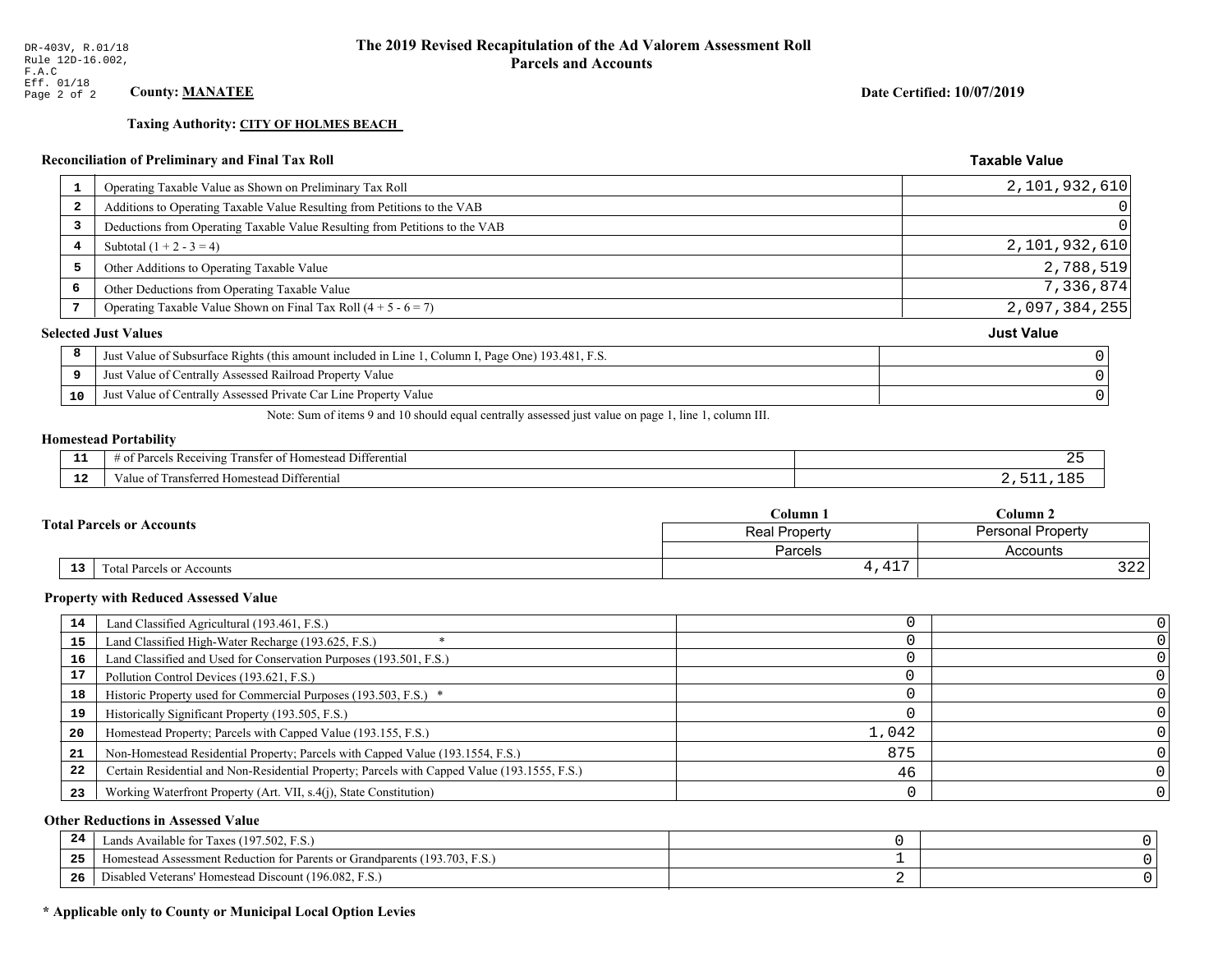**Taxing Authority: CITY OF HOLMES BEACH** 

### Reconciliation of Preliminary and Final Tax Roll

|   | Operating Taxable Value as Shown on Preliminary Tax Roll<br>1                                           | 2,101,932,610     |
|---|---------------------------------------------------------------------------------------------------------|-------------------|
|   | Additions to Operating Taxable Value Resulting from Petitions to the VAB<br>$\overline{\mathbf{2}}$     | 0                 |
|   | Deductions from Operating Taxable Value Resulting from Petitions to the VAB<br>3                        | $\Omega$          |
|   | Subtotal $(1 + 2 - 3 = 4)$<br>4                                                                         | 2,101,932,610     |
|   | 5<br>Other Additions to Operating Taxable Value                                                         | 2,788,519         |
| 6 | Other Deductions from Operating Taxable Value                                                           | 7,336,874         |
|   | Operating Taxable Value Shown on Final Tax Roll $(4 + 5 - 6 = 7)$                                       | 2,097,384,255     |
|   | <b>Selected Just Values</b>                                                                             | <b>Just Value</b> |
|   | 8<br>Just Value of Subsurface Rights (this amount included in Line 1, Column I, Page One) 193.481, F.S. |                   |
|   | Just Value of Centrally Assessed Railroad Property Value<br>9                                           |                   |
|   | Just Value of Centrally Assessed Private Car Line Property Value<br>10                                  |                   |
|   |                                                                                                         |                   |

Note: Sum of items 9 and 10 should equal centrally assessed just value on page 1, line 1, column III.

### **Homestead Portability**

l,

| --          | Differential<br>ranster<br><i>Pacawing</i><br>. Homester<br>. arce:<br>-01<br>n | . . |
|-------------|---------------------------------------------------------------------------------|-----|
| $\sim$<br>. | <br>l Differential<br>alue<br><b>Homestead</b><br>usichcu.<br>тан               |     |

|    |                                                   | Column <sub>1</sub>   | Column 2                 |  |
|----|---------------------------------------------------|-----------------------|--------------------------|--|
|    | <b>Fotal Parcels or Accounts</b><br>Real Property |                       | <b>Personal Property</b> |  |
|    |                                                   | Parcels               | Accounts                 |  |
| 13 | Total Parcels or Accounts                         | $\sim$<br><b>1,11</b> | $\cap$<br>ے کے ح         |  |

#### **Property with Reduced Assessed Value**

| 14 | Land Classified Agricultural (193.461, F.S.)                                                 |       |  |
|----|----------------------------------------------------------------------------------------------|-------|--|
| 15 | Land Classified High-Water Recharge (193.625, F.S.)                                          |       |  |
| 16 | Land Classified and Used for Conservation Purposes (193.501, F.S.)                           |       |  |
| 17 | Pollution Control Devices (193.621, F.S.)                                                    |       |  |
| 18 | Historic Property used for Commercial Purposes (193.503, F.S.) *                             |       |  |
| 19 | Historically Significant Property (193.505, F.S.)                                            |       |  |
| 20 | Homestead Property; Parcels with Capped Value (193.155, F.S.)                                | 1,042 |  |
| 21 | Non-Homestead Residential Property; Parcels with Capped Value (193.1554, F.S.)               | 875   |  |
| 22 | Certain Residential and Non-Residential Property; Parcels with Capped Value (193.1555, F.S.) | 46    |  |
| 23 | Working Waterfront Property (Art. VII, s.4(j), State Constitution)                           |       |  |

### **Other Reductions in Assessed Value**

| -24   | Lands Available for Taxes (197.502, F.S.)                                  |  |
|-------|----------------------------------------------------------------------------|--|
| - - - | Homestead Assessment Reduction for Parents or Grandparents (193.703, F.S.) |  |
| -26   | Disabled Veterans' Homestead Discount (196.082, F.S.)                      |  |

# \* Applicable only to County or Municipal Local Option Levies

Date Certified: 10/07/2019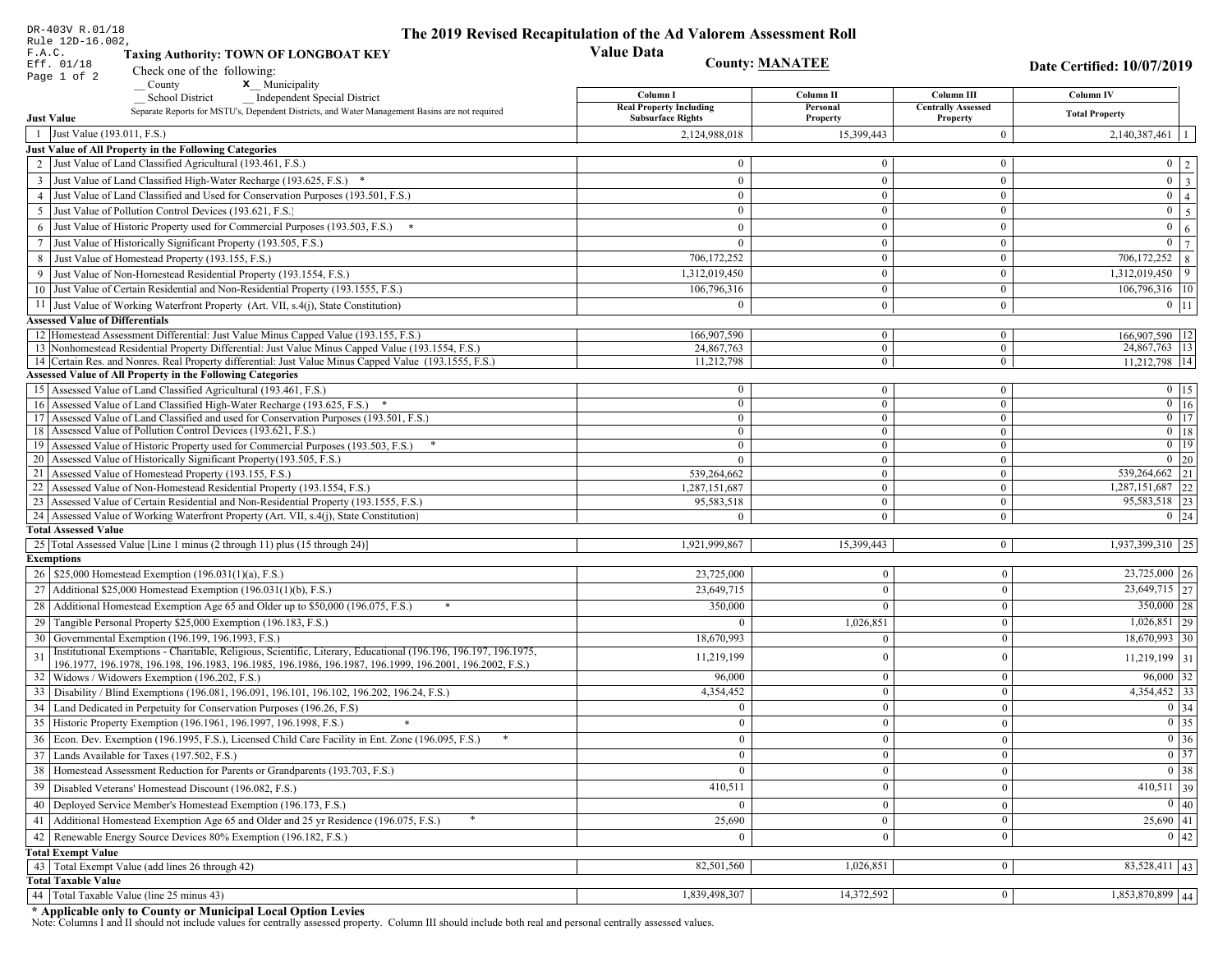| DR-403V R.01/18<br>Rule 12D-16.002,    |                                                                                                                                                           | The 2019 Revised Recapitulation of the Ad Valorem Assessment Roll |                                  |                                       |                                   |
|----------------------------------------|-----------------------------------------------------------------------------------------------------------------------------------------------------------|-------------------------------------------------------------------|----------------------------------|---------------------------------------|-----------------------------------|
| F.A.C.                                 | <b>Taxing Authority: TOWN OF LONGBOAT KEY</b>                                                                                                             | <b>Value Data</b>                                                 |                                  |                                       |                                   |
| Eff. 01/18                             | Check one of the following:                                                                                                                               | <b>County: MANATEE</b>                                            |                                  |                                       | <b>Date Certified: 10/07/2019</b> |
| Page 1 of 2                            | County<br>x Municipality                                                                                                                                  |                                                                   |                                  |                                       |                                   |
|                                        | <b>Independent Special District</b><br><b>School District</b>                                                                                             | Column I                                                          | Column II                        | Column III                            | Column IV                         |
| <b>Just Value</b>                      | Separate Reports for MSTU's, Dependent Districts, and Water Management Basins are not required                                                            | <b>Real Property Including</b><br><b>Subsurface Rights</b>        | Personal<br>Property             | <b>Centrally Assessed</b><br>Property | <b>Total Property</b>             |
| 1 Just Value (193.011, F.S.)           |                                                                                                                                                           | 2,124,988,018                                                     | 15,399,443                       | $\mathbf{0}$                          | $2,140,387,461$   1               |
|                                        | Just Value of All Property in the Following Categories                                                                                                    |                                                                   |                                  |                                       |                                   |
|                                        | 2 Just Value of Land Classified Agricultural (193.461, F.S.)                                                                                              | $\bf{0}$                                                          | $\theta$                         | $\overline{0}$                        | $0 \mid 2 \mid$                   |
|                                        | 3 Just Value of Land Classified High-Water Recharge (193.625, F.S.) *                                                                                     | $\theta$                                                          | $\mathbf{0}$                     | $\mathbf{0}$                          | $\boxed{0}$ $\boxed{3}$           |
|                                        | 4 Just Value of Land Classified and Used for Conservation Purposes (193.501, F.S.)                                                                        | $\mathbf{0}$                                                      | $\mathbf{0}$                     | $\overline{0}$                        | $0 \mid 4 \mid$                   |
|                                        | 5 Just Value of Pollution Control Devices (193.621, F.S.)                                                                                                 | $\overline{0}$                                                    | $\theta$                         | $\mathbf{0}$                          | $\boxed{0}$ $\boxed{5}$           |
|                                        | 6 Just Value of Historic Property used for Commercial Purposes (193.503, F.S.)                                                                            | $\theta$                                                          | $\Omega$                         | $\mathbf{0}$                          | $\mathbf{0}$<br>6 <sup>1</sup>    |
|                                        | 7 Just Value of Historically Significant Property (193.505, F.S.)                                                                                         | $\theta$                                                          | $\Omega$                         | $\mathbf{0}$                          | $\overline{0}$   $\overline{7}$   |
|                                        | 8 Just Value of Homestead Property (193.155, F.S.)                                                                                                        | 706,172,252                                                       | $\mathbf{0}$                     | $\mathbf{0}$                          | 706,172,252 8                     |
|                                        | 9 Just Value of Non-Homestead Residential Property (193.1554, F.S.)                                                                                       | 1,312,019,450                                                     | $\theta$                         | $\mathbf{0}$                          | $1,312,019,450$ 9                 |
|                                        | 10 Just Value of Certain Residential and Non-Residential Property (193.1555, F.S.)                                                                        | 106,796,316                                                       | $\mathbf{0}$                     | $\bf{0}$                              | $106,796,316$ 10                  |
|                                        | 11 Just Value of Working Waterfront Property (Art. VII, s.4(j), State Constitution)                                                                       | $\overline{0}$                                                    | $\overline{0}$                   | $\overline{0}$                        | $0$   11                          |
| <b>Assessed Value of Differentials</b> |                                                                                                                                                           |                                                                   |                                  |                                       |                                   |
|                                        | 12 Homestead Assessment Differential: Just Value Minus Capped Value (193.155, F.S.)                                                                       | 166,907,590                                                       | $\overline{0}$                   | $\overline{0}$                        | 166,907,590   12                  |
|                                        | 13 Nonhomestead Residential Property Differential: Just Value Minus Capped Value (193.1554, F.S.)                                                         | 24,867,763                                                        | $\mathbf{0}$                     | $\overline{0}$                        | 24,867,763   13                   |
|                                        | 14 Certain Res. and Nonres. Real Property differential: Just Value Minus Capped Value (193.1555, F.S.)                                                    | 11,212,798                                                        | $\overline{0}$                   | $\mathbf{0}$                          | 11,212,798 14                     |
|                                        | <b>Assessed Value of All Property in the Following Categories</b>                                                                                         |                                                                   |                                  |                                       |                                   |
|                                        | 15   Assessed Value of Land Classified Agricultural (193.461, F.S.)                                                                                       | $\bf{0}$                                                          | $\overline{0}$                   | $\bf{0}$                              | $0$ 15                            |
|                                        | 16 Assessed Value of Land Classified High-Water Recharge (193.625, F.S.) *                                                                                | $\overline{0}$                                                    | $\overline{0}$                   | $\mathbf{0}$                          | $0$ 16                            |
|                                        | 17 Assessed Value of Land Classified and used for Conservation Purposes (193.501, F.S.)<br>18 Assessed Value of Pollution Control Devices (193.621, F.S.) | $\bf{0}$                                                          | $\mathbf{0}$                     | $\bf{0}$                              | $\boxed{0}$ 17                    |
|                                        | 19 Assessed Value of Historic Property used for Commercial Purposes (193.503, F.S.)                                                                       | $\mathbf{0}$<br>$\bf{0}$                                          | $\overline{0}$<br>$\overline{0}$ | $\overline{0}$<br>$\overline{0}$      | $0$ 18<br>$\boxed{0}$ 19          |
|                                        | 20 Assessed Value of Historically Significant Property (193.505, F.S.)                                                                                    | $\mathbf{0}$                                                      | $\overline{0}$                   | $\mathbf{0}$                          | $0 \mid 20$                       |
|                                        | 21 Assessed Value of Homestead Property (193.155, F.S.)                                                                                                   | 539,264,662                                                       | $\mathbf{0}$                     | $\overline{0}$                        | 539,264,662 21                    |
|                                        | 22 Assessed Value of Non-Homestead Residential Property (193.1554, F.S.)                                                                                  | 1,287,151,687                                                     | $\overline{0}$                   | $\overline{0}$                        | 1,287,151,687 22                  |
|                                        | 23 Assessed Value of Certain Residential and Non-Residential Property (193.1555, F.S.)                                                                    | 95,583,518                                                        | $\overline{0}$                   | $\bf{0}$                              | 95,583,518 23                     |
|                                        | 24 Assessed Value of Working Waterfront Property (Art. VII, s.4(j), State Constitution)                                                                   | $\Omega$                                                          | $\mathbf{0}$                     | $\overline{0}$                        | $0 \mid 24$                       |
| <b>Total Assessed Value</b>            |                                                                                                                                                           |                                                                   |                                  |                                       |                                   |
|                                        | 25 Total Assessed Value [Line 1 minus (2 through 11) plus (15 through 24)]                                                                                | 1,921,999,867                                                     | 15,399,443                       | 0                                     | 1,937,399,310 25                  |
| <b>Exemptions</b>                      |                                                                                                                                                           |                                                                   |                                  |                                       |                                   |
|                                        | 26   \$25,000 Homestead Exemption (196.031(1)(a), F.S.)                                                                                                   | 23,725,000                                                        | $\overline{0}$                   | $\boldsymbol{0}$                      | 23,725,000   26                   |
|                                        | 27   Additional \$25,000 Homestead Exemption (196.031(1)(b), F.S.)                                                                                        | 23,649,715                                                        | $\overline{0}$                   | $\boldsymbol{0}$                      | $\overline{23,649,715}$ 27        |
|                                        | 28 Additional Homestead Exemption Age 65 and Older up to \$50,000 (196.075, F.S.)                                                                         | 350,000                                                           | $\Omega$                         | $\mathbf{0}$                          | $350,000$ 28                      |
| 29                                     | Tangible Personal Property \$25,000 Exemption (196.183, F.S.)                                                                                             | $\Omega$                                                          | 1,026,851                        | $\boldsymbol{0}$                      | $1,026,851$ 29                    |
|                                        | 30 Governmental Exemption (196.199, 196.1993, F.S.)                                                                                                       | 18,670,993                                                        | $\Omega$                         | $\boldsymbol{0}$                      | 18,670,993 30                     |
| 31                                     | Institutional Exemptions - Charitable, Religious, Scientific, Literary, Educational (196.196, 196.197, 196.1975,                                          | 11,219,199                                                        | $\Omega$                         | $\boldsymbol{0}$                      | $11,219,199$ 31                   |
|                                        | 196.1977, 196.1978, 196.198, 196.1983, 196.1985, 196.1986, 196.1987, 196.1999, 196.2001, 196.2002, F.S.)                                                  |                                                                   |                                  |                                       |                                   |
|                                        | 32   Widows / Widowers Exemption (196.202, F.S.)                                                                                                          | 96,000                                                            | $\overline{0}$                   | $\mathbf{0}$                          | $96,000$ 32<br>4,354,452 33       |
|                                        | 33   Disability / Blind Exemptions (196.081, 196.091, 196.101, 196.102, 196.202, 196.24, F.S.)                                                            | 4,354,452                                                         | $\overline{0}$                   | $\boldsymbol{0}$                      |                                   |
|                                        | 34 Land Dedicated in Perpetuity for Conservation Purposes (196.26, F.S)                                                                                   | $\mathbf{0}$                                                      | $\overline{0}$                   | $\boldsymbol{0}$                      | 0 34                              |
|                                        | 35 Historic Property Exemption (196.1961, 196.1997, 196.1998, F.S.)                                                                                       | $\mathbf{0}$                                                      | $\mathbf{0}$                     | 0                                     | $\boxed{0}$ 35                    |
|                                        | 36 Econ. Dev. Exemption (196.1995, F.S.), Licensed Child Care Facility in Ent. Zone (196.095, F.S.)                                                       | $\overline{0}$                                                    | $\overline{0}$                   | $\boldsymbol{0}$                      | $\boxed{0}$ 36                    |
|                                        | 37 Lands Available for Taxes (197.502, F.S.)                                                                                                              | $\overline{0}$                                                    | $\mathbf{0}$                     | $\bf{0}$                              | $0 \overline{\smash)37}$          |
|                                        | 38   Homestead Assessment Reduction for Parents or Grandparents (193.703, F.S.)                                                                           | $\bf{0}$                                                          | $\bf{0}$                         | $\overline{0}$                        | $\boxed{0}$ 38                    |
| 39                                     | Disabled Veterans' Homestead Discount (196.082, F.S.)                                                                                                     | 410,511                                                           | $\overline{0}$                   | $\boldsymbol{0}$                      | $410,511$ 39                      |
|                                        | 40   Deployed Service Member's Homestead Exemption (196.173, F.S.)                                                                                        | $\theta$                                                          | $\overline{0}$                   | $\bf{0}$                              | 0 40                              |
| 41                                     | Additional Homestead Exemption Age 65 and Older and 25 yr Residence (196.075, F.S.)                                                                       | 25,690                                                            | $\mathbf{0}$                     | $\boldsymbol{0}$                      | $25,690$ 41                       |
| 42                                     | Renewable Energy Source Devices 80% Exemption (196.182, F.S.)                                                                                             | $\mathbf{0}$                                                      | $\mathbf{0}$                     | $\boldsymbol{0}$                      | 0 42                              |
| <b>Total Exempt Value</b>              |                                                                                                                                                           |                                                                   |                                  |                                       |                                   |
|                                        | 43 Total Exempt Value (add lines 26 through 42)                                                                                                           | 82,501,560                                                        | 1,026,851                        | $\mathbf{0}$                          | $83,528,411$ 43                   |
| <b>Total Taxable Value</b>             |                                                                                                                                                           |                                                                   |                                  |                                       |                                   |
|                                        | 44 Total Taxable Value (line 25 minus 43)                                                                                                                 | 1,839,498,307                                                     | 14,372,592                       | $\bf{0}$                              | $1,853,870,899$ 44                |

DR-403V R.01/18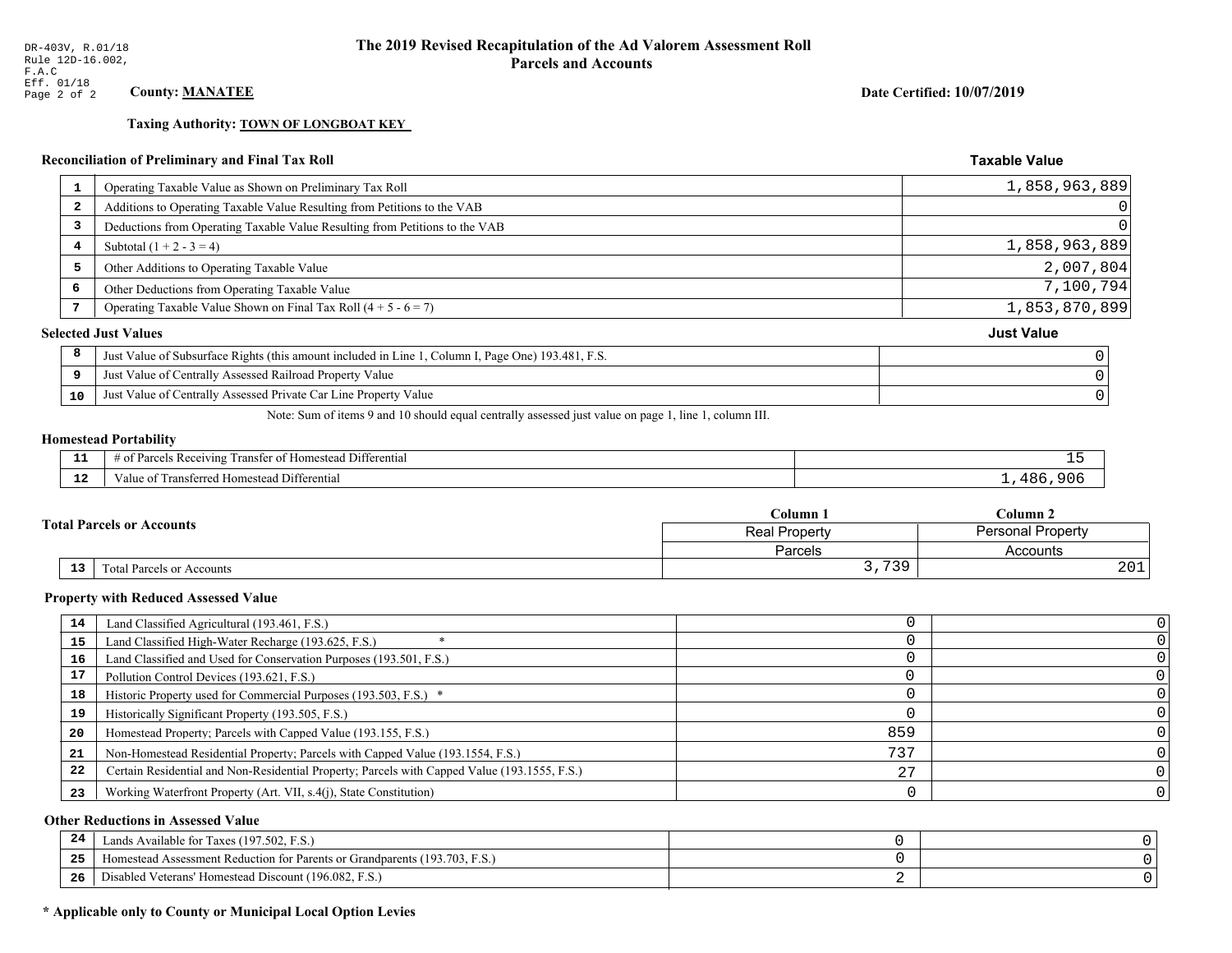**Taxing Authority: TOWN OF LONGBOAT KEY** 

### Reconciliation of Preliminary and Final Tax Roll

| 1  | Operating Taxable Value as Shown on Preliminary Tax Roll                                           | 1,858,963,889     |
|----|----------------------------------------------------------------------------------------------------|-------------------|
| -2 | Additions to Operating Taxable Value Resulting from Petitions to the VAB                           | $\overline{0}$    |
| 3  | Deductions from Operating Taxable Value Resulting from Petitions to the VAB                        | 0                 |
| 4  | Subtotal $(1 + 2 - 3 = 4)$                                                                         | 1,858,963,889     |
| 5  | Other Additions to Operating Taxable Value                                                         | 2,007,804         |
| 6  | Other Deductions from Operating Taxable Value                                                      | 7,100,794         |
|    | Operating Taxable Value Shown on Final Tax Roll $(4 + 5 - 6 = 7)$                                  | 1,853,870,899     |
|    | <b>Selected Just Values</b>                                                                        | <b>Just Value</b> |
| 8  | Just Value of Subsurface Rights (this amount included in Line 1, Column I, Page One) 193.481, F.S. |                   |
| 9  | Just Value of Centrally Assessed Railroad Property Value                                           |                   |
| 10 | Just Value of Centrally Assessed Private Car Line Property Value                                   |                   |
|    |                                                                                                    |                   |

Note: Sum of items 9 and 10 should equal centrally assessed just value on page 1, line 1, column III.

#### **Homestead Portability**

| --            | $ -$<br>.<br>Differential<br>ranster of<br>Parce<br>ceiving<br>omesteac<br>OТ<br>, , , , ,<br>. | - |
|---------------|-------------------------------------------------------------------------------------------------|---|
| $\sim$<br>. . | Transferred Homestead Differential<br>∕alu                                                      |   |

| <b>Total Parcels or Accounts</b> |    |                           | $\mathbb C$ olumn $\;$ .                  | $C$ olumn 2 |  |
|----------------------------------|----|---------------------------|-------------------------------------------|-------------|--|
|                                  |    |                           | Personal Property<br><b>Real Property</b> |             |  |
|                                  |    |                           | Parcels                                   | Accounts    |  |
|                                  | 13 | Fotal Parcels or Accounts | 739<br>ັບ <i>ເ</i><br>. <u>.</u>          | 201         |  |

#### **Property with Reduced Assessed Value**

| 14 | Land Classified Agricultural (193.461, F.S.)                                                 |     |  |
|----|----------------------------------------------------------------------------------------------|-----|--|
| 15 | Land Classified High-Water Recharge (193.625, F.S.)                                          |     |  |
| 16 | Land Classified and Used for Conservation Purposes (193.501, F.S.)                           |     |  |
| 17 | Pollution Control Devices (193.621, F.S.)                                                    |     |  |
| 18 | Historic Property used for Commercial Purposes (193.503, F.S.) *                             |     |  |
| 19 | Historically Significant Property (193.505, F.S.)                                            |     |  |
| 20 | Homestead Property; Parcels with Capped Value (193.155, F.S.)                                | 859 |  |
| 21 | Non-Homestead Residential Property; Parcels with Capped Value (193.1554, F.S.)               | 735 |  |
| 22 | Certain Residential and Non-Residential Property; Parcels with Capped Value (193.1555, F.S.) |     |  |
| 23 | Working Waterfront Property (Art. VII, s.4(j), State Constitution)                           |     |  |

### **Other Reductions in Assessed Value**

| -44 | Available for Taxes (197.502, F.S.)                                          |  |
|-----|------------------------------------------------------------------------------|--|
| 25  | 'omestead Assessment Reduction for Parents or Grandparents $(193.703, F.S.)$ |  |
| 26  | isabled Veterans' Homestead Discount (196.082, F.S.)                         |  |

### \* Applicable only to County or Municipal Local Option Levies

Date Certified: 10/07/2019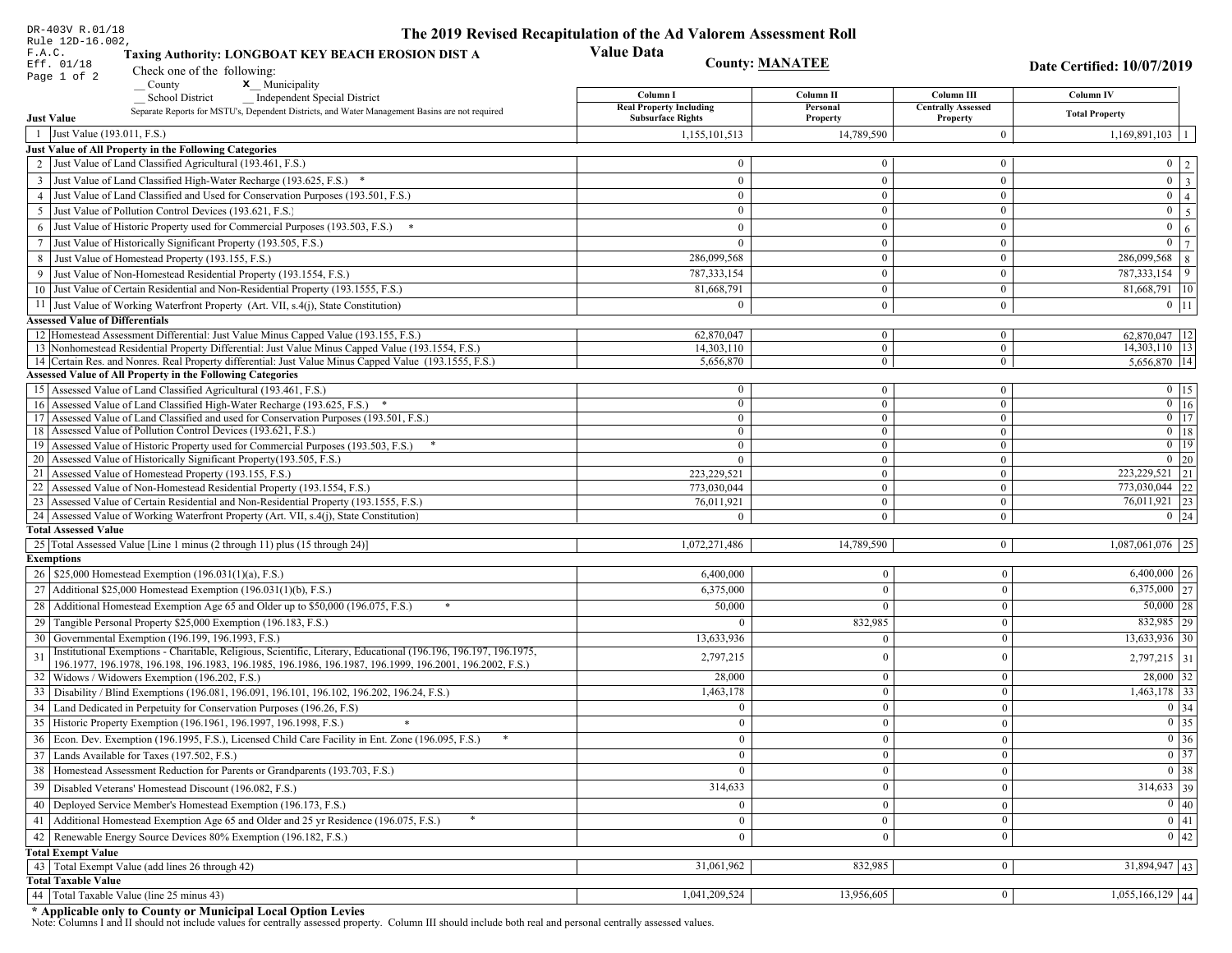| DR-403V R.01/18                                                                                                                                                                          | The 2019 Revised Recapitulation of the Ad Valorem Assessment Roll |                                |                                  |                                             |
|------------------------------------------------------------------------------------------------------------------------------------------------------------------------------------------|-------------------------------------------------------------------|--------------------------------|----------------------------------|---------------------------------------------|
| Rule 12D-16.002,<br>F.A.C.<br>Taxing Authority: LONGBOAT KEY BEACH EROSION DIST A<br>Eff. 01/18<br>Check one of the following:<br>Page 1 of 2                                            | <b>Value Data</b>                                                 | <b>County: MANATEE</b>         |                                  | Date Certified: 10/07/2019                  |
| $\sqrt{\frac{1}{1}}$ County<br>$\mathbf{x}$ Municipality                                                                                                                                 | Column I                                                          | Column II                      | Column III                       | Column IV                                   |
| Independent Special District<br>School District<br>Separate Reports for MSTU's, Dependent Districts, and Water Management Basins are not required                                        | <b>Real Property Including</b>                                    | Personal                       | <b>Centrally Assessed</b>        | <b>Total Property</b>                       |
| <b>Just Value</b>                                                                                                                                                                        | <b>Subsurface Rights</b>                                          | Property                       | Property                         |                                             |
| 1 Just Value (193.011, F.S.)                                                                                                                                                             | 1,155,101,513                                                     | 14,789,590                     | $\overline{0}$                   | 1,169,891,103<br>-1                         |
| Just Value of All Property in the Following Categories<br>2 Just Value of Land Classified Agricultural (193.461, F.S.)                                                                   | $\theta$                                                          | $\overline{0}$                 | $\mathbf{0}$                     |                                             |
|                                                                                                                                                                                          |                                                                   |                                |                                  | $0 \mid 2$<br>$\overline{0}$ $\overline{3}$ |
| 3 Just Value of Land Classified High-Water Recharge (193.625, F.S.) *                                                                                                                    | $\bf{0}$                                                          | $\mathbf{0}$<br>$\overline{0}$ | $\mathbf{0}$                     | $\overline{0}$                              |
| 4 Just Value of Land Classified and Used for Conservation Purposes (193.501, F.S.)                                                                                                       | $\overline{0}$<br>$\mathbf{0}$                                    | $\overline{0}$                 | $\overline{0}$<br>$\overline{0}$ | $\vert 4 \vert$<br>$\mathbf{0}$             |
| 5 Just Value of Pollution Control Devices (193.621, F.S.                                                                                                                                 |                                                                   |                                |                                  | $\overline{5}$                              |
| 6 Just Value of Historic Property used for Commercial Purposes (193.503, F.S.) *                                                                                                         | $\Omega$                                                          | $\overline{0}$                 | $\mathbf{0}$                     | $\boldsymbol{0}$<br>$\sqrt{6}$              |
| 7 Just Value of Historically Significant Property (193.505, F.S.)                                                                                                                        | $\theta$                                                          | $\mathbf{0}$<br>$\overline{0}$ | $\mathbf{0}$                     | $\overline{0}$<br>7                         |
| 8 Just Value of Homestead Property (193.155, F.S.)                                                                                                                                       | 286,099,568                                                       | $\theta$                       | $\overline{0}$                   | 286,099,568<br>8                            |
| 9 Just Value of Non-Homestead Residential Property (193.1554, F.S.)                                                                                                                      | 787, 333, 154                                                     |                                | $\mathbf{0}$                     | $787,333,154$ 9                             |
| 10 Just Value of Certain Residential and Non-Residential Property (193.1555, F.S.)                                                                                                       | 81,668,791                                                        | $\mathbf{0}$                   | $\overline{0}$                   | 81,668,791 10                               |
| 11 Just Value of Working Waterfront Property (Art. VII, s.4(j), State Constitution)                                                                                                      | $\Omega$                                                          | $\overline{0}$                 | $\overline{0}$                   | $0$   11                                    |
| <b>Assessed Value of Differentials</b>                                                                                                                                                   |                                                                   |                                |                                  |                                             |
| 12 Homestead Assessment Differential: Just Value Minus Capped Value (193.155, F.S.)<br>13 Nonhomestead Residential Property Differential: Just Value Minus Capped Value (193.1554, F.S.) | 62,870,047<br>14,303,110                                          | $\mathbf{0}$<br>$\mathbf{0}$   | $\mathbf{0}$<br>$\overline{0}$   | 62.870.047   12<br>$14,303,110$ 13          |
| 14 Certain Res. and Nonres. Real Property differential: Just Value Minus Capped Value (193.1555, F.S.)                                                                                   | 5,656,870                                                         | $\mathbf{0}$                   | $\overline{0}$                   | $5,656,870$ 14                              |
| <b>Assessed Value of All Property in the Following Categories</b>                                                                                                                        |                                                                   |                                |                                  |                                             |
| 15 Assessed Value of Land Classified Agricultural (193.461, F.S.)                                                                                                                        | $\Omega$                                                          | $\bf{0}$                       | $\mathbf{0}$                     | $0$ 15                                      |
| 16 Assessed Value of Land Classified High-Water Recharge (193.625, F.S.) *                                                                                                               | $\theta$                                                          | $\mathbf{0}$                   | $\mathbf{0}$                     | $\overline{0}$ 16                           |
| 17 Assessed Value of Land Classified and used for Conservation Purposes (193.501, F.S.)                                                                                                  | $\mathbf{0}$                                                      | $\mathbf{0}$                   | $\overline{0}$                   | $\overline{0}$ $\overline{17}$              |
| 18 Assessed Value of Pollution Control Devices (193.621, F.S.)                                                                                                                           | $\theta$                                                          | $\mathbf{0}$                   | $\Omega$                         | $0$ 18                                      |
| 19 Assessed Value of Historic Property used for Commercial Purposes (193.503, F.S.)                                                                                                      | $\overline{0}$                                                    | $\mathbf{0}$                   | $\mathbf{0}$                     | $0$ 19                                      |
| 20 Assessed Value of Historically Significant Property (193.505, F.S.)                                                                                                                   |                                                                   | $\overline{0}$                 | $\Omega$                         | $0$ 20                                      |
| 21 Assessed Value of Homestead Property (193.155, F.S.)                                                                                                                                  | 223, 229, 521                                                     | $\overline{0}$                 | $\Omega$                         | $\overline{223,229,521}$ 21                 |
| 22 Assessed Value of Non-Homestead Residential Property (193.1554, F.S.)                                                                                                                 | 773,030,044                                                       | $\overline{0}$                 | $\theta$                         | 773,030,044 22                              |
| 23 Assessed Value of Certain Residential and Non-Residential Property (193.1555, F.S.)                                                                                                   | 76,011,921                                                        | $\mathbf{0}$                   | $\mathbf{0}$                     | 76,011,921 23                               |
| 24 Assessed Value of Working Waterfront Property (Art. VII, s.4(j), State Constitution)<br><b>Total Assessed Value</b>                                                                   | 0                                                                 | $\overline{0}$                 | $\mathbf{0}$                     | $0 \mid 24$                                 |
| 25 Total Assessed Value [Line 1 minus (2 through 11) plus (15 through 24)]                                                                                                               | 1,072,271,486                                                     | 14,789,590                     | $\overline{0}$                   | $1,087,061,076$ 25                          |
| <b>Exemptions</b>                                                                                                                                                                        |                                                                   |                                |                                  |                                             |
| 26   \$25,000 Homestead Exemption (196.031(1)(a), F.S.)                                                                                                                                  | 6,400,000                                                         | $\overline{0}$                 | $\bf{0}$                         | $6,400,000$ 26                              |
| 27   Additional \$25,000 Homestead Exemption (196.031(1)(b), F.S.)                                                                                                                       | 6,375,000                                                         | $\theta$                       | $\mathbf{0}$                     | $6,375,000$ 27                              |
| 28   Additional Homestead Exemption Age 65 and Older up to \$50,000 (196.075, F.S.)<br>$\ast$                                                                                            |                                                                   | $\Omega$                       | $\mathbf{0}$                     | $50,000$ 28                                 |
|                                                                                                                                                                                          | 50,000                                                            |                                |                                  |                                             |
| 29 Tangible Personal Property \$25,000 Exemption (196.183, F.S.)                                                                                                                         |                                                                   | 832,985                        | $\mathbf{0}$                     | 832,985 29                                  |
| 30 Governmental Exemption (196.199, 196.1993, F.S.)<br>Institutional Exemptions - Charitable, Religious, Scientific, Literary, Educational (196.196, 196.197, 196.1975,                  | 13,633,936                                                        | $\overline{0}$                 | $\mathbf{0}$                     | $13,633,936$ 30                             |
| 31<br>196.1977, 196.1978, 196.198, 196.1983, 196.1985, 196.1986, 196.1987, 196.1999, 196.2001, 196.2002, F.S.)                                                                           | 2,797,215                                                         | $\theta$                       | $\mathbf{0}$                     | $2,797,215$ 31                              |
| 32   Widows / Widowers Exemption (196.202, F.S.)                                                                                                                                         | 28,000                                                            | $\overline{0}$                 | $\mathbf{0}$                     | $28,000$ 32                                 |
| 33<br>Disability / Blind Exemptions (196.081, 196.091, 196.101, 196.102, 196.202, 196.24, F.S.)                                                                                          | 1,463,178                                                         | $\theta$                       | $\mathbf{0}$                     | $1,463,178$ 33                              |
| 34 Land Dedicated in Perpetuity for Conservation Purposes (196.26, F.S)                                                                                                                  | $\Omega$                                                          | $\theta$                       | $\Omega$                         | 0 34                                        |
| 35   Historic Property Exemption (196.1961, 196.1997, 196.1998, F.S.)                                                                                                                    | $\bf{0}$                                                          | $\theta$                       | $\bf{0}$                         | $\boxed{0}$ 35                              |
| 36 Econ. Dev. Exemption (196.1995, F.S.), Licensed Child Care Facility in Ent. Zone (196.095, F.S.)                                                                                      | $\theta$                                                          | $\mathbf{0}$                   | $\mathbf{0}$                     | $\boxed{0}$ 36                              |
| 37 Lands Available for Taxes (197.502, F.S.)                                                                                                                                             | $\theta$                                                          | $\overline{0}$                 | $\mathbf{0}$                     | $0 \mid 37$                                 |
| 38 Homestead Assessment Reduction for Parents or Grandparents (193.703, F.S.)                                                                                                            | $\mathbf{0}$                                                      | $\overline{0}$                 | $\mathbf{0}$                     | $0 \overline{)38}$                          |
| Disabled Veterans' Homestead Discount (196.082, F.S.)<br>39                                                                                                                              | 314,633                                                           | $\overline{0}$                 | $\bf{0}$                         | $314,633$ 39                                |
| Deployed Service Member's Homestead Exemption (196.173, F.S.)                                                                                                                            |                                                                   |                                |                                  | $\boxed{0}$ 40                              |
| 40                                                                                                                                                                                       |                                                                   | $\mathbf{0}$                   | $\boldsymbol{0}$                 |                                             |
| 41 Additional Homestead Exemption Age 65 and Older and 25 yr Residence (196.075, F.S.)                                                                                                   | $\overline{0}$                                                    | $\mathbf{0}$                   | $\bf{0}$                         | $\boxed{0}$ 41                              |
| Renewable Energy Source Devices 80% Exemption (196.182, F.S.)<br>42                                                                                                                      | $\boldsymbol{0}$                                                  | $\overline{0}$                 | $\mathbf{0}$                     | 0 42                                        |
| <b>Total Exempt Value</b>                                                                                                                                                                |                                                                   | 832,985                        |                                  |                                             |
| 43 Total Exempt Value (add lines 26 through 42)<br><b>Total Taxable Value</b>                                                                                                            | 31,061,962                                                        |                                | $\mathbf{0}$                     | $31,894,947$ 43                             |
| 44 Total Taxable Value (line 25 minus 43)                                                                                                                                                | 1,041,209,524                                                     | 13,956,605                     | $\mathbf{0}$                     | $1,055,166,129$ 44                          |
|                                                                                                                                                                                          |                                                                   |                                |                                  |                                             |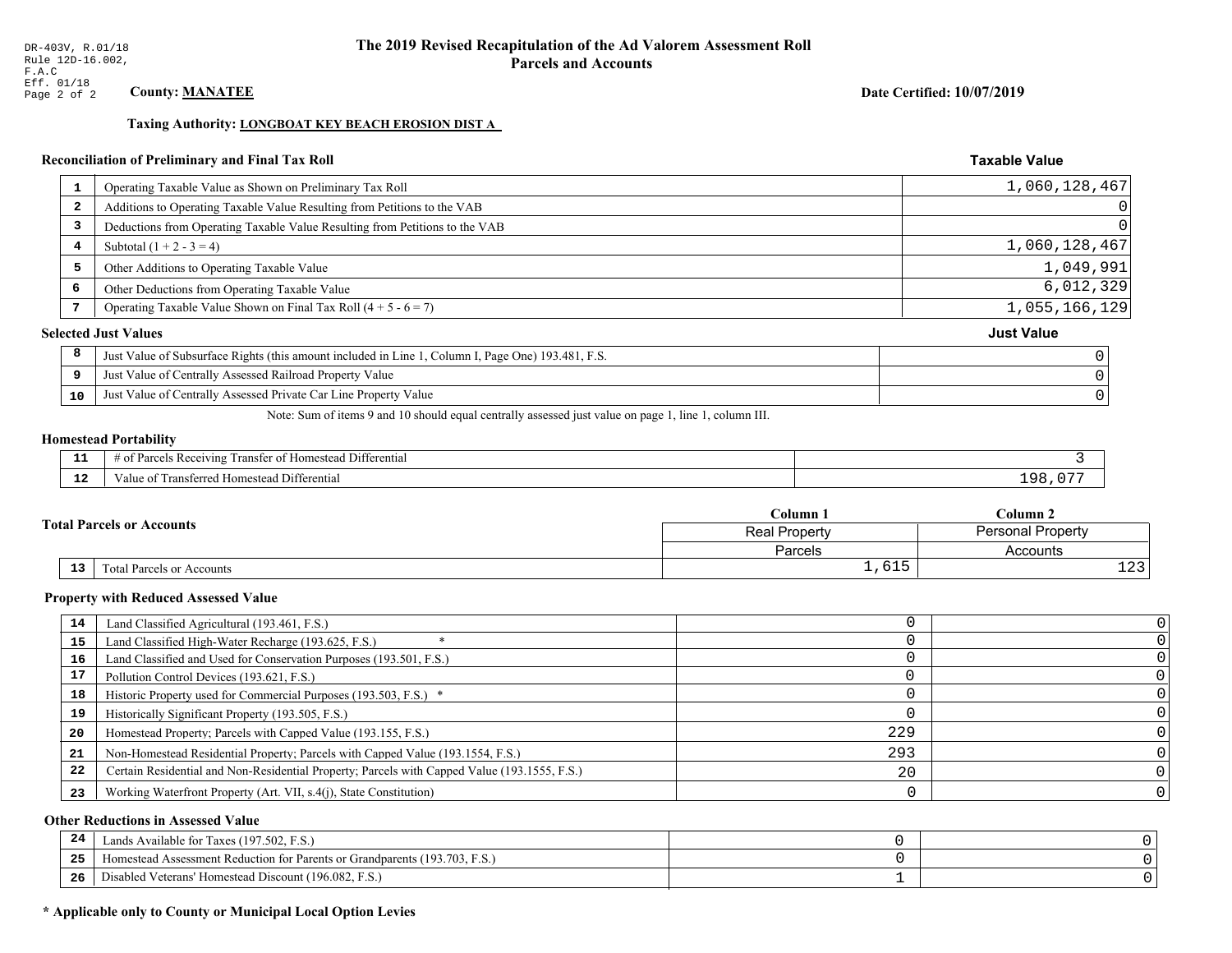### Date Certified: 10/07/2019

**Taxable Value** 

### Taxing Authority: LONGBOAT KEY BEACH EROSION DIST A

### Reconciliation of Preliminary and Final Tax Roll

| -1                      | Operating Taxable Value as Shown on Preliminary Tax Roll                                           | 1,060,128,467     |
|-------------------------|----------------------------------------------------------------------------------------------------|-------------------|
| $\overline{\mathbf{2}}$ | Additions to Operating Taxable Value Resulting from Petitions to the VAB                           | 0                 |
| 3                       | Deductions from Operating Taxable Value Resulting from Petitions to the VAB                        | 0                 |
| 4                       | Subtotal $(1 + 2 - 3 = 4)$                                                                         | 1,060,128,467     |
| 5                       | Other Additions to Operating Taxable Value                                                         | 1,049,991         |
| 6                       | Other Deductions from Operating Taxable Value                                                      | 6,012,329         |
|                         | Operating Taxable Value Shown on Final Tax Roll $(4 + 5 - 6 = 7)$                                  | 1,055,166,129     |
|                         | <b>Selected Just Values</b>                                                                        | <b>Just Value</b> |
| 8                       | Just Value of Subsurface Rights (this amount included in Line 1, Column I, Page One) 193.481, F.S. |                   |
| 9                       | Just Value of Centrally Assessed Railroad Property Value                                           |                   |
| 10                      | Just Value of Centrally Assessed Private Car Line Property Value                                   |                   |

Note: Sum of items 9 and 10 should equal centrally assessed just value on page 1, line 1, column III.

# **Homestead Portability**

| . . | $\sim$ $\sim$<br>. Differential<br>ranster<br>s Receiving.<br>$-+$<br>omestea.<br>'arcels<br>' 01<br>.<br>. . |          |
|-----|---------------------------------------------------------------------------------------------------------------|----------|
| .   | l ransferred Homestead Differential<br>alue                                                                   | $\Omega$ |

|                                  | $C$ olumn $\Box$<br>$C$ olumn 2<br><b>Personal Property</b><br><b>Real Property</b> |                     |
|----------------------------------|-------------------------------------------------------------------------------------|---------------------|
| <b>Total Parcels or Accounts</b> |                                                                                     |                     |
|                                  | Parcels                                                                             | Accounts            |
| 13<br>Total Parcels or Accounts  | $-1$<br>T,0TP                                                                       | $\sim$<br><b>+4</b> |

#### **Property with Reduced Assessed Value**

| 14 | Land Classified Agricultural (193.461, F.S.)                                                 |     |  |
|----|----------------------------------------------------------------------------------------------|-----|--|
| 15 | Land Classified High-Water Recharge (193.625, F.S.)                                          |     |  |
| 16 | Land Classified and Used for Conservation Purposes (193.501, F.S.)                           |     |  |
| 17 | Pollution Control Devices (193.621, F.S.)                                                    |     |  |
| 18 | Historic Property used for Commercial Purposes (193.503, F.S.) *                             |     |  |
| 19 | Historically Significant Property (193.505, F.S.)                                            |     |  |
| 20 | Homestead Property; Parcels with Capped Value (193.155, F.S.)                                | 229 |  |
| 21 | Non-Homestead Residential Property; Parcels with Capped Value (193.1554, F.S.)               | 293 |  |
| 22 | Certain Residential and Non-Residential Property; Parcels with Capped Value (193.1555, F.S.) | 20  |  |
| 23 | Working Waterfront Property (Art. VII, s.4(j), State Constitution)                           |     |  |

### **Other Reductions in Assessed Value**

| 24    | Lands Available for Taxes (197.502, F.S.)                                  |  |
|-------|----------------------------------------------------------------------------|--|
| - - - | Iomestead Assessment Reduction for Parents or Grandparents (193.703, F.S.) |  |
| -26   | Disabled Veterans' Homestead Discount (196.082, F.S.)                      |  |

### \* Applicable only to County or Municipal Local Option Levies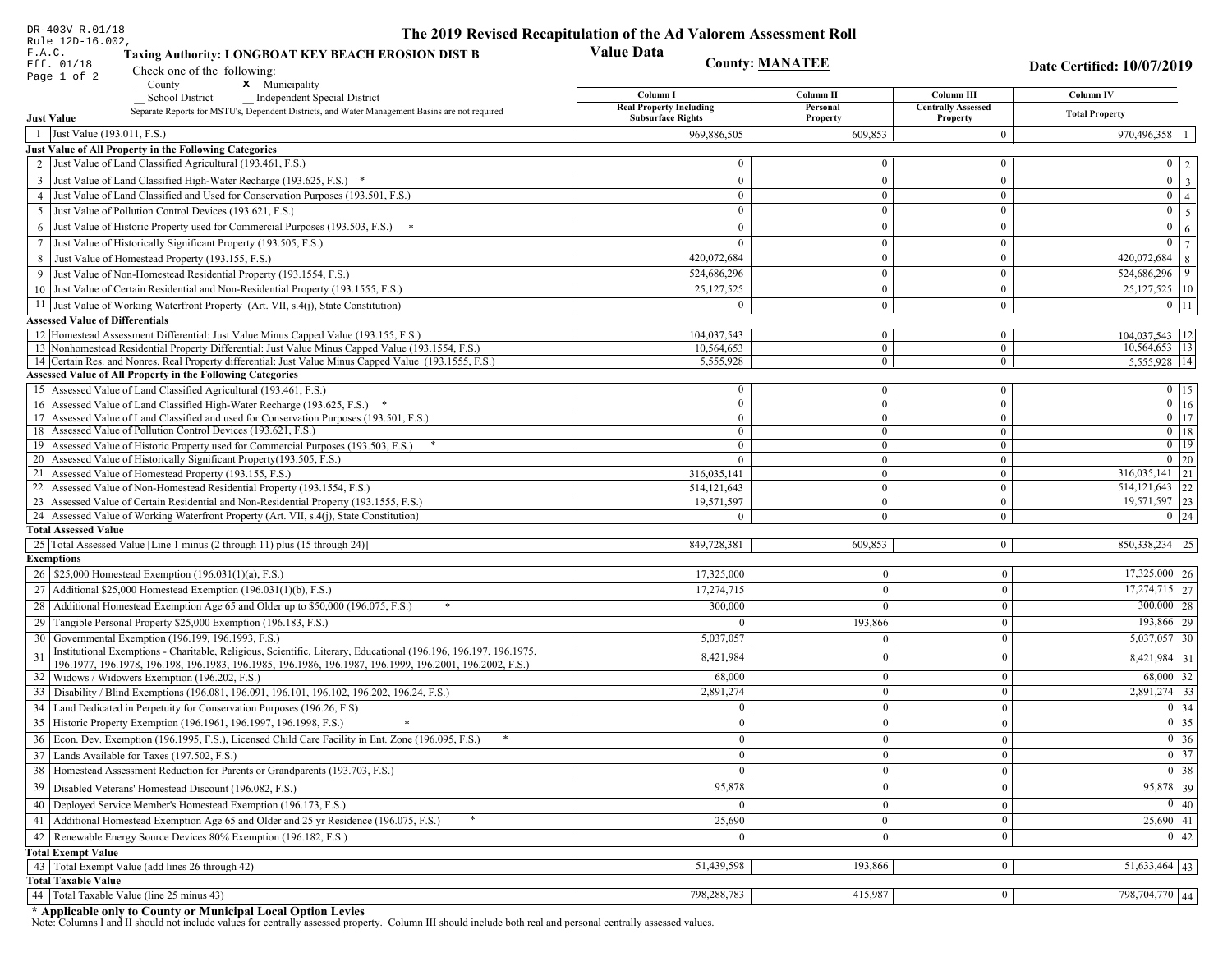| DR-403V R.01/18                                                                                                                                                                                             | The 2019 Revised Recapitulation of the Ad Valorem Assessment Roll |                       |                                         |                                  |
|-------------------------------------------------------------------------------------------------------------------------------------------------------------------------------------------------------------|-------------------------------------------------------------------|-----------------------|-----------------------------------------|----------------------------------|
| Rule 12D-16.002,<br>F.A.C.<br>Taxing Authority: LONGBOAT KEY BEACH EROSION DIST B<br>Eff. 01/18<br>Check one of the following:                                                                              | <b>Value Data</b><br><b>County: MANATEE</b><br>Page 1 of 2        |                       |                                         | Date Certified: 10/07/2019       |
| <b>x</b> Municipality<br>County                                                                                                                                                                             |                                                                   |                       |                                         |                                  |
| <b>School District</b><br><b>Independent Special District</b>                                                                                                                                               | Column I<br><b>Real Property Including</b>                        | Column II<br>Personal | Column III<br><b>Centrally Assessed</b> | <b>Column IV</b>                 |
| Separate Reports for MSTU's, Dependent Districts, and Water Management Basins are not required<br><b>Just Value</b>                                                                                         | <b>Subsurface Rights</b>                                          | Property              | Property                                | <b>Total Property</b>            |
| 1 Just Value (193.011, F.S.)                                                                                                                                                                                | 969,886,505                                                       | 609,853               | $\bf{0}$                                | $970,496,358$   1                |
| Just Value of All Property in the Following Categories                                                                                                                                                      |                                                                   |                       |                                         |                                  |
| 2 Just Value of Land Classified Agricultural (193.461, F.S.)                                                                                                                                                | $\Omega$                                                          | $\mathbf{0}$          | $\bf{0}$                                | $0 \mid 2 \mid$                  |
| 3 Just Value of Land Classified High-Water Recharge (193.625, F.S.) *                                                                                                                                       | $\theta$                                                          | $\overline{0}$        | $\bf{0}$                                | $\boxed{0}$ $\boxed{3}$          |
| 4 Just Value of Land Classified and Used for Conservation Purposes (193.501, F.S.)                                                                                                                          | $\overline{0}$                                                    | $\overline{0}$        | $\mathbf{0}$                            | $0 \mid 4 \mid$                  |
| 5 Just Value of Pollution Control Devices (193.621, F.S.)                                                                                                                                                   | $\overline{0}$                                                    | $\mathbf{0}$          | $\bf{0}$                                | $0 \overline{5}$                 |
| 6 Just Value of Historic Property used for Commercial Purposes (193.503, F.S.) *                                                                                                                            | $\theta$                                                          | $\theta$              | $\mathbf{0}$                            | $\overline{0}$<br>6 <sup>1</sup> |
| 7 Just Value of Historically Significant Property (193.505, F.S.)                                                                                                                                           | $\mathbf{0}$                                                      | $\overline{0}$        | $\bf{0}$                                | $\boxed{0}$ $\boxed{7}$          |
| 8 Just Value of Homestead Property (193.155, F.S.)                                                                                                                                                          | 420,072,684                                                       | $\overline{0}$        | $\overline{0}$                          | 420,072,684<br>$\,$ 8 $\,$       |
| 9 Just Value of Non-Homestead Residential Property (193.1554, F.S.)                                                                                                                                         | 524,686,296                                                       | $\Omega$              | $\mathbf{0}$                            | 524,686,296 9                    |
| 10 Just Value of Certain Residential and Non-Residential Property (193.1555, F.S.)                                                                                                                          | 25, 127, 525                                                      | $\bf{0}$              | $\bf{0}$                                | $25,127,525$   10                |
| 11 Just Value of Working Waterfront Property (Art. VII, s.4(j), State Constitution)                                                                                                                         | $\theta$                                                          | $\bf{0}$              | $\mathbf{0}$                            | $0$   11                         |
| <b>Assessed Value of Differentials</b>                                                                                                                                                                      |                                                                   |                       |                                         |                                  |
| 12 Homestead Assessment Differential: Just Value Minus Capped Value (193.155, F.S.)                                                                                                                         | 104,037,543                                                       | $\bf{0}$              | $\overline{0}$                          | 104,037,543   12                 |
| 13 Nonhomestead Residential Property Differential: Just Value Minus Capped Value (193.1554, F.S.)<br>14 Certain Res. and Nonres. Real Property differential: Just Value Minus Capped Value (193.1555, F.S.) | 10,564,653<br>5.555.928                                           | $\overline{0}$        | $\overline{0}$                          | $10,564,653$ 13                  |
| <b>Assessed Value of All Property in the Following Categories</b>                                                                                                                                           |                                                                   | $\mathbf{0}$          | $\overline{0}$                          | 5,555,928 14                     |
| 15 Assessed Value of Land Classified Agricultural (193.461, F.S.)                                                                                                                                           | $\mathbf{0}$                                                      | $\overline{0}$        | $\bf{0}$                                | $0$ 15                           |
| 16 Assessed Value of Land Classified High-Water Recharge (193.625, F.S.) *                                                                                                                                  | $\Omega$                                                          | $\overline{0}$        | $\mathbf{0}$                            | $0$ 16                           |
| 17 Assessed Value of Land Classified and used for Conservation Purposes (193.501, F.S.)                                                                                                                     | $\overline{0}$                                                    | $\mathbf{0}$          | $\overline{0}$                          | $0$ 17                           |
| 18 Assessed Value of Pollution Control Devices (193.621, F.S.)                                                                                                                                              | $\overline{0}$                                                    | $\mathbf{0}$          | $\mathbf{0}$                            | $0$ 18                           |
| 19 Assessed Value of Historic Property used for Commercial Purposes (193.503, F.S.)                                                                                                                         | $\mathbf{0}$                                                      | $\mathbf{0}$          | $\overline{0}$                          | $0$   19                         |
| 20 Assessed Value of Historically Significant Property (193.505, F.S.)                                                                                                                                      | $\theta$                                                          | $\overline{0}$        | $\overline{0}$                          | $0 \mid 20$                      |
| 21 Assessed Value of Homestead Property (193.155, F.S.)                                                                                                                                                     | 316,035,141                                                       | $\mathbf{0}$          | $\bf{0}$                                | $\overline{316,035,141}$ 21      |
| 22 Assessed Value of Non-Homestead Residential Property (193.1554, F.S.)                                                                                                                                    | 514, 121, 643                                                     | $\mathbf{0}$          | $\bf{0}$                                | $514, 121, 643$ 22               |
| 23 Assessed Value of Certain Residential and Non-Residential Property (193.1555, F.S.)                                                                                                                      | 19,571,597                                                        | $\mathbf{0}$          | $\bf{0}$                                | 19,571,597 23                    |
| 24 Assessed Value of Working Waterfront Property (Art. VII, s.4(j), State Constitution<br><b>Total Assessed Value</b>                                                                                       |                                                                   | $\theta$              | $\bf{0}$                                | $0 \quad 24$                     |
| 25 Total Assessed Value [Line 1 minus (2 through 11) plus (15 through 24)]                                                                                                                                  | 849,728,381                                                       | 609,853               | $\mathbf{0}$                            | 850, 338, 234   25               |
| <b>Exemptions</b>                                                                                                                                                                                           |                                                                   |                       |                                         |                                  |
| 26   \$25,000 Homestead Exemption (196.031(1)(a), F.S.)                                                                                                                                                     | 17,325,000                                                        | $\mathbf{0}$          | $\boldsymbol{0}$                        | $17,325,000$ 26                  |
| 27   Additional \$25,000 Homestead Exemption $(196.031(1)(b), F.S.)$                                                                                                                                        | 17,274,715                                                        | $\overline{0}$        | $\mathbf{0}$                            | $17,274,715$ 27                  |
| 28 Additional Homestead Exemption Age 65 and Older up to \$50,000 (196.075, F.S.)                                                                                                                           | 300,000                                                           | $\Omega$              | $\boldsymbol{0}$                        | $300,000$ 28                     |
| 29 Tangible Personal Property \$25,000 Exemption (196.183, F.S.)                                                                                                                                            |                                                                   | 193,866               | $\mathbf{0}$                            | 193,866 29                       |
| 30 Governmental Exemption (196.199, 196.1993, F.S.)                                                                                                                                                         | 5,037,057                                                         | $\theta$              | $\mathbf{0}$                            | $5,037,057$ 30                   |
| Institutional Exemptions - Charitable, Religious, Scientific, Literary, Educational (196.196, 196.197, 196.1975,<br>31                                                                                      |                                                                   | $\theta$              | $\mathbf{0}$                            |                                  |
| 196.1977, 196.1978, 196.198, 196.1983, 196.1985, 196.1986, 196.1987, 196.1999, 196.2001, 196.2002, F.S.)                                                                                                    | 8,421,984                                                         |                       |                                         | $8,421,984$ 31                   |
| 32   Widows / Widowers Exemption (196.202, F.S.)                                                                                                                                                            | 68,000                                                            | $\mathbf{0}$          | $\mathbf{0}$                            | 68,000 32                        |
| 33<br>Disability / Blind Exemptions (196.081, 196.091, 196.101, 196.102, 196.202, 196.24, F.S.)                                                                                                             | 2,891,274                                                         | $\overline{0}$        | $\mathbf{0}$                            | $2,891,274$ 33                   |
| Land Dedicated in Perpetuity for Conservation Purposes (196.26, F.S)                                                                                                                                        | $\Omega$                                                          | $\Omega$              | $\Omega$                                | $0 \mid 34$                      |
| 35 Historic Property Exemption (196.1961, 196.1997, 196.1998, F.S.)                                                                                                                                         | 0                                                                 | $\mathbf{U}$          | $\mathbf{0}$                            | $\boxed{0}$ 35                   |
| 36 Econ. Dev. Exemption (196.1995, F.S.), Licensed Child Care Facility in Ent. Zone (196.095, F.S.)                                                                                                         | $\mathbf{0}$                                                      | $\mathbf{0}$          | $\Omega$                                | $\boxed{0}$ 36                   |
| 37 Lands Available for Taxes (197.502, F.S.)                                                                                                                                                                | $\mathbf{0}$                                                      | $\mathbf{0}$          | $\Omega$                                | $0 \mid 37$                      |
| 38   Homestead Assessment Reduction for Parents or Grandparents (193.703, F.S.)                                                                                                                             | $\bf{0}$                                                          | $\mathbf{0}$          | $\boldsymbol{0}$                        | $\boxed{0}$ 38                   |
| 39<br>Disabled Veterans' Homestead Discount (196.082, F.S.)                                                                                                                                                 | 95,878                                                            | $\theta$              | $\mathbf{0}$                            | 95,878 39                        |
| Deployed Service Member's Homestead Exemption (196.173, F.S.)<br>40                                                                                                                                         |                                                                   | $\Omega$              | $\mathbf{0}$                            | 0 40                             |
| 41   Additional Homestead Exemption Age 65 and Older and 25 yr Residence (196.075, F.S.)                                                                                                                    | 25,690                                                            | $\overline{0}$        | $\mathbf{0}$                            | $25,690$ 41                      |
| 42 Renewable Energy Source Devices 80% Exemption (196.182, F.S.)                                                                                                                                            | $\mathbf{0}$                                                      | $\mathbf{0}$          | $\mathbf{0}$                            | 0 42                             |
| <b>Total Exempt Value</b>                                                                                                                                                                                   |                                                                   |                       |                                         |                                  |
| 43 Total Exempt Value (add lines 26 through 42)                                                                                                                                                             | 51,439,598                                                        | 193,866               | $\mathbf{0}$                            | $51,633,464$   43                |
| <b>Total Taxable Value</b>                                                                                                                                                                                  |                                                                   |                       |                                         |                                  |
| 44   Total Taxable Value (line 25 minus 43)                                                                                                                                                                 | 798,288,783                                                       | 415,987               | $\bf{0}$                                | 798,704,770 44                   |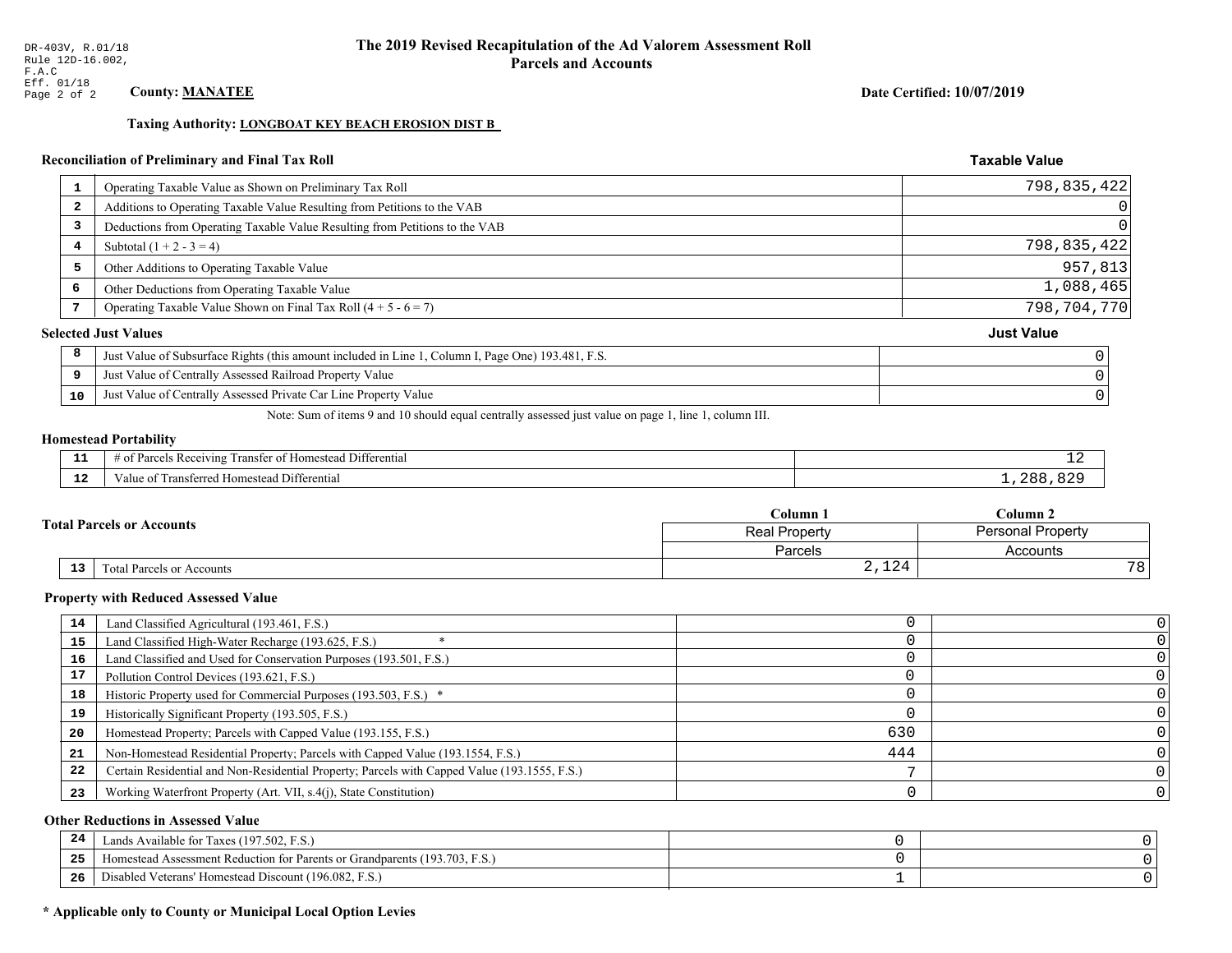#### Date Certified: 10/07/2019

**Taxable Value** 

### Taxing Authority: LONGBOAT KEY BEACH EROSION DIST B

### Reconciliation of Preliminary and Final Tax Roll

| 1                       | Operating Taxable Value as Shown on Preliminary Tax Roll                                           | 798,835,422       |
|-------------------------|----------------------------------------------------------------------------------------------------|-------------------|
| $\overline{\mathbf{2}}$ | Additions to Operating Taxable Value Resulting from Petitions to the VAB                           |                   |
| 3                       | Deductions from Operating Taxable Value Resulting from Petitions to the VAB                        |                   |
| 4                       | Subtotal $(1 + 2 - 3 = 4)$                                                                         | 798,835,422       |
| 5                       | Other Additions to Operating Taxable Value                                                         | 957,813           |
| 6                       | Other Deductions from Operating Taxable Value                                                      | 1,088,465         |
|                         | Operating Taxable Value Shown on Final Tax Roll $(4 + 5 - 6 = 7)$                                  | 798,704,770       |
|                         | <b>Selected Just Values</b>                                                                        | <b>Just Value</b> |
| 8                       | Just Value of Subsurface Rights (this amount included in Line 1, Column I, Page One) 193.481, F.S. |                   |
| 9                       | Just Value of Centrally Assessed Railroad Property Value                                           |                   |
| 10                      | Just Value of Centrally Assessed Private Car Line Property Value                                   |                   |
|                         |                                                                                                    |                   |

Note: Sum of items 9 and 10 should equal centrally assessed just value on page 1, line 1, column III.

#### **Homestead Portability**

ł,

| - 3   | $\sim$ $\sim$<br>l Differential<br>els Receiving<br>ranster of<br>f Homestead<br>arce <sup>r</sup><br>ിവ<br>. . | --  |
|-------|-----------------------------------------------------------------------------------------------------------------|-----|
| - - - | Fransferred Homestead Differential                                                                              | ገጸአ |
| -44   | alue                                                                                                            | OZ. |

|                 |                                  | Column 1                                  | $C$ olumn 2 |                 |
|-----------------|----------------------------------|-------------------------------------------|-------------|-----------------|
|                 | <b>Fotal Parcels or Accounts</b> | <b>Personal Property</b><br>Real Property |             |                 |
|                 |                                  | Parcels                                   | Accounts    |                 |
| 13 <sub>1</sub> | Total Parcels or Accounts        | 2,124                                     |             | 78 <sub>1</sub> |

#### **Property with Reduced Assessed Value**

| 14 | Land Classified Agricultural (193.461, F.S.)                                                 |     |  |
|----|----------------------------------------------------------------------------------------------|-----|--|
| 15 | Land Classified High-Water Recharge (193.625, F.S.)                                          |     |  |
| 16 | Land Classified and Used for Conservation Purposes (193.501, F.S.)                           |     |  |
| 17 | Pollution Control Devices (193.621, F.S.)                                                    |     |  |
| 18 | Historic Property used for Commercial Purposes (193.503, F.S.) *                             |     |  |
| 19 | Historically Significant Property (193.505, F.S.)                                            |     |  |
| 20 | Homestead Property; Parcels with Capped Value (193.155, F.S.)                                | 630 |  |
| 21 | Non-Homestead Residential Property; Parcels with Capped Value (193.1554, F.S.)               | 444 |  |
| 22 | Certain Residential and Non-Residential Property; Parcels with Capped Value (193.1555, F.S.) |     |  |
| 23 | Working Waterfront Property (Art. VII, s.4(j), State Constitution)                           |     |  |

### **Other Reductions in Assessed Value**

| 24    | Lands Available for Taxes (197.502, F.S.)                                  |  |
|-------|----------------------------------------------------------------------------|--|
| - - - | Iomestead Assessment Reduction for Parents or Grandparents (193.703, F.S.) |  |
| -26   | Disabled Veterans' Homestead Discount (196.082, F.S.)                      |  |

### \* Applicable only to County or Municipal Local Option Levies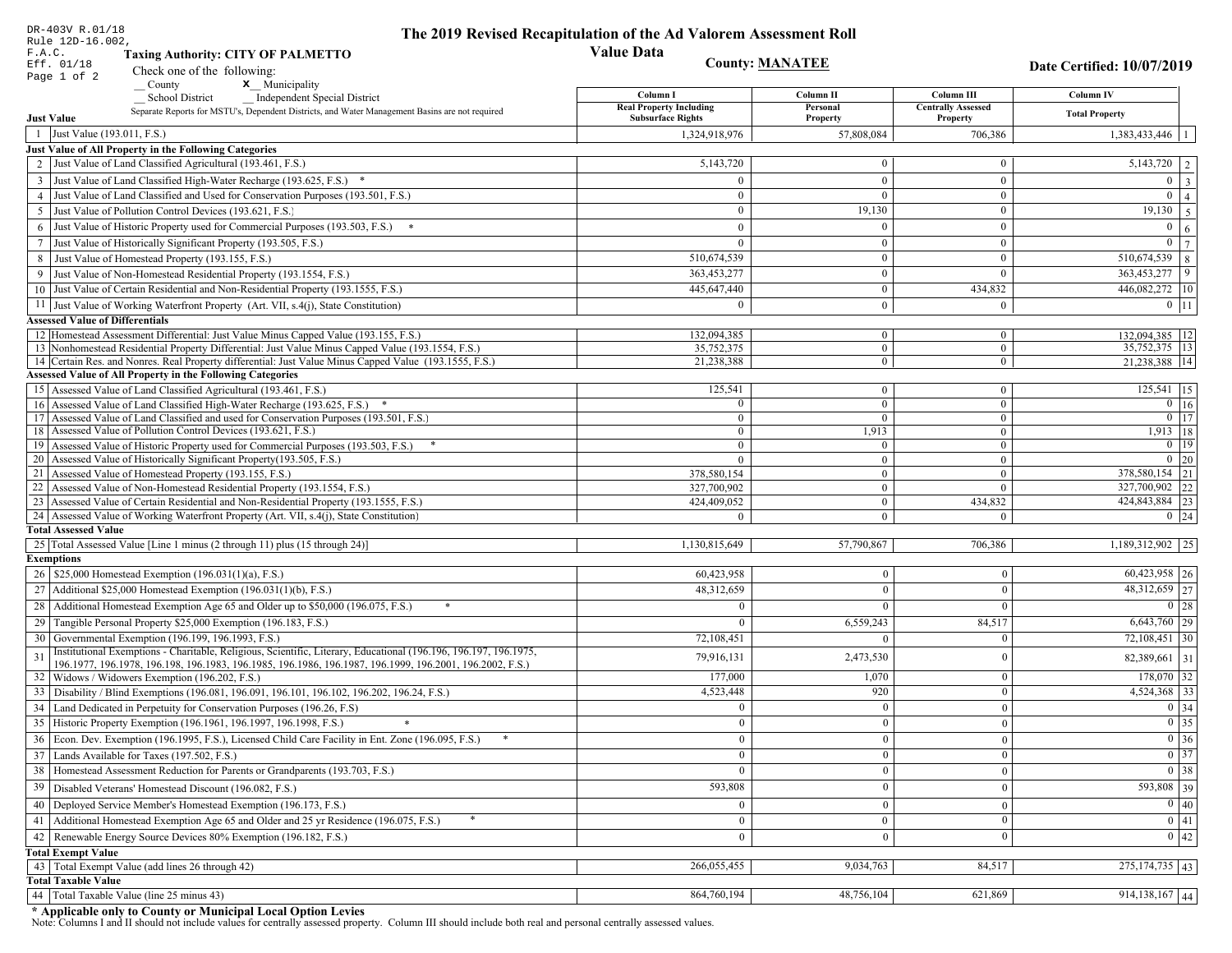| DR-403V R.01/18<br>Rule 12D-16.002,                                                                                                                                               | The 2019 Revised Recapitulation of the Ad Valorem Assessment Roll |                            |                                       |                                                                                                   |
|-----------------------------------------------------------------------------------------------------------------------------------------------------------------------------------|-------------------------------------------------------------------|----------------------------|---------------------------------------|---------------------------------------------------------------------------------------------------|
| F.A.C.<br><b>Taxing Authority: CITY OF PALMETTO</b>                                                                                                                               | <b>Value Data</b>                                                 |                            |                                       |                                                                                                   |
| Eff. 01/18<br>Check one of the following:                                                                                                                                         | <b>County: MANATEE</b>                                            |                            |                                       | Date Certified: 10/07/2019                                                                        |
| Page 1 of 2<br>x Municipality<br>County                                                                                                                                           |                                                                   |                            |                                       |                                                                                                   |
| <b>School District</b><br><b>Independent Special District</b>                                                                                                                     | Column I                                                          | Column <sub>II</sub>       | Column III                            | Column IV                                                                                         |
| Separate Reports for MSTU's, Dependent Districts, and Water Management Basins are not required<br><b>Just Value</b>                                                               | <b>Real Property Including</b><br><b>Subsurface Rights</b>        | Personal<br>Property       | <b>Centrally Assessed</b><br>Property | <b>Total Property</b>                                                                             |
| 1 Just Value (193.011, F.S.)                                                                                                                                                      | 1,324,918,976                                                     | 57.808.084                 | 706,386                               | 1,383,433,446                                                                                     |
| Just Value of All Property in the Following Categories                                                                                                                            |                                                                   |                            |                                       |                                                                                                   |
| 2 Just Value of Land Classified Agricultural (193.461, F.S.)                                                                                                                      | 5,143,720                                                         | $\overline{0}$             | $\bf{0}$                              | 5,143,720<br>2                                                                                    |
| 3 Just Value of Land Classified High-Water Recharge (193.625, F.S.) *                                                                                                             | $\theta$                                                          | $\theta$                   | $\mathbf{0}$                          | $\overline{0}$<br>$\overline{\mathbf{3}}$                                                         |
| 4 Just Value of Land Classified and Used for Conservation Purposes (193.501, F.S.)                                                                                                | $\Omega$                                                          | $\Omega$                   | $\bf{0}$                              | $\overline{0}$<br>$\overline{4}$                                                                  |
| 5 Just Value of Pollution Control Devices (193.621, F.S.)                                                                                                                         | $\overline{0}$                                                    | 19,130                     | $\bf{0}$                              | 19,130<br>5                                                                                       |
| Just Value of Historic Property used for Commercial Purposes (193.503, F.S.)<br>6                                                                                                 | $\theta$                                                          | $\Omega$                   | $\bf{0}$                              | $\overline{0}$<br>6                                                                               |
| Just Value of Historically Significant Property (193.505, F.S.)<br>7                                                                                                              | $\overline{0}$                                                    | $\overline{0}$             | $\bf{0}$                              | $\mathbf{0}$<br>$\overline{7}$                                                                    |
| 8 Just Value of Homestead Property (193.155, F.S.)                                                                                                                                | 510,674,539                                                       | $\bf{0}$                   | $\bf{0}$                              | 510,674,539<br>8                                                                                  |
| Just Value of Non-Homestead Residential Property (193.1554, F.S.)                                                                                                                 | 363,453,277                                                       | $\overline{0}$             | $\theta$                              | 363,453,277<br>9                                                                                  |
| 10 Just Value of Certain Residential and Non-Residential Property (193.1555, F.S.)                                                                                                | 445,647,440                                                       | $\overline{0}$             | 434,832                               | 446,082,272 10                                                                                    |
| 11 Just Value of Working Waterfront Property (Art. VII, s.4(j), State Constitution)                                                                                               | $\Omega$                                                          | $\overline{0}$             | $\mathbf{0}$                          | $0$ 11                                                                                            |
| <b>Assessed Value of Differentials</b>                                                                                                                                            |                                                                   |                            |                                       |                                                                                                   |
| 12 Homestead Assessment Differential: Just Value Minus Capped Value (193.155, F.S.)                                                                                               | 132,094,385                                                       | $\overline{0}$             | $\bf{0}$                              | 132,094,385 12                                                                                    |
| 13 Nonhomestead Residential Property Differential: Just Value Minus Capped Value (193.1554, F.S.)                                                                                 | 35,752,375                                                        | $\overline{0}$             | $\overline{0}$                        | 35, 752, 375   13                                                                                 |
| 14 Certain Res. and Nonres. Real Property differential: Just Value Minus Capped Value (193.1555, F.S.)<br><b>Assessed Value of All Property in the Following Categories</b>       | 21,238,388                                                        | $\overline{0}$             | $\mathbf{0}$                          | 21.238.388 14                                                                                     |
| 15 Assessed Value of Land Classified Agricultural (193.461, F.S.)                                                                                                                 | 125,541                                                           | $\overline{0}$             | $\boldsymbol{0}$                      | $125,541$ 15                                                                                      |
| 16 Assessed Value of Land Classified High-Water Recharge (193.625, F.S.) *                                                                                                        | $\overline{0}$                                                    | $\overline{0}$             | $\overline{0}$                        | $0 \mid 16$                                                                                       |
| 17 Assessed Value of Land Classified and used for Conservation Purposes (193.501, F.S.)                                                                                           | $\overline{0}$                                                    | $\overline{0}$             | $\boldsymbol{0}$                      | $\boxed{0}$ $\boxed{17}$                                                                          |
| 18 Assessed Value of Pollution Control Devices (193.621, F.S.)                                                                                                                    | $\mathbf{0}$                                                      | 1,913                      | $\overline{0}$                        | 1,913   18                                                                                        |
| 19 Assessed Value of Historic Property used for Commercial Purposes (193.503, F.S.)                                                                                               | $\bf{0}$                                                          | $\bf{0}$                   | $\boldsymbol{0}$                      | $0$   19                                                                                          |
| 20 Assessed Value of Historically Significant Property (193.505, F.S.)                                                                                                            | $\theta$                                                          | $\mathbf{0}$               | $\mathbf{0}$                          | $0\quad20$                                                                                        |
| 21 Assessed Value of Homestead Property (193.155, F.S.)                                                                                                                           | 378,580,154                                                       | $\overline{0}$             | $\mathbf{0}$                          | 378,580,154 21                                                                                    |
| 22 Assessed Value of Non-Homestead Residential Property (193.1554, F.S.)                                                                                                          | 327,700,902                                                       | $\overline{0}$             | $\overline{0}$                        | 327,700,902 22                                                                                    |
| 23 Assessed Value of Certain Residential and Non-Residential Property (193.1555, F.S.)<br>24 Assessed Value of Working Waterfront Property (Art. VII, s.4(j), State Constitution) | 424,409,052<br>$\Omega$                                           | $\overline{0}$<br>$\theta$ | 434,832<br>$\Omega$                   | 424,843,884 23<br>$0 \quad 24$                                                                    |
| <b>Total Assessed Value</b>                                                                                                                                                       |                                                                   |                            |                                       |                                                                                                   |
| 25 Total Assessed Value [Line 1 minus (2 through 11) plus (15 through 24)]                                                                                                        | 1,130,815,649                                                     | 57,790,867                 | 706,386                               | 1,189,312,902 25                                                                                  |
| <b>Exemptions</b>                                                                                                                                                                 |                                                                   |                            |                                       |                                                                                                   |
| 26   \$25,000 Homestead Exemption (196.031(1)(a), F.S.)                                                                                                                           | 60,423,958                                                        | $\bf{0}$                   | $\mathbf{0}$                          | $60,423,958$ 26                                                                                   |
| 27   Additional \$25,000 Homestead Exemption $(196.031(1)(b), F.S.)$                                                                                                              | 48,312,659                                                        | $\Omega$                   | $\theta$                              | 48,312,659 27                                                                                     |
| 28 Additional Homestead Exemption Age 65 and Older up to \$50,000 (196.075, F.S.)                                                                                                 | $\Omega$                                                          | $\Omega$                   | $\Omega$                              | 0 28                                                                                              |
| 29 Tangible Personal Property \$25,000 Exemption (196.183, F.S.)                                                                                                                  | $^{\circ}$                                                        | 6,559,243                  | 84,517                                | $6,643,760$ 29                                                                                    |
| 30 Governmental Exemption (196.199, 196.1993, F.S.)                                                                                                                               | 72,108,451                                                        | $\Omega$                   |                                       | $72,108,451$ 30                                                                                   |
| Institutional Exemptions - Charitable, Religious, Scientific, Literary, Educational (196.196, 196.197, 196.1975,<br>31                                                            | 79,916,131                                                        | 2,473,530                  | 0                                     | 82,389,661 31                                                                                     |
| 196.1977, 196.1978, 196.198, 196.1983, 196.1985, 196.1986, 196.1987, 196.1999, 196.2001, 196.2002, F.S.)                                                                          |                                                                   |                            |                                       |                                                                                                   |
| 32   Widows / Widowers Exemption (196.202, F.S.)                                                                                                                                  | 177,000                                                           | 1,070                      | $\overline{0}$                        | $178,070$ 32<br>4,524,368 33                                                                      |
| 33 Disability / Blind Exemptions (196.081, 196.091, 196.101, 196.102, 196.202, 196.24, F.S.)                                                                                      | 4,523,448                                                         | 920                        | $\Omega$                              |                                                                                                   |
| 34 Land Dedicated in Perpetuity for Conservation Purposes (196.26, F.S)                                                                                                           | $\Omega$                                                          | $\Omega$                   | $\theta$                              | $\boxed{0}$ 34                                                                                    |
| 35 Historic Property Exemption (196.1961, 196.1997, 196.1998, F.S.)                                                                                                               | $\cup$                                                            | $\mathbf{0}$               | $\mathbf{0}$                          | $\begin{array}{ c c }\n\hline\n0 & 35 \\ \hline\n0 & 36 \\ \hline\n0 & 37 \\ \hline\n\end{array}$ |
| 36 Econ. Dev. Exemption (196.1995, F.S.), Licensed Child Care Facility in Ent. Zone (196.095, F.S.)                                                                               | $\overline{0}$                                                    | $\Omega$                   | $\theta$                              |                                                                                                   |
| 37 Lands Available for Taxes (197.502, F.S.)                                                                                                                                      | $\overline{0}$                                                    | $\theta$                   | $\theta$                              |                                                                                                   |
| 38   Homestead Assessment Reduction for Parents or Grandparents (193.703, F.S.)                                                                                                   | $\mathbf{0}$                                                      | $\bf{0}$                   | $\mathbf{0}$                          | $\boxed{0}$ 38                                                                                    |
| Disabled Veterans' Homestead Discount (196.082, F.S.)<br>39                                                                                                                       | 593,808                                                           |                            | $\boldsymbol{0}$                      | 593,808 39                                                                                        |
| 40 Deployed Service Member's Homestead Exemption (196.173, F.S.)                                                                                                                  | $\mathbf{0}$                                                      | $\Omega$                   | $\theta$                              | $\overline{0}$ 40                                                                                 |
| 41 Additional Homestead Exemption Age 65 and Older and 25 yr Residence (196.075, F.S.)                                                                                            | $\overline{0}$                                                    | $\boldsymbol{0}$           | $\mathbf{0}$                          | $\overline{0}$ 41                                                                                 |
| Renewable Energy Source Devices 80% Exemption (196.182, F.S.)<br>42                                                                                                               | $\overline{0}$                                                    | $\bf{0}$                   | $\boldsymbol{0}$                      | $\overline{0}$ 42                                                                                 |
| <b>Total Exempt Value</b>                                                                                                                                                         |                                                                   |                            |                                       |                                                                                                   |
| 43 Total Exempt Value (add lines 26 through 42)<br><b>Total Taxable Value</b>                                                                                                     | 266,055,455                                                       | 9,034,763                  | 84,517                                | $275,174,735$ 43                                                                                  |
| Total Taxable Value (line 25 minus 43)<br>44                                                                                                                                      | 864,760,194                                                       | 48,756,104                 | 621,869                               | $914,138,167$ 44                                                                                  |
|                                                                                                                                                                                   |                                                                   |                            |                                       |                                                                                                   |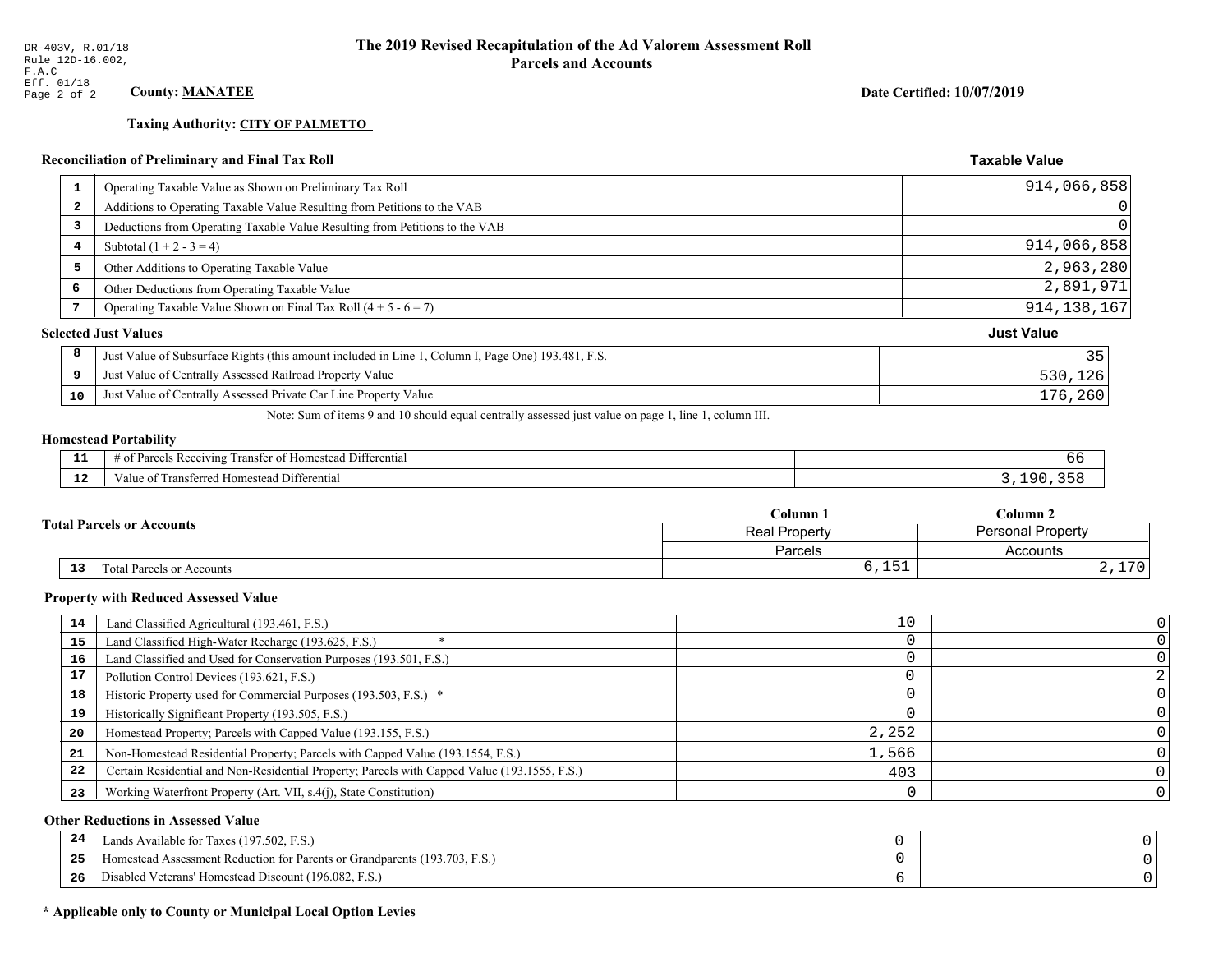# **Taxing Authority: CITY OF PALMETTO**

# **Reconciliation of Preliminary and Final Tax Roll**

| $\mathbf{1}$   | Operating Taxable Value as Shown on Preliminary Tax Roll                                           | 914,066,858       |
|----------------|----------------------------------------------------------------------------------------------------|-------------------|
| $\overline{2}$ | Additions to Operating Taxable Value Resulting from Petitions to the VAB                           | 0                 |
| 3              | Deductions from Operating Taxable Value Resulting from Petitions to the VAB                        | 0                 |
| 4              | Subtotal $(1 + 2 - 3 = 4)$                                                                         | 914,066,858       |
| 5              | Other Additions to Operating Taxable Value                                                         | 2,963,280         |
| 6              | Other Deductions from Operating Taxable Value                                                      | 2,891,971         |
|                | Operating Taxable Value Shown on Final Tax Roll $(4 + 5 - 6 = 7)$                                  | 914, 138, 167     |
|                | <b>Selected Just Values</b>                                                                        | <b>Just Value</b> |
| 8              | Just Value of Subsurface Rights (this amount included in Line 1, Column I, Page One) 193.481, F.S. | 35                |
| 9              | Just Value of Centrally Assessed Railroad Property Value                                           | 530,126           |
| 10             | Just Value of Centrally Assessed Private Car Line Property Value                                   | 176,260           |

Note: Sum of items 9 and 10 should equal centrally assessed just value on page 1, line 1, column III.

# **Homestead Portability**

| - -<br>.     | $\sim$<br>Differential<br>-Rec<br>enving<br>ranster<br>$\Delta$<br>,,,,,, |  |
|--------------|---------------------------------------------------------------------------|--|
| $\sim$<br>-- | Differential<br>` Homestead L<br>ransterred.<br>. anne i                  |  |

|  |    | Column 1                         | Column 2                                         |                   |
|--|----|----------------------------------|--------------------------------------------------|-------------------|
|  |    | <b>Total Parcels or Accounts</b> | <b>Personal Property</b><br><b>Real Property</b> |                   |
|  |    |                                  | Parcels                                          | Accounts          |
|  | 13 | <b>Fotal Parcels or Accounts</b> | ◡ , ⊥◡⊥                                          | 170<br>4, 1, 1, 0 |

#### **Property with Reduced Assessed Value**

| 14 |                                                                                              | 10    |  |
|----|----------------------------------------------------------------------------------------------|-------|--|
|    | Land Classified Agricultural (193.461, F.S.)                                                 |       |  |
| 15 | Land Classified High-Water Recharge (193.625, F.S.)                                          |       |  |
| 16 | Land Classified and Used for Conservation Purposes (193.501, F.S.)                           |       |  |
| 17 | Pollution Control Devices (193.621, F.S.)                                                    |       |  |
| 18 | Historic Property used for Commercial Purposes (193.503, F.S.) *                             |       |  |
| 19 | Historically Significant Property (193.505, F.S.)                                            |       |  |
| 20 | Homestead Property; Parcels with Capped Value (193.155, F.S.)                                | 2,252 |  |
| 21 | Non-Homestead Residential Property; Parcels with Capped Value (193.1554, F.S.)               | 1,566 |  |
| 22 | Certain Residential and Non-Residential Property; Parcels with Capped Value (193.1555, F.S.) | 403   |  |
| 23 | Working Waterfront Property (Art. VII, s.4(j), State Constitution)                           |       |  |

### **Other Reductions in Assessed Value**

| 24  | Lands Available for Taxes (197.502, F.S.)                                        |  |
|-----|----------------------------------------------------------------------------------|--|
| .   | (193.703, F.S.<br>Aomestead Assessment Reduction for Parents or Grandparents (1) |  |
| -26 | d Veterans' Homestead Discount (196.082, F.S.)<br>Disabled                       |  |

# \* Applicable only to County or Municipal Local Option Levies

Date Certified: 10/07/2019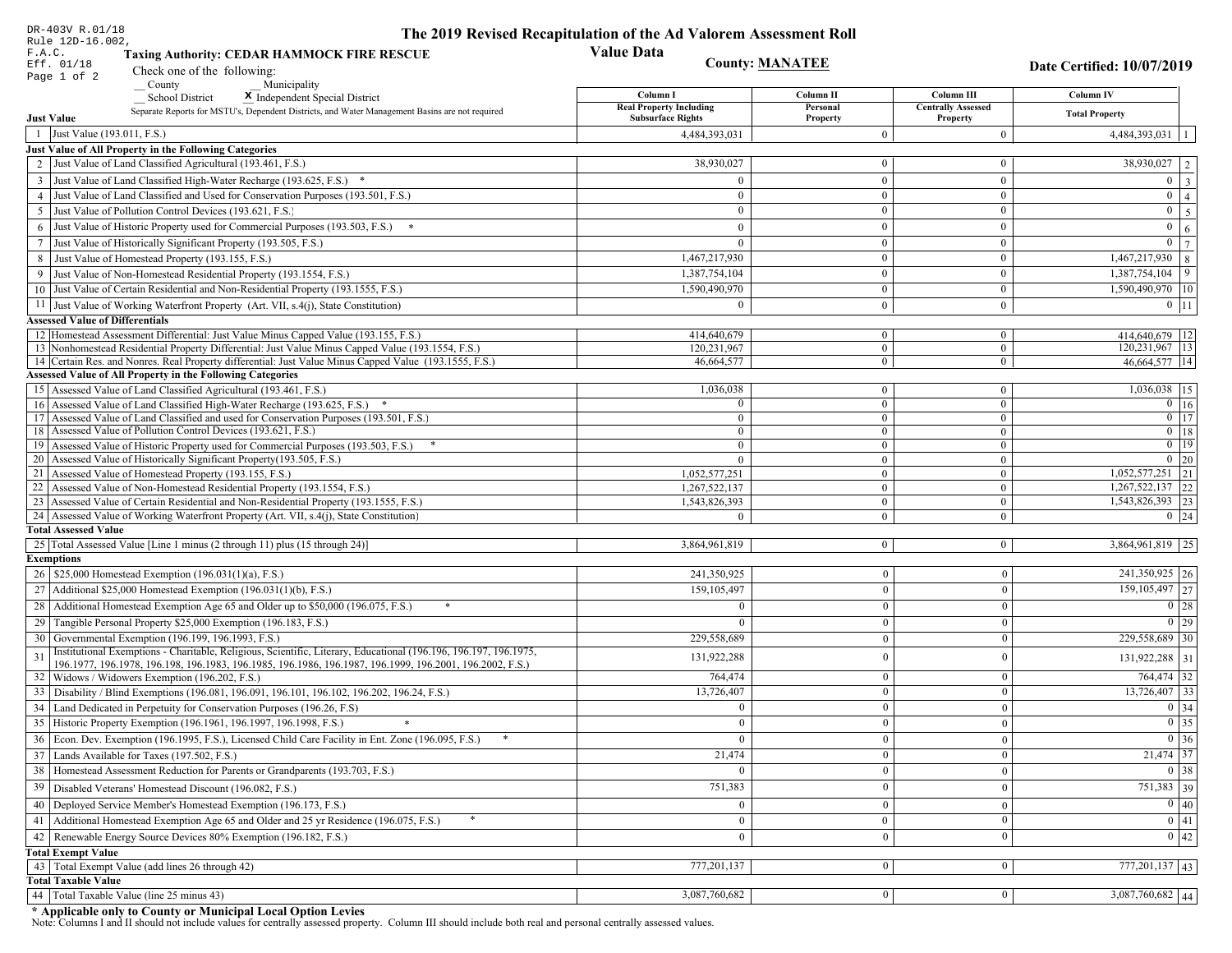| DR-403V R.01/18                                                                                                                                 | The 2019 Revised Recapitulation of the Ad Valorem Assessment Roll |                          |                                       |                                 |
|-------------------------------------------------------------------------------------------------------------------------------------------------|-------------------------------------------------------------------|--------------------------|---------------------------------------|---------------------------------|
| Rule 12D-16.002,<br>F.A.C.<br><b>Taxing Authority: CEDAR HAMMOCK FIRE RESCUE</b>                                                                | <b>Value Data</b>                                                 |                          |                                       |                                 |
| Eff. 01/18<br>Check one of the following:                                                                                                       | <b>County: MANATEE</b>                                            |                          |                                       | Date Certified: 10/07/2019      |
| Page 1 of 2<br>County<br>Municipality                                                                                                           |                                                                   |                          |                                       |                                 |
| <b>School District</b><br>X Independent Special District                                                                                        | Column I                                                          | Column II                | Column III                            | <b>Column IV</b>                |
| Separate Reports for MSTU's, Dependent Districts, and Water Management Basins are not required<br><b>Just Value</b>                             | <b>Real Property Including</b><br><b>Subsurface Rights</b>        | Personal<br>Property     | <b>Centrally Assessed</b><br>Property | <b>Total Property</b>           |
| 1 Just Value (193.011, F.S.)                                                                                                                    | 4,484,393,031                                                     | $\overline{0}$           | $\mathbf{0}$                          | 4,484,393,031   1               |
| Just Value of All Property in the Following Categories                                                                                          |                                                                   |                          |                                       |                                 |
| 2 Just Value of Land Classified Agricultural (193.461, F.S.)                                                                                    | 38,930,027                                                        | $\mathbf{0}$             | $\bf{0}$                              | $38,930,027$   2                |
| 3 Just Value of Land Classified High-Water Recharge (193.625, F.S.) *                                                                           | $\Omega$                                                          | $\mathbf{0}$             | $\bf{0}$                              | $0 \mid 3$                      |
| 4 Just Value of Land Classified and Used for Conservation Purposes (193.501, F.S.)                                                              | $\Omega$                                                          | $\overline{0}$           | $\bf{0}$                              | $\boxed{0}$ $\boxed{4}$         |
| 5 Just Value of Pollution Control Devices (193.621, F.S.)                                                                                       | $\bf{0}$                                                          | $\mathbf{0}$             | $\bf{0}$                              | $0 \quad 5$                     |
| 6 Just Value of Historic Property used for Commercial Purposes (193.503, F.S.) *                                                                | $\theta$                                                          | $\theta$                 | $\bf{0}$                              | $\mathbf{0}$<br>6 <sup>1</sup>  |
| 7 Just Value of Historically Significant Property (193.505, F.S.)                                                                               | $\overline{0}$                                                    | $\overline{0}$           | $\bf{0}$                              | $0 \mid 7 \mid$                 |
| 8 Just Value of Homestead Property (193.155, F.S.)                                                                                              | 1,467,217,930                                                     | $\mathbf{0}$             | $\overline{0}$                        | $\overline{1,467,217,930}$ 8    |
| 9 Just Value of Non-Homestead Residential Property (193.1554, F.S.)                                                                             | 1,387,754,104                                                     | $\overline{0}$           | $\mathbf{0}$                          | 9 <sup>1</sup><br>1,387,754,104 |
| 10 Just Value of Certain Residential and Non-Residential Property (193.1555, F.S.)                                                              | 1,590,490,970                                                     | $\mathbf{0}$             | $\bf{0}$                              | 1,590,490,970   10              |
| 11 Just Value of Working Waterfront Property (Art. VII, s.4(j), State Constitution)                                                             | $\Omega$                                                          | $\mathbf{0}$             | $\bf{0}$                              | $0 \mid 11$                     |
| <b>Assessed Value of Differentials</b>                                                                                                          |                                                                   |                          |                                       |                                 |
| 12 Homestead Assessment Differential: Just Value Minus Capped Value (193.155, F.S.)                                                             | 414,640,679                                                       | $\bf{0}$                 | $\mathbf{0}$                          | 414,640,679 12                  |
| 13 Nonhomestead Residential Property Differential: Just Value Minus Capped Value (193.1554, F.S.)                                               | 120,231,967                                                       | $\overline{0}$           | $\overline{0}$                        | $120,231,967$ 13                |
| 14 Certain Res. and Nonres. Real Property differential: Just Value Minus Capped Value (193.1555, F.S.)                                          | 46,664,577                                                        | $\overline{0}$           | $\mathbf{0}$                          | 46,664,577   14                 |
| Assessed Value of All Property in the Following Categories                                                                                      |                                                                   |                          |                                       |                                 |
| 15 Assessed Value of Land Classified Agricultural (193.461, F.S.)<br>16 Assessed Value of Land Classified High-Water Recharge (193.625, F.S.) * | 1,036,038<br>$\Omega$                                             | $\bf{0}$<br>$\mathbf{0}$ | $\bf{0}$<br>$\mathbf{0}$              | 1,036,038 15<br>$0 \mid 16$     |
| Assessed Value of Land Classified and used for Conservation Purposes (193.501, F.S.)<br>17                                                      | $\Omega$                                                          | $\mathbf{0}$             | $\mathbf{0}$                          | $\boxed{0}$ $\boxed{17}$        |
| 18 Assessed Value of Pollution Control Devices (193.621, F.S.)                                                                                  | $\Omega$                                                          | $\mathbf{0}$             | $\mathbf{0}$                          | $0$ 18                          |
| 19 Assessed Value of Historic Property used for Commercial Purposes (193.503, F.S.)                                                             | $\bf{0}$                                                          | $\overline{0}$           | $\overline{0}$                        | $0$ 19                          |
| 20 Assessed Value of Historically Significant Property (193.505, F.S.)                                                                          | $\Omega$                                                          | $\overline{0}$           | $\overline{0}$                        | $0 \mid 20$                     |
| 21 Assessed Value of Homestead Property (193.155, F.S.)                                                                                         | 1,052,577,251                                                     | $\overline{0}$           | $\bf{0}$                              | $1,052,577,251$ 21              |
| 22 Assessed Value of Non-Homestead Residential Property (193.1554, F.S.)                                                                        | 1,267,522,137                                                     | $\overline{0}$           | $\mathbf{0}$                          | $1,267,522,137$ 22              |
| 23 Assessed Value of Certain Residential and Non-Residential Property (193.1555, F.S.)                                                          | 1,543,826,393                                                     | $\overline{0}$           | $\bf{0}$                              | 1,543,826,393 23                |
| 24 Assessed Value of Working Waterfront Property (Art. VII, s.4(j), State Constitution)<br><b>Total Assessed Value</b>                          |                                                                   | $\overline{0}$           | $\mathbf{0}$                          | $0 \mid 24$                     |
| 25 Total Assessed Value [Line 1 minus (2 through 11) plus (15 through 24)]                                                                      | 3,864,961,819                                                     | $\overline{0}$           | $\mathbf{0}$                          | 3,864,961,819   25              |
| <b>Exemptions</b>                                                                                                                               |                                                                   |                          |                                       |                                 |
| 26   \$25,000 Homestead Exemption (196.031(1)(a), F.S.)                                                                                         | 241,350,925                                                       | $\mathbf{0}$             | $\boldsymbol{0}$                      | 241,350,925 26                  |
| 27   Additional \$25,000 Homestead Exemption (196.031(1)(b), F.S.)                                                                              | 159, 105, 497                                                     | $\Omega$                 | $\mathbf{0}$                          | 159, 105, 497 27                |
| 28 Additional Homestead Exemption Age 65 and Older up to \$50,000 (196.075, F.S.)                                                               | $\Omega$                                                          | $\overline{0}$           | $\mathbf{0}$                          | $\boxed{0}$ 28                  |
| 29 Tangible Personal Property \$25,000 Exemption (196.183, F.S.)                                                                                |                                                                   | $\Omega$                 | $\mathbf{0}$                          | $0$   29                        |
| 30 Governmental Exemption (196.199, 196.1993, F.S.)                                                                                             | 229,558,689                                                       | $\mathbf{0}$             | $\theta$                              | 229,558,689 30                  |
| Institutional Exemptions - Charitable, Religious, Scientific, Literary, Educational (196.196, 196.197, 196.1975,                                |                                                                   | $\theta$                 | $\mathbf{0}$                          |                                 |
| 196.1977, 196.1978, 196.198, 196.1983, 196.1985, 196.1986, 196.1987, 196.1999, 196.2001, 196.2002, F.S.)                                        | 131,922,288                                                       |                          |                                       | $131,922,288$ 31                |
| 32 Widows / Widowers Exemption (196.202, F.S.)                                                                                                  | 764,474                                                           | $\mathbf{0}$             | $\mathbf{0}$                          | 764,474 32                      |
| 33 Disability / Blind Exemptions (196.081, 196.091, 196.101, 196.102, 196.202, 196.24, F.S.)                                                    | 13,726,407                                                        | $\overline{0}$           | $\mathbf{0}$                          | $13,726,407$ 33                 |
| 34 Land Dedicated in Perpetuity for Conservation Purposes (196.26, F.S)                                                                         |                                                                   | $\Omega$                 | $\Omega$                              | 0 34                            |
| 35 Historic Property Exemption (196.1961, 196.1997, 196.1998, F.S.)                                                                             | 0                                                                 | $\mathbf{U}$             | $\mathbf{0}$                          | $\boxed{0}$ 35                  |
| 36 Econ. Dev. Exemption (196.1995, F.S.), Licensed Child Care Facility in Ent. Zone (196.095, F.S.)                                             |                                                                   | $\Omega$                 | $\Omega$                              | $\boxed{0}$ 36                  |
| 37 Lands Available for Taxes (197.502, F.S.)                                                                                                    | 21,474                                                            | $\Omega$                 | $\mathbf{0}$                          | 21,474 37                       |
| 38   Homestead Assessment Reduction for Parents or Grandparents (193.703, F.S.)                                                                 |                                                                   | $\bf{0}$                 | $\boldsymbol{0}$                      | 0 38                            |
| 39   Disabled Veterans' Homestead Discount (196.082, F.S.)                                                                                      | 751,383                                                           |                          | $\mathbf{0}$                          | 751,383 39                      |
| 40   Deployed Service Member's Homestead Exemption (196.173, F.S.)                                                                              |                                                                   | $\theta$                 | $\mathbf{0}$                          | 0 40                            |
| 41   Additional Homestead Exemption Age 65 and Older and 25 yr Residence (196.075, F.S.)                                                        | $\mathbf{0}$                                                      | $\mathbf{0}$             | $\mathbf{0}$                          | $\boxed{0}$ 41                  |
| 42 Renewable Energy Source Devices 80% Exemption (196.182, F.S.)                                                                                | $\bf{0}$                                                          | $\mathbf{0}$             | $\mathbf{0}$                          | $0 \mid 42$                     |
| <b>Total Exempt Value</b>                                                                                                                       |                                                                   |                          |                                       |                                 |
| 43 Total Exempt Value (add lines 26 through 42)                                                                                                 | 777,201,137                                                       | $\Omega$                 | $\mathbf{0}$                          | 777, 201, 137 43                |
| <b>Total Taxable Value</b>                                                                                                                      |                                                                   |                          |                                       |                                 |
| 44   Total Taxable Value (line 25 minus 43)                                                                                                     | 3,087,760,682                                                     | 0 <sup>1</sup>           | $\mathbf{0}$                          | $3,087,760,682$ 44              |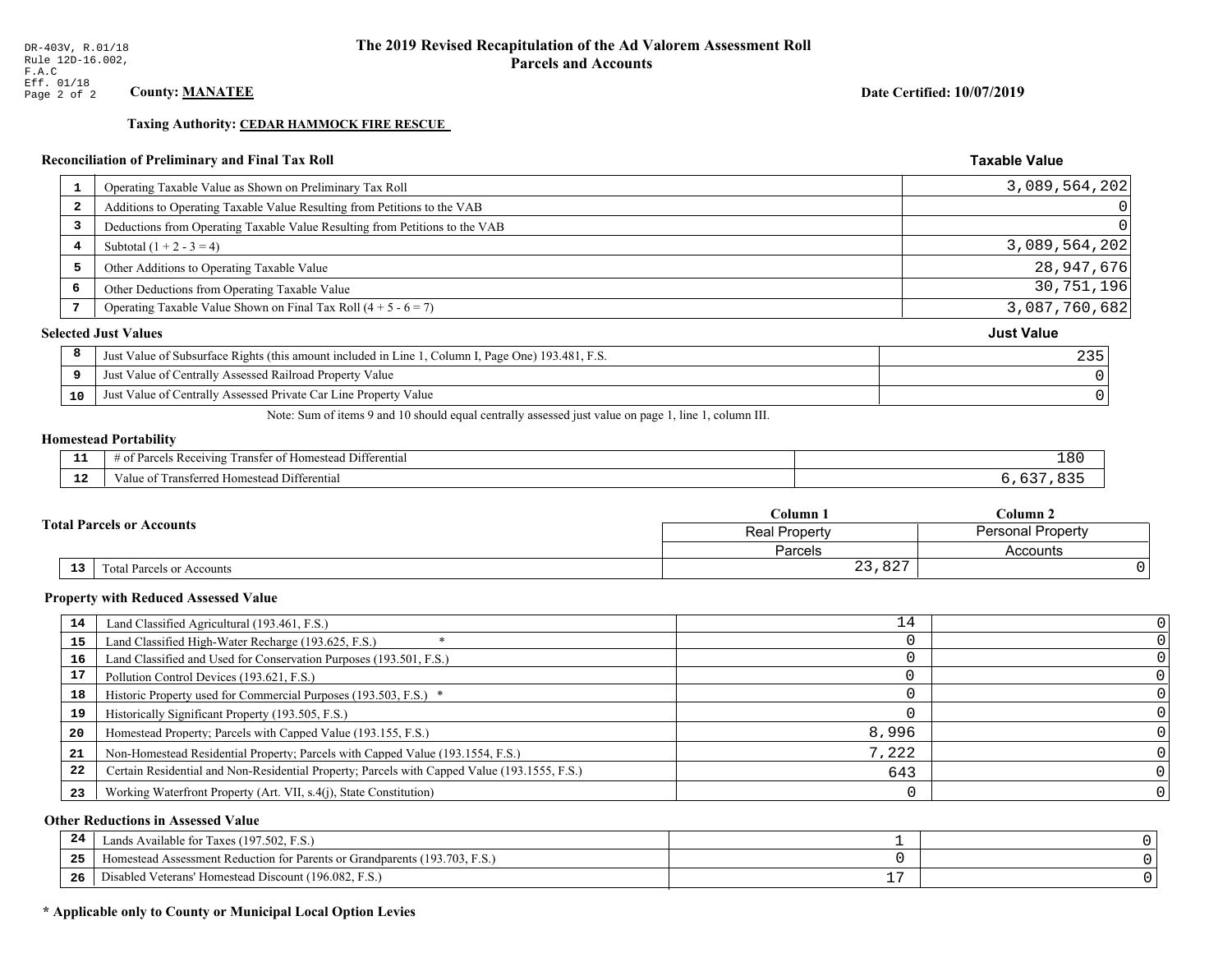**Taxing Authority: CEDAR HAMMOCK FIRE RESCUE** 

### Reconciliation of Preliminary and Final Tax Roll

| 1              | Operating Taxable Value as Shown on Preliminary Tax Roll                                           | 3,089,564,202     |
|----------------|----------------------------------------------------------------------------------------------------|-------------------|
| $\overline{2}$ | Additions to Operating Taxable Value Resulting from Petitions to the VAB                           |                   |
| 3              | Deductions from Operating Taxable Value Resulting from Petitions to the VAB                        |                   |
| 4              | Subtotal $(1 + 2 - 3 = 4)$                                                                         | 3,089,564,202     |
| 5              | Other Additions to Operating Taxable Value                                                         | 28,947,676        |
| 6              | Other Deductions from Operating Taxable Value                                                      | 30,751,196        |
|                | Operating Taxable Value Shown on Final Tax Roll $(4 + 5 - 6 = 7)$                                  | 3,087,760,682     |
|                | <b>Selected Just Values</b>                                                                        | <b>Just Value</b> |
| 8              | Just Value of Subsurface Rights (this amount included in Line 1, Column I, Page One) 193.481, F.S. | 235               |
| 9              | Just Value of Centrally Assessed Railroad Property Value                                           |                   |
| 10             | Just Value of Centrally Assessed Private Car Line Property Value                                   |                   |
|                |                                                                                                    |                   |

Note: Sum of items 9 and 10 should equal centrally assessed just value on page 1, line 1, column III.

#### **Homestead Portability**

ł,

| .           | $\sim$ $\sim$<br>ranster<br>Differential<br>Receiving<br>$-+$<br>estes.<br>---<br>arce <sup>r</sup><br>' 01<br>n | ⊥80 |
|-------------|------------------------------------------------------------------------------------------------------------------|-----|
| $\sim$<br>. | ronc<br>Differential<br>alue<br>. Homesteac<br>31 I GALL<br>.                                                    |     |

|                                  | Column 1       | $_{\rm Column~2}$        |  |
|----------------------------------|----------------|--------------------------|--|
| <b>Fotal Parcels or Accounts</b> | Real Property  | <b>Personal Property</b> |  |
|                                  | <b>Parcels</b> | Accounts                 |  |
| 13<br>Total Parcels or Accounts  | 23,827         |                          |  |

#### **Property with Reduced Assessed Value**

| 14 | Land Classified Agricultural (193.461, F.S.)                                                 | 14    |  |
|----|----------------------------------------------------------------------------------------------|-------|--|
| 15 | Land Classified High-Water Recharge (193.625, F.S.)                                          |       |  |
| 16 | Land Classified and Used for Conservation Purposes (193.501, F.S.)                           |       |  |
| 17 | Pollution Control Devices (193.621, F.S.)                                                    |       |  |
| 18 | Historic Property used for Commercial Purposes (193.503, F.S.) *                             |       |  |
| 19 | Historically Significant Property (193.505, F.S.)                                            |       |  |
| 20 | Homestead Property; Parcels with Capped Value (193.155, F.S.)                                | 8,996 |  |
| 21 | Non-Homestead Residential Property; Parcels with Capped Value (193.1554, F.S.)               | 7,222 |  |
| 22 | Certain Residential and Non-Residential Property; Parcels with Capped Value (193.1555, F.S.) | 643   |  |
| 23 | Working Waterfront Property (Art. VII, s.4(j), State Constitution)                           |       |  |

### **Other Reductions in Assessed Value**

| 24    | Lands Available for Taxes (197.502, F.S.)                                  |           |  |
|-------|----------------------------------------------------------------------------|-----------|--|
| - - - | Iomestead Assessment Reduction for Parents or Grandparents (193.703, F.S.) |           |  |
| -26   | l Veterans' Homestead Discount (196.082, F.S.)<br>Disabled                 | <b>__</b> |  |

# \* Applicable only to County or Municipal Local Option Levies

Date Certified: 10/07/2019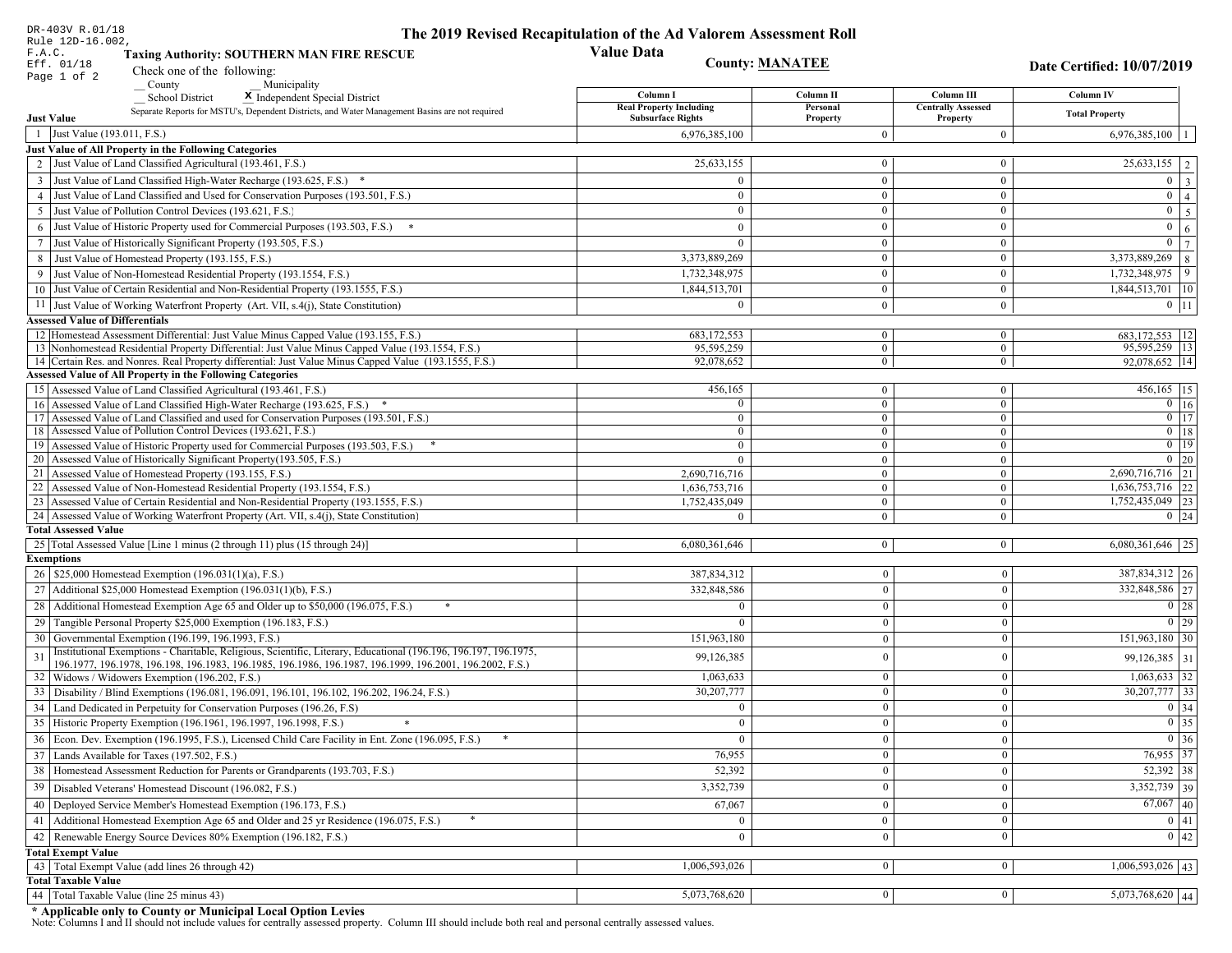| DR-403V R.01/18                                                                                                                                                         | The 2019 Revised Recapitulation of the Ad Valorem Assessment Roll |                                  |                                |                                    |  |
|-------------------------------------------------------------------------------------------------------------------------------------------------------------------------|-------------------------------------------------------------------|----------------------------------|--------------------------------|------------------------------------|--|
| Rule 12D-16.002,<br>F.A.C.<br><b>Taxing Authority: SOUTHERN MAN FIRE RESCUE</b>                                                                                         | <b>Value Data</b>                                                 |                                  |                                |                                    |  |
| Eff. 01/18<br>Check one of the following:<br>Page 1 of 2                                                                                                                | <b>County: MANATEE</b>                                            |                                  |                                | Date Certified: 10/07/2019         |  |
| County<br>Municipality                                                                                                                                                  | Column I                                                          | Column II                        | Column III                     | <b>Column IV</b>                   |  |
| <b>School District</b><br>X Independent Special District<br>Separate Reports for MSTU's, Dependent Districts, and Water Management Basins are not required              | <b>Real Property Including</b>                                    | Personal                         | <b>Centrally Assessed</b>      | <b>Total Property</b>              |  |
| <b>Just Value</b>                                                                                                                                                       | <b>Subsurface Rights</b>                                          | Property                         | Property                       |                                    |  |
| 1 Just Value (193.011, F.S.)                                                                                                                                            | 6,976,385,100                                                     | $\Omega$                         | $\boldsymbol{0}$               | 6,976,385,100<br>$\overline{1}$    |  |
| Just Value of All Property in the Following Categories                                                                                                                  |                                                                   |                                  |                                |                                    |  |
| 2 Just Value of Land Classified Agricultural (193.461, F.S.)                                                                                                            | 25,633,155                                                        | $\mathbf{0}$                     | $\bf{0}$                       | $25,633,155$   2                   |  |
| 3 Just Value of Land Classified High-Water Recharge (193.625, F.S.) *                                                                                                   | $\theta$                                                          | $\overline{0}$                   | $\bf{0}$                       | $0 \mid 3 \mid$                    |  |
| 4 Just Value of Land Classified and Used for Conservation Purposes (193.501, F.S.)                                                                                      | $\Omega$                                                          | $\overline{0}$                   | $\mathbf{0}$                   | $0 \mid 4 \mid$                    |  |
| 5 Just Value of Pollution Control Devices (193.621, F.S.)                                                                                                               | $\overline{0}$                                                    | $\mathbf{0}$                     | $\bf{0}$                       | $0 \quad 5$                        |  |
| 6 Just Value of Historic Property used for Commercial Purposes (193.503, F.S.) *                                                                                        | $\theta$                                                          | $\theta$                         | $\mathbf{0}$                   | $\mathbf{0}$<br>6 <sup>1</sup>     |  |
| 7 Just Value of Historically Significant Property (193.505, F.S.)                                                                                                       | $\mathbf{0}$                                                      | $\overline{0}$<br>$\overline{0}$ | $\mathbf{0}$<br>$\overline{0}$ | $0 \mid 7$<br>$3,373,889,269$ 8    |  |
| 8 Just Value of Homestead Property (193.155, F.S.)<br>9 Just Value of Non-Homestead Residential Property (193.1554, F.S.)                                               | 3,373,889,269                                                     | $\Omega$                         | $\mathbf{0}$                   | $1,732,348,975$ 9                  |  |
| 10 Just Value of Certain Residential and Non-Residential Property (193.1555, F.S.)                                                                                      | 1,732,348,975<br>1,844,513,701                                    | $\bf{0}$                         |                                |                                    |  |
|                                                                                                                                                                         |                                                                   |                                  | $\bf{0}$                       | $1,844,513,701$ 10                 |  |
| 11 Just Value of Working Waterfront Property (Art. VII, s.4(j), State Constitution)                                                                                     | $\Omega$                                                          | $\bf{0}$                         | $\mathbf{0}$                   | $0 \mid 11$                        |  |
| <b>Assessed Value of Differentials</b><br>12 Homestead Assessment Differential: Just Value Minus Capped Value (193.155, F.S.)                                           | 683, 172, 553                                                     | $\bf{0}$                         | $\overline{0}$                 | 683, 172, 553 12                   |  |
| 13 Nonhomestead Residential Property Differential: Just Value Minus Capped Value (193.1554, F.S.)                                                                       | 95,595,259                                                        | $\overline{0}$                   | $\overline{0}$                 | 95,595,259 13                      |  |
| 14 Certain Res. and Nonres. Real Property differential: Just Value Minus Capped Value (193.1555, F.S.)                                                                  | 92.078.652                                                        | $\mathbf{0}$                     | $\overline{0}$                 | 92,078,652   14                    |  |
| <b>Assessed Value of All Property in the Following Categories</b>                                                                                                       |                                                                   |                                  |                                |                                    |  |
| 15 Assessed Value of Land Classified Agricultural (193.461, F.S.)                                                                                                       | 456,165                                                           | $\overline{0}$                   | $\bf{0}$                       | $456,165$ 15                       |  |
| 16 Assessed Value of Land Classified High-Water Recharge (193.625, F.S.) *                                                                                              | $\Omega$                                                          | $\mathbf{0}$                     | $\mathbf{0}$                   | $0 \mid 16$                        |  |
| 17 Assessed Value of Land Classified and used for Conservation Purposes (193.501, F.S.)                                                                                 | $\Omega$                                                          | $\mathbf{0}$                     | $\overline{0}$                 | $\overline{0}$ $\overline{17}$     |  |
| 18 Assessed Value of Pollution Control Devices (193.621, F.S.)<br>19 Assessed Value of Historic Property used for Commercial Purposes (193.503, F.S.)                   | $\Omega$<br>$\mathbf{0}$                                          | $\mathbf{0}$<br>$\mathbf{0}$     | $\mathbf{0}$<br>$\overline{0}$ | $0$ 18<br>$0$ 19                   |  |
| 20 Assessed Value of Historically Significant Property (193.505, F.S.)                                                                                                  | $\theta$                                                          | $\overline{0}$                   | $\overline{0}$                 | $0 \quad 20$                       |  |
| 21 Assessed Value of Homestead Property (193.155, F.S.)                                                                                                                 | 2,690,716,716                                                     | $\mathbf{0}$                     | $\bf{0}$                       | 2,690,716,716 21                   |  |
| 22 Assessed Value of Non-Homestead Residential Property (193.1554, F.S.)                                                                                                | 1,636,753,716                                                     | $\mathbf{0}$                     | $\mathbf{0}$                   | $1,636,753,716$ 22                 |  |
| 23 Assessed Value of Certain Residential and Non-Residential Property (193.1555, F.S.)                                                                                  | 1,752,435,049                                                     | $\mathbf{0}$                     | $\bf{0}$                       | 1,752,435,049 23                   |  |
| 24 Assessed Value of Working Waterfront Property (Art. VII, s.4(j), State Constitution                                                                                  |                                                                   | $\overline{0}$                   | $\bf{0}$                       | $0 \quad 24$                       |  |
| <b>Total Assessed Value</b>                                                                                                                                             |                                                                   |                                  |                                |                                    |  |
| 25 Total Assessed Value [Line 1 minus (2 through 11) plus (15 through 24)]                                                                                              | 6,080,361,646                                                     | $\overline{0}$                   | $\mathbf{0}$                   | $6,080,361,646$   25               |  |
| <b>Exemptions</b>                                                                                                                                                       |                                                                   |                                  |                                |                                    |  |
| 26   \$25,000 Homestead Exemption (196.031(1)(a), F.S.)                                                                                                                 | 387,834,312                                                       | $\mathbf{0}$                     | $\boldsymbol{0}$               | 387, 834, 312 26<br>332,848,586 27 |  |
| 27   Additional \$25,000 Homestead Exemption $(196.031(1)(b), F.S.)$                                                                                                    | 332,848,586                                                       | $\overline{0}$                   | $\mathbf{0}$                   |                                    |  |
| 28 Additional Homestead Exemption Age 65 and Older up to \$50,000 (196.075, F.S.)                                                                                       | $\Omega$                                                          | $\overline{0}$                   | $\boldsymbol{0}$               | $\boxed{0}$ 28                     |  |
| 29 Tangible Personal Property \$25,000 Exemption (196.183, F.S.)                                                                                                        |                                                                   | $\mathbf{0}$                     | $\boldsymbol{0}$               | $0$   29                           |  |
| 30 Governmental Exemption (196.199, 196.1993, F.S.)<br>Institutional Exemptions - Charitable, Religious, Scientific, Literary, Educational (196.196, 196.197, 196.1975, | 151,963,180                                                       | $\bf{0}$                         | $\theta$                       | 151,963,180   30                   |  |
| 31<br>196.1977, 196.1978, 196.198, 196.1983, 196.1985, 196.1986, 196.1987, 196.1999, 196.2001, 196.2002, F.S.)                                                          | 99,126,385                                                        | $\mathbf{0}$                     | $\mathbf{0}$                   | $99,126,385$ 31                    |  |
| 32   Widows / Widowers Exemption (196.202, F.S.)                                                                                                                        | 1,063,633                                                         | $\mathbf{0}$                     | $\mathbf{0}$                   | $1,063,633$ 32                     |  |
| 33<br>Disability / Blind Exemptions (196.081, 196.091, 196.101, 196.102, 196.202, 196.24, F.S.)                                                                         | 30,207,777                                                        | $\overline{0}$                   | $\mathbf{0}$                   | $30,207,777$ 33                    |  |
| Land Dedicated in Perpetuity for Conservation Purposes (196.26, F.S)                                                                                                    | $\Omega$                                                          | $\mathbf{0}$                     | $\Omega$                       | 0 34                               |  |
| 35 Historic Property Exemption (196.1961, 196.1997, 196.1998, F.S.)                                                                                                     | 0                                                                 | $\mathbf{U}$                     | $\mathbf{0}$                   | $\boxed{0}$ 35                     |  |
| 36 Econ. Dev. Exemption (196.1995, F.S.), Licensed Child Care Facility in Ent. Zone (196.095, F.S.)                                                                     | $\Omega$                                                          | $\mathbf{0}$                     | $\Omega$                       | $\boxed{0}$ 36                     |  |
| 37 Lands Available for Taxes (197.502, F.S.)                                                                                                                            | 76,955                                                            | $\mathbf{0}$                     | $\mathbf{0}$                   | $76,955$ 37                        |  |
| 38   Homestead Assessment Reduction for Parents or Grandparents (193.703, F.S.)                                                                                         | 52,392                                                            | $\mathbf{0}$                     | $\boldsymbol{0}$               | $52,392$ 38                        |  |
| 39<br>Disabled Veterans' Homestead Discount (196.082, F.S.)                                                                                                             | 3,352,739                                                         | $\mathbf{0}$                     | $\mathbf{0}$                   | 3,352,739 39                       |  |
| Deployed Service Member's Homestead Exemption (196.173, F.S.)<br>40                                                                                                     | 67,067                                                            | $\Omega$                         | $\mathbf{0}$                   | $67,067$ 40                        |  |
| 41   Additional Homestead Exemption Age 65 and Older and 25 yr Residence (196.075, F.S.)                                                                                | $\mathbf{0}$                                                      | $\overline{0}$                   | $\mathbf{0}$                   | $\boxed{0}$ 41                     |  |
| 42 Renewable Energy Source Devices 80% Exemption (196.182, F.S.)                                                                                                        | $\mathbf{0}$                                                      | $\mathbf{0}$                     | $\mathbf{0}$                   | 0 42                               |  |
| <b>Total Exempt Value</b>                                                                                                                                               |                                                                   |                                  |                                |                                    |  |
| 43 Total Exempt Value (add lines 26 through 42)                                                                                                                         | 1,006,593,026                                                     | $\mathbf{0}$                     | $\mathbf{0}$                   | $\overline{1,006,593,026}$ 43      |  |
| <b>Total Taxable Value</b>                                                                                                                                              |                                                                   |                                  |                                |                                    |  |
| 44   Total Taxable Value (line 25 minus 43)                                                                                                                             | 5,073,768,620                                                     | 0 <sup>1</sup>                   | $\bf{0}$                       | $5,073,768,620$ 44                 |  |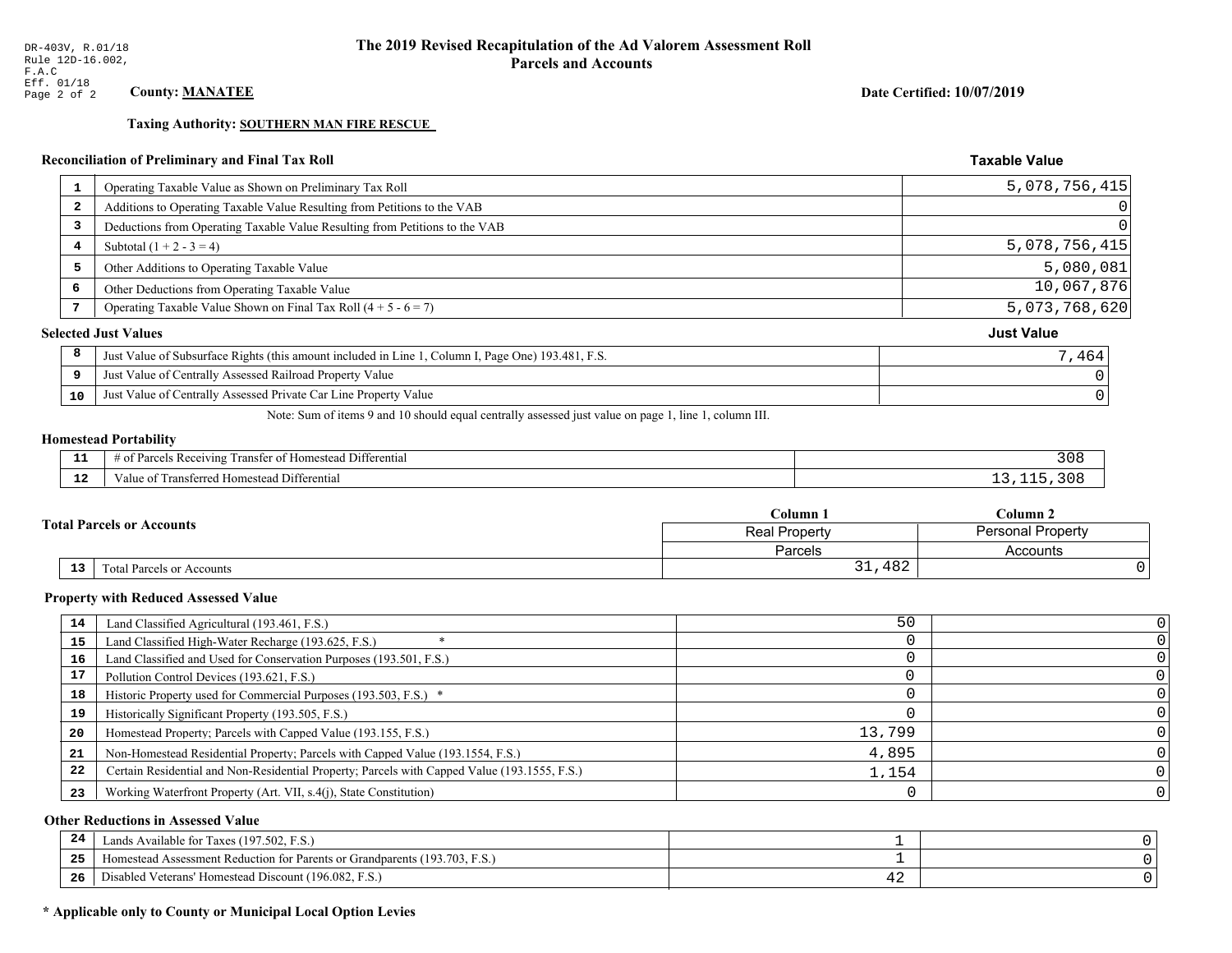# **Taxing Authority: SOUTHERN MAN FIRE RESCUE**

### Reconciliation of Preliminary and Final Tax Roll

| 1  | Operating Taxable Value as Shown on Preliminary Tax Roll                                           | 5,078,756,415     |
|----|----------------------------------------------------------------------------------------------------|-------------------|
| 2  | Additions to Operating Taxable Value Resulting from Petitions to the VAB                           |                   |
| 3  | Deductions from Operating Taxable Value Resulting from Petitions to the VAB                        |                   |
| 4  | Subtotal $(1 + 2 - 3 = 4)$                                                                         | 5,078,756,415     |
| 5  | Other Additions to Operating Taxable Value                                                         | 5,080,081         |
| 6  | Other Deductions from Operating Taxable Value                                                      | 10,067,876        |
|    | Operating Taxable Value Shown on Final Tax Roll $(4 + 5 - 6 = 7)$                                  | 5,073,768,620     |
|    | <b>Selected Just Values</b>                                                                        | <b>Just Value</b> |
| 8  | Just Value of Subsurface Rights (this amount included in Line 1, Column I, Page One) 193.481, F.S. | 7,464             |
| 9  | Just Value of Centrally Assessed Railroad Property Value                                           |                   |
| 10 | Just Value of Centrally Assessed Private Car Line Property Value                                   |                   |

Note: Sum of items 9 and 10 should equal centrally assessed just value on page 1, line 1, column III.

# **Homestead Portability**

| - -         | $\sim$ $\sim$<br>Differential<br>ranster<br>$R$ eceputing<br>$-+$<br>iestes<br><b>CHANGE</b><br>arce <sup>r</sup><br>' 01<br>n | $\sqrt{ }$<br>ە ט د |
|-------------|--------------------------------------------------------------------------------------------------------------------------------|---------------------|
| $\sim$<br>. | ronc<br>l Differential<br>alue<br>erred Homestead                                                                              |                     |

|    |                                  | $\mathbb C$ olumn $\;$ .<br>$C$ olumn 2<br>Personal Property<br><b>Real Property</b> |          |
|----|----------------------------------|--------------------------------------------------------------------------------------|----------|
|    | <b>Total Parcels or Accounts</b> |                                                                                      |          |
|    |                                  | Parcels                                                                              | Accounts |
| 13 | Fotal Parcels or Accounts        | 31,482                                                                               |          |

#### **Property with Reduced Assessed Value**

| 14 | Land Classified Agricultural (193.461, F.S.)                                                 | 50     |  |
|----|----------------------------------------------------------------------------------------------|--------|--|
| 15 | Land Classified High-Water Recharge (193.625, F.S.)                                          |        |  |
| 16 | Land Classified and Used for Conservation Purposes (193.501, F.S.)                           |        |  |
| 17 | Pollution Control Devices (193.621, F.S.)                                                    |        |  |
| 18 | Historic Property used for Commercial Purposes (193.503, F.S.) *                             |        |  |
| 19 | Historically Significant Property (193.505, F.S.)                                            |        |  |
| 20 | Homestead Property; Parcels with Capped Value (193.155, F.S.)                                | 13,799 |  |
| 21 | Non-Homestead Residential Property; Parcels with Capped Value (193.1554, F.S.)               | 4,895  |  |
| 22 | Certain Residential and Non-Residential Property; Parcels with Capped Value (193.1555, F.S.) | 1,154  |  |
| 23 | Working Waterfront Property (Art. VII, s.4(j), State Constitution)                           |        |  |

### **Other Reductions in Assessed Value**

| -44 | Available for Taxes (197.502, F.S.)                                          |    |  |
|-----|------------------------------------------------------------------------------|----|--|
| 25  | (193.703, F.S.<br>stead Assessment Reduction for Parents or Grandparents (1' |    |  |
| 26  | isabled Veterans' Homestead Discount (196.082, F.S.)                         | -- |  |

# \* Applicable only to County or Municipal Local Option Levies

Date Certified: 10/07/2019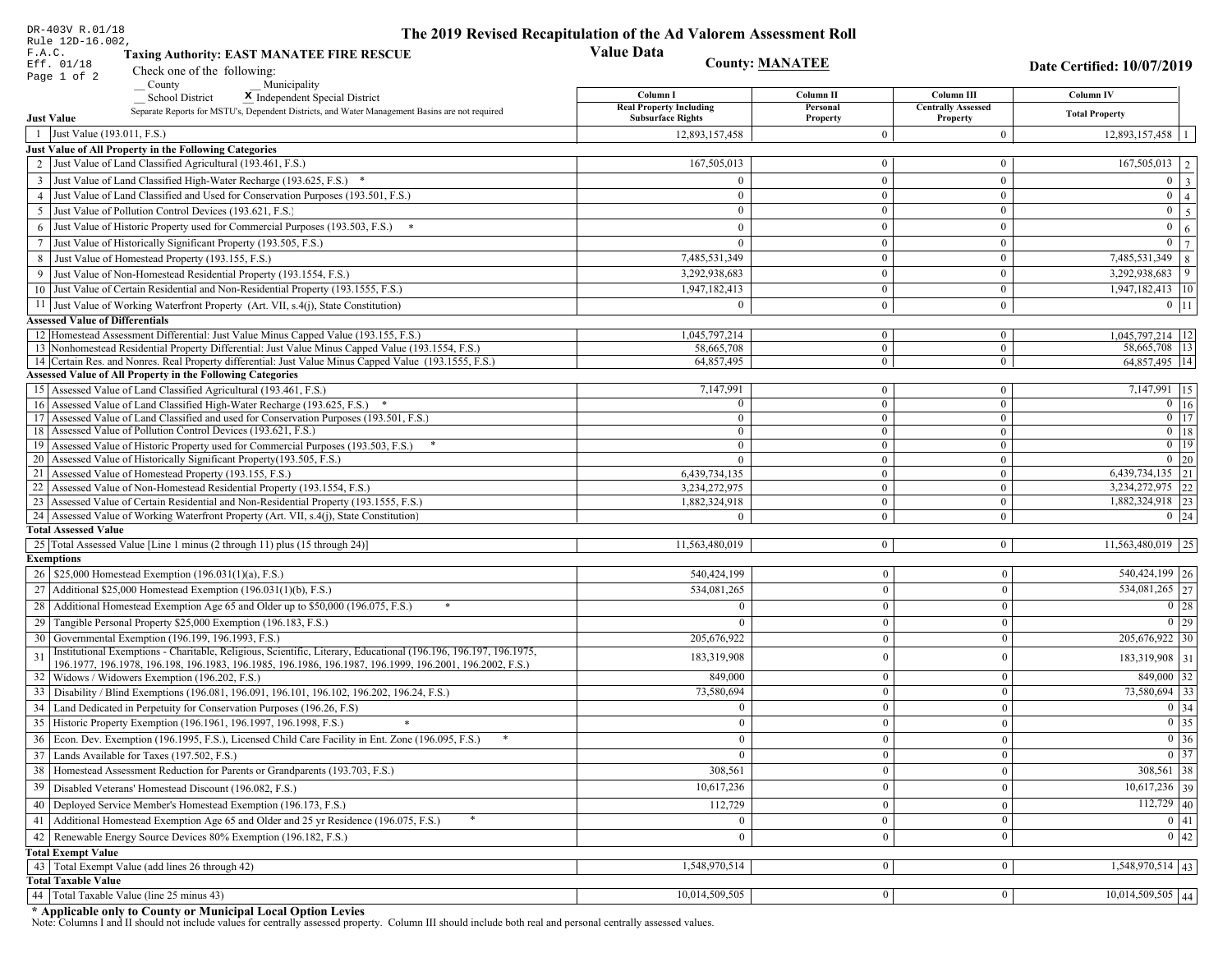| DR-403V R.01/18                                                                                                                                                             | The 2019 Revised Recapitulation of the Ad Valorem Assessment Roll |                                |                                         |                                 |
|-----------------------------------------------------------------------------------------------------------------------------------------------------------------------------|-------------------------------------------------------------------|--------------------------------|-----------------------------------------|---------------------------------|
| Rule 12D-16.002,<br>F.A.C.<br><b>Taxing Authority: EAST MANATEE FIRE RESCUE</b>                                                                                             | <b>Value Data</b>                                                 |                                |                                         |                                 |
| Eff. 01/18<br>Check one of the following:                                                                                                                                   | <b>County: MANATEE</b>                                            |                                |                                         | Date Certified: 10/07/2019      |
| Page 1 of 2<br>County<br>Municipality                                                                                                                                       |                                                                   |                                |                                         |                                 |
| <b>School District</b><br>X Independent Special District                                                                                                                    | Column I<br><b>Real Property Including</b>                        | Column II<br>Personal          | Column III<br><b>Centrally Assessed</b> | <b>Column IV</b>                |
| Separate Reports for MSTU's, Dependent Districts, and Water Management Basins are not required<br><b>Just Value</b>                                                         | <b>Subsurface Rights</b>                                          | Property                       | Property                                | <b>Total Property</b>           |
| 1 Just Value (193.011, F.S.)                                                                                                                                                | 12,893,157,458                                                    | $\Omega$                       | $\boldsymbol{0}$                        | $12,893,157,458$   1            |
| Just Value of All Property in the Following Categories                                                                                                                      |                                                                   |                                |                                         |                                 |
| 2 Just Value of Land Classified Agricultural (193.461, F.S.)                                                                                                                | 167,505,013                                                       | $\mathbf{0}$                   | $\bf{0}$                                | $167,505,013$   2               |
| 3 Just Value of Land Classified High-Water Recharge (193.625, F.S.) *                                                                                                       | $\theta$                                                          | $\overline{0}$                 | $\bf{0}$                                | $0 \mid 3 \mid$                 |
| 4 Just Value of Land Classified and Used for Conservation Purposes (193.501, F.S.)                                                                                          | $\overline{0}$                                                    | $\overline{0}$                 | $\mathbf{0}$                            | $\overline{0}$ $\overline{4}$   |
| 5 Just Value of Pollution Control Devices (193.621, F.S.)                                                                                                                   | $\overline{0}$                                                    | $\mathbf{0}$                   | $\mathbf{0}$                            | $0 \quad 5$                     |
| 6 Just Value of Historic Property used for Commercial Purposes (193.503, F.S.) *                                                                                            | $\theta$                                                          | $\theta$                       | $\mathbf{0}$                            | $\mathbf{0}$<br>6 <sup>1</sup>  |
| 7 Just Value of Historically Significant Property (193.505, F.S.)                                                                                                           | $\mathbf{0}$                                                      | $\overline{0}$                 | $\mathbf{0}$                            | $0 \mid 7$                      |
| 8 Just Value of Homestead Property (193.155, F.S.)                                                                                                                          | 7,485,531,349                                                     | $\overline{0}$                 | $\overline{0}$                          | $7,485,531,349$ 8               |
| 9 Just Value of Non-Homestead Residential Property (193.1554, F.S.)                                                                                                         | 3,292,938,683                                                     | $\Omega$                       | $\mathbf{0}$                            | 3,292,938,683<br>9 <sup>1</sup> |
| 10 Just Value of Certain Residential and Non-Residential Property (193.1555, F.S.)                                                                                          | 1,947,182,413                                                     | $\bf{0}$                       | $\bf{0}$                                | $1,947,182,413$ 10              |
| 11 Just Value of Working Waterfront Property (Art. VII, s.4(j), State Constitution)                                                                                         | $\theta$                                                          | $\bf{0}$                       | $\mathbf{0}$                            | $0 \mid 11$                     |
| <b>Assessed Value of Differentials</b>                                                                                                                                      |                                                                   |                                |                                         |                                 |
| 12 Homestead Assessment Differential: Just Value Minus Capped Value (193.155, F.S.)                                                                                         | 1,045,797,214                                                     | $\mathbf{0}$                   | $\overline{0}$                          | 1,045,797,214   12              |
| 13 Nonhomestead Residential Property Differential: Just Value Minus Capped Value (193.1554, F.S.)                                                                           | 58.665.708                                                        | $\overline{0}$                 | $\overline{0}$                          | 58,665,708 13                   |
| 14 Certain Res. and Nonres. Real Property differential: Just Value Minus Capped Value (193.1555, F.S.)<br><b>Assessed Value of All Property in the Following Categories</b> | 64,857,495                                                        | $\mathbf{0}$                   | $\overline{0}$                          | 64,857,495   14                 |
| 15 Assessed Value of Land Classified Agricultural (193.461, F.S.)                                                                                                           | 7,147,991                                                         |                                |                                         | 7,147,991 15                    |
| 16 Assessed Value of Land Classified High-Water Recharge (193.625, F.S.) *                                                                                                  | $\Omega$                                                          | $\overline{0}$<br>$\mathbf{0}$ | $\bf{0}$<br>$\mathbf{0}$                | $0 \mid 16$                     |
| 17 Assessed Value of Land Classified and used for Conservation Purposes (193.501, F.S.)                                                                                     | $\Omega$                                                          | $\mathbf{0}$                   | $\overline{0}$                          | $\overline{0}$ $\overline{17}$  |
| 18 Assessed Value of Pollution Control Devices (193.621, F.S.)                                                                                                              | $\Omega$                                                          | $\mathbf{0}$                   | $\mathbf{0}$                            | $0$ 18                          |
| 19 Assessed Value of Historic Property used for Commercial Purposes (193.503, F.S.)                                                                                         | $\mathbf{0}$                                                      | $\mathbf{0}$                   | $\overline{0}$                          | $0$   19                        |
| 20 Assessed Value of Historically Significant Property (193.505, F.S.)                                                                                                      | $\theta$                                                          | $\overline{0}$                 | $\overline{0}$                          | $0 \quad 20$                    |
| 21 Assessed Value of Homestead Property (193.155, F.S.)                                                                                                                     | 6,439,734,135                                                     | $\mathbf{0}$                   | $\bf{0}$                                | 6,439,734,135 21                |
| 22 Assessed Value of Non-Homestead Residential Property (193.1554, F.S.)                                                                                                    | 3,234,272,975                                                     | $\mathbf{0}$                   | $\mathbf{0}$                            | 3,234,272,975 22                |
| 23 Assessed Value of Certain Residential and Non-Residential Property (193.1555, F.S.)                                                                                      | 1,882,324,918                                                     | $\mathbf{0}$                   | $\bf{0}$                                | 1,882,324,918 23                |
| 24 Assessed Value of Working Waterfront Property (Art. VII, s.4(j), State Constitution                                                                                      |                                                                   | $\overline{0}$                 | $\mathbf{0}$                            | $0 \quad 24$                    |
| <b>Total Assessed Value</b>                                                                                                                                                 | 11,563,480,019                                                    |                                | $\mathbf{0}$                            |                                 |
| 25 Total Assessed Value [Line 1 minus (2 through 11) plus (15 through 24)]<br><b>Exemptions</b>                                                                             |                                                                   | $\overline{0}$                 |                                         | $11,563,480,019$ 25             |
| 26   \$25,000 Homestead Exemption (196.031(1)(a), F.S.)                                                                                                                     | 540,424,199                                                       | $\mathbf{0}$                   | $\boldsymbol{0}$                        | 540,424,199 26                  |
| 27   Additional \$25,000 Homestead Exemption $(196.031(1)(b), F.S.)$                                                                                                        | 534,081,265                                                       | $\overline{0}$                 | $\mathbf{0}$                            | 534,081,265 27                  |
| 28 Additional Homestead Exemption Age 65 and Older up to \$50,000 (196.075, F.S.)                                                                                           | $\Omega$                                                          | $\overline{0}$                 | $\boldsymbol{0}$                        | $\boxed{0}$ 28                  |
|                                                                                                                                                                             |                                                                   |                                |                                         | $0$   29                        |
| 29 Tangible Personal Property \$25,000 Exemption (196.183, F.S.)<br>30 Governmental Exemption (196.199, 196.1993, F.S.)                                                     |                                                                   | $\mathbf{0}$                   | $\boldsymbol{0}$<br>$\theta$            | 205,676,922 30                  |
| Institutional Exemptions - Charitable, Religious, Scientific, Literary, Educational (196.196, 196.197, 196.1975,                                                            | 205,676,922                                                       | $\bf{0}$                       |                                         |                                 |
| 31<br>196.1977, 196.1978, 196.198, 196.1983, 196.1985, 196.1986, 196.1987, 196.1999, 196.2001, 196.2002, F.S.)                                                              | 183,319,908                                                       | $\mathbf{0}$                   | $\mathbf{0}$                            | 183,319,908 31                  |
| 32   Widows / Widowers Exemption (196.202, F.S.)                                                                                                                            | 849,000                                                           | $\mathbf{0}$                   | $\mathbf{0}$                            | $849,000$ 32                    |
| 33<br>Disability / Blind Exemptions (196.081, 196.091, 196.101, 196.102, 196.202, 196.24, F.S.)                                                                             | 73,580,694                                                        | $\overline{0}$                 | $\mathbf{0}$                            | 73,580,694 33                   |
| Land Dedicated in Perpetuity for Conservation Purposes (196.26, F.S)                                                                                                        | $\Omega$                                                          | $\overline{0}$                 | $\theta$                                | $0 \mid 34$                     |
| 35 Historic Property Exemption (196.1961, 196.1997, 196.1998, F.S.)                                                                                                         | 0                                                                 | $\mathbf{U}$                   | $\mathbf{0}$                            | $\boxed{0}$ 35                  |
| 36 Econ. Dev. Exemption (196.1995, F.S.), Licensed Child Care Facility in Ent. Zone (196.095, F.S.)                                                                         | $\Omega$                                                          | $\mathbf{0}$                   | $\Omega$                                | $\boxed{0}$ 36                  |
| $37$ Lands Available for Taxes (197.502, F.S.)                                                                                                                              | $\Omega$                                                          | $\mathbf{0}$                   | $\Omega$                                | $0 \mid 37$                     |
| 38   Homestead Assessment Reduction for Parents or Grandparents (193.703, F.S.)                                                                                             | 308,561                                                           | $\mathbf{0}$                   | $\boldsymbol{0}$                        | 308,561 38                      |
| 39<br>Disabled Veterans' Homestead Discount (196.082, F.S.)                                                                                                                 | 10,617,236                                                        | $\theta$                       | $\mathbf{0}$                            | $10,617,236$ 39                 |
| Deployed Service Member's Homestead Exemption (196.173, F.S.)<br>40                                                                                                         | 112,729                                                           | $\Omega$                       | $\Omega$                                | $112,729$ 40                    |
| 41   Additional Homestead Exemption Age 65 and Older and 25 yr Residence (196.075, F.S.)                                                                                    | $\mathbf{0}$                                                      | $\overline{0}$                 | $\mathbf{0}$                            | $\boxed{0}$ 41                  |
| 42 Renewable Energy Source Devices 80% Exemption (196.182, F.S.)                                                                                                            | $\mathbf{0}$                                                      | $\mathbf{0}$                   | $\mathbf{0}$                            | 0 42                            |
| <b>Total Exempt Value</b>                                                                                                                                                   |                                                                   |                                |                                         |                                 |
| 43 Total Exempt Value (add lines 26 through 42)                                                                                                                             | 1,548,970,514                                                     | $\mathbf{0}$                   | $\mathbf{0}$                            | $1,548,970,514$ 43              |
| <b>Total Taxable Value</b>                                                                                                                                                  |                                                                   |                                |                                         |                                 |
| 44 Total Taxable Value (line 25 minus 43)                                                                                                                                   | 10,014,509,505                                                    | 0                              | $\overline{0}$                          | $10,014,509,505$ 44             |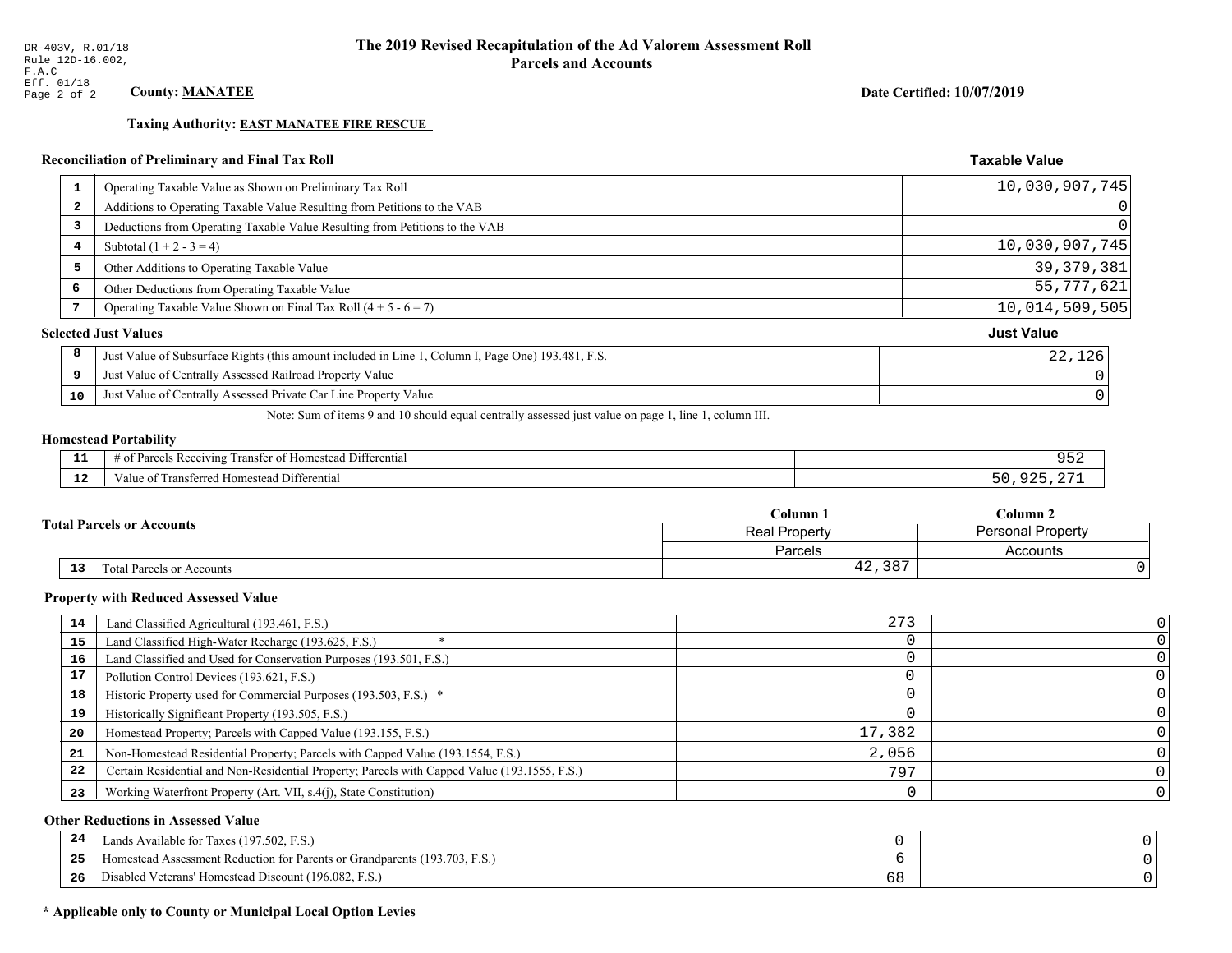**Taxing Authority: EAST MANATEE FIRE RESCUE** 

### Reconciliation of Preliminary and Final Tax Roll

| 1  | Operating Taxable Value as Shown on Preliminary Tax Roll                                           | 10,030,907,745    |
|----|----------------------------------------------------------------------------------------------------|-------------------|
| 2  | Additions to Operating Taxable Value Resulting from Petitions to the VAB                           | 0                 |
| 3  | Deductions from Operating Taxable Value Resulting from Petitions to the VAB                        |                   |
| 4  | Subtotal $(1 + 2 - 3 = 4)$                                                                         | 10,030,907,745    |
| 5  | Other Additions to Operating Taxable Value                                                         | 39, 379, 381      |
| 6  | Other Deductions from Operating Taxable Value                                                      | 55, 777, 621      |
| 7  | Operating Taxable Value Shown on Final Tax Roll $(4 + 5 - 6 = 7)$                                  | 10,014,509,505    |
|    | <b>Selected Just Values</b>                                                                        | <b>Just Value</b> |
| 8  | Just Value of Subsurface Rights (this amount included in Line 1, Column I, Page One) 193.481, F.S. | 22,126            |
| 9  | Just Value of Centrally Assessed Railroad Property Value                                           |                   |
| 10 | Just Value of Centrally Assessed Private Car Line Property Value                                   |                   |

Note: Sum of items 9 and 10 should equal centrally assessed just value on page 1, line 1, column III.

# **Homestead Portability**

| --          | $\cdots$<br>Differential<br>: Re<br>enving<br>$\sim$<br>rancter<br>$-11.211$ | ے ر |
|-------------|------------------------------------------------------------------------------|-----|
| $\sim$<br>. | l Differential<br>Fransferred Homestead I<br>anue oi                         |     |

|    |                                  | $\mathbb C$ olumn $\;$ .<br>$C$ olumn 2<br>Personal Property<br><b>Real Property</b> |          |
|----|----------------------------------|--------------------------------------------------------------------------------------|----------|
|    | <b>Total Parcels or Accounts</b> |                                                                                      |          |
|    |                                  | Parcels                                                                              | Accounts |
| 13 | Fotal Parcels or Accounts        | $+2,387$                                                                             |          |

#### **Property with Reduced Assessed Value**

| 14 | Land Classified Agricultural (193.461, F.S.)                                                 | 273    |  |
|----|----------------------------------------------------------------------------------------------|--------|--|
| 15 | Land Classified High-Water Recharge (193.625, F.S.)                                          |        |  |
| 16 | Land Classified and Used for Conservation Purposes (193.501, F.S.)                           |        |  |
| 17 | Pollution Control Devices (193.621, F.S.)                                                    |        |  |
| 18 | Historic Property used for Commercial Purposes (193.503, F.S.) *                             |        |  |
| 19 | Historically Significant Property (193.505, F.S.)                                            |        |  |
| 20 | Homestead Property; Parcels with Capped Value (193.155, F.S.)                                | 17,382 |  |
| 21 | Non-Homestead Residential Property; Parcels with Capped Value (193.1554, F.S.)               | 2,056  |  |
| 22 | Certain Residential and Non-Residential Property; Parcels with Capped Value (193.1555, F.S.) | 797    |  |
| 23 | Working Waterfront Property (Art. VII, s.4(j), State Constitution)                           |        |  |

### **Other Reductions in Assessed Value**

| 24    | Lands Available for Taxes (197.502, F.S.)                                  |     |  |
|-------|----------------------------------------------------------------------------|-----|--|
| - - - | Iomestead Assessment Reduction for Parents or Grandparents (193.703, F.S.) |     |  |
| -26   | l Veterans' Homestead Discount (196.082, F.S.)<br>Disabled                 | ৩ ୪ |  |

# \* Applicable only to County or Municipal Local Option Levies

Date Certified: 10/07/2019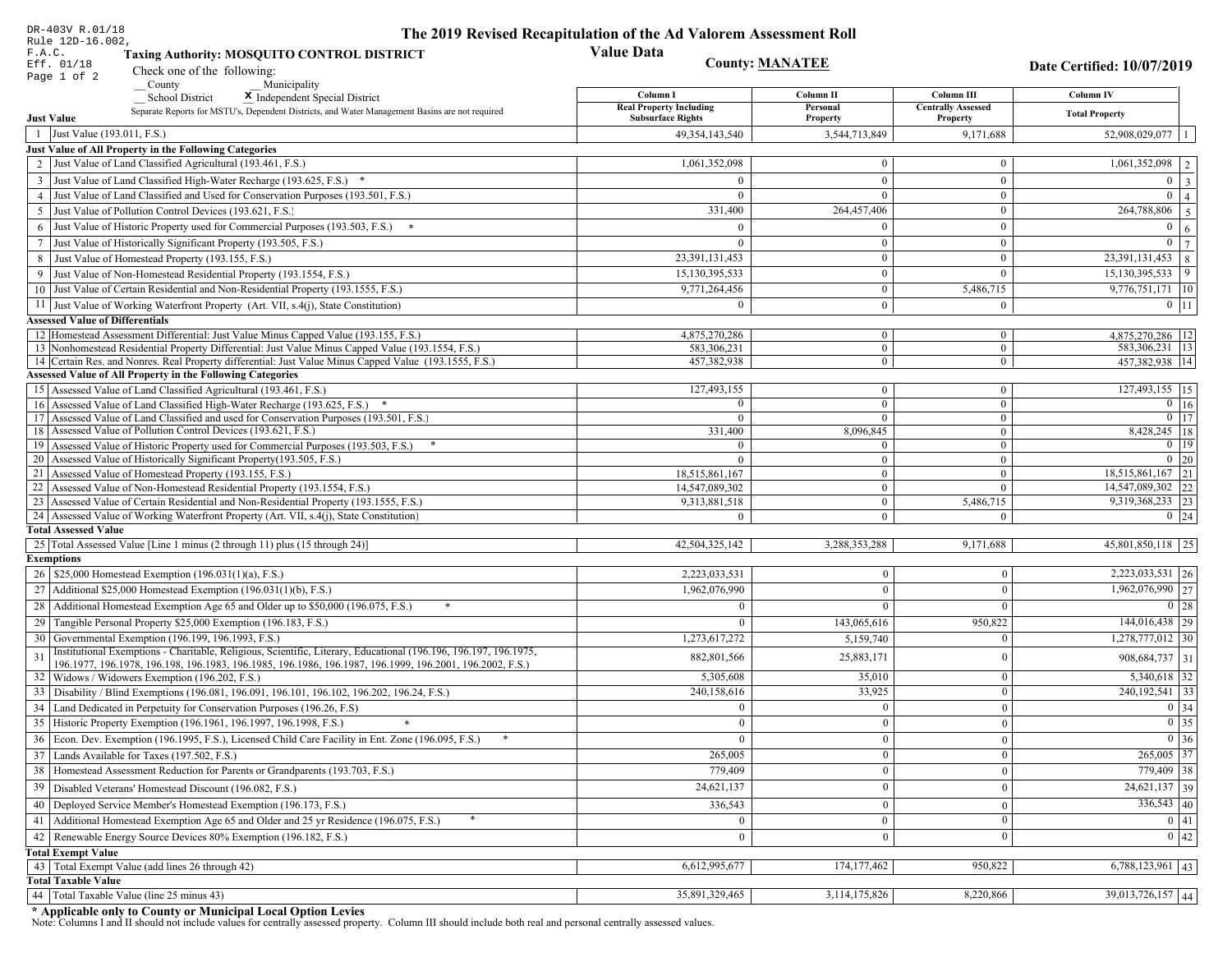| DR-403V R.01/18                                                                                                                                                                                                                    | The 2019 Revised Recapitulation of the Ad Valorem Assessment Roll |                                |                                         |                                        |
|------------------------------------------------------------------------------------------------------------------------------------------------------------------------------------------------------------------------------------|-------------------------------------------------------------------|--------------------------------|-----------------------------------------|----------------------------------------|
| Rule 12D-16.002,<br>F.A.C.<br><b>Taxing Authority: MOSQUITO CONTROL DISTRICT</b>                                                                                                                                                   | <b>Value Data</b>                                                 |                                |                                         |                                        |
| Eff. 01/18<br>Check one of the following:<br>Page 1 of 2                                                                                                                                                                           | <b>County: MANATEE</b>                                            |                                |                                         | Date Certified: 10/07/2019             |
| County<br>Municipality                                                                                                                                                                                                             |                                                                   |                                |                                         |                                        |
| <b>School District</b><br>X Independent Special District                                                                                                                                                                           | Column I<br><b>Real Property Including</b>                        | Column II<br>Personal          | Column III<br><b>Centrally Assessed</b> | Column IV                              |
| Separate Reports for MSTU's, Dependent Districts, and Water Management Basins are not required<br><b>Just Value</b>                                                                                                                | <b>Subsurface Rights</b>                                          | Property                       | Property                                | <b>Total Property</b>                  |
| 1 Just Value (193.011, F.S.)                                                                                                                                                                                                       | 49, 354, 143, 540                                                 | 3,544,713,849                  | 9,171,688                               | 52,908,029,077                         |
| Just Value of All Property in the Following Categories                                                                                                                                                                             |                                                                   |                                |                                         |                                        |
| 2 Just Value of Land Classified Agricultural (193.461, F.S.)                                                                                                                                                                       | 1,061,352,098                                                     | $\bf{0}$                       | $\boldsymbol{0}$                        | $1,061,352,098$   2                    |
| 3 Just Value of Land Classified High-Water Recharge (193.625, F.S.) *                                                                                                                                                              |                                                                   | $\mathbf{0}$                   | $\theta$                                | $0 \mid 3$                             |
| 4 Just Value of Land Classified and Used for Conservation Purposes (193.501, F.S.)                                                                                                                                                 | $\Omega$                                                          | $\theta$                       | $\boldsymbol{0}$                        | $\overline{0}$<br>$\overline{4}$       |
| 5 Just Value of Pollution Control Devices (193.621, F.S.)                                                                                                                                                                          | 331,400                                                           | 264,457,406                    | $\boldsymbol{0}$                        | $\overline{264,788,806}$ 5             |
| 6 Just Value of Historic Property used for Commercial Purposes (193.503, F.S.) *                                                                                                                                                   |                                                                   | $\theta$                       | $\boldsymbol{0}$                        | $\boldsymbol{0}$<br><sup>6</sup>       |
| 7 Just Value of Historically Significant Property (193.505, F.S.)                                                                                                                                                                  | $\Omega$                                                          | $\bf{0}$                       | $\boldsymbol{0}$                        | $0 \overline{7}$                       |
| 8 Just Value of Homestead Property (193.155, F.S.)                                                                                                                                                                                 | 23,391,131,453                                                    | $\bf{0}$                       | $\boldsymbol{0}$                        | $23,391,131,453$ 8                     |
| 9 Just Value of Non-Homestead Residential Property (193.1554, F.S.)                                                                                                                                                                | 15,130,395,533                                                    | $\mathbf{0}$                   | $\Omega$                                | 15, 130, 395, 533   9                  |
| 10 Just Value of Certain Residential and Non-Residential Property (193.1555, F.S.)                                                                                                                                                 | 9,771,264,456                                                     | $\mathbf{0}$                   | 5,486,715                               | 9,776,751,171 10                       |
| 11 Just Value of Working Waterfront Property (Art. VII, s.4(j), State Constitution)                                                                                                                                                | $\Omega$                                                          | $\mathbf{0}$                   | $\mathbf{0}$                            | $0$   11                               |
| <b>Assessed Value of Differentials</b>                                                                                                                                                                                             |                                                                   |                                |                                         |                                        |
| 12 Homestead Assessment Differential: Just Value Minus Capped Value (193.155, F.S.)<br>13 Nonhomestead Residential Property Differential: Just Value Minus Capped Value (193.1554, F.S.)                                           | 4,875,270,286<br>583,306,231                                      | $\mathbf{0}$<br>$\overline{0}$ | $\bf{0}$<br>$\overline{0}$              | 4,875,270,286   12<br>583,306,231   13 |
| 14 Certain Res. and Nonres. Real Property differential: Just Value Minus Capped Value (193.1555, F.S.)                                                                                                                             | 457,382,938                                                       | $\overline{0}$                 | $\overline{0}$                          | 457,382,938   14                       |
| <b>Assessed Value of All Property in the Following Categories</b>                                                                                                                                                                  |                                                                   |                                |                                         |                                        |
| 15 Assessed Value of Land Classified Agricultural (193.461, F.S.)                                                                                                                                                                  | 127,493,155                                                       | $\mathbf{0}$                   | $\boldsymbol{0}$                        | 127,493,155 15                         |
| 16 Assessed Value of Land Classified High-Water Recharge (193.625, F.S.) *                                                                                                                                                         | $\Omega$                                                          | $\overline{0}$                 | $\mathbf{0}$                            | $\overline{0}$ 16                      |
| 17 Assessed Value of Land Classified and used for Conservation Purposes (193.501, F.S.)                                                                                                                                            | $\Omega$                                                          | $\mathbf{0}$                   | $\boldsymbol{0}$                        | $0$   17                               |
| 18 Assessed Value of Pollution Control Devices (193.621, F.S.)                                                                                                                                                                     | 331,400                                                           | 8,096,845                      | $\mathbf{0}$                            | 8,428,245   18                         |
| 19 Assessed Value of Historic Property used for Commercial Purposes (193.503, F.S.)<br>20 Assessed Value of Historically Significant Property (193.505, F.S.)                                                                      | $\Omega$<br>$\Omega$                                              | $\mathbf{0}$                   | $\boldsymbol{0}$                        | $0 \mid 19$<br>$0\vert 20$             |
| 21 Assessed Value of Homestead Property (193.155, F.S.)                                                                                                                                                                            | 18,515,861,167                                                    | $\overline{0}$<br>$\mathbf{0}$ | $\mathbf{0}$<br>$\boldsymbol{0}$        | $18,515,861,167$ 21                    |
| 22 Assessed Value of Non-Homestead Residential Property (193.1554, F.S.)                                                                                                                                                           | 14,547,089,302                                                    | $\overline{0}$                 | $\mathbf{0}$                            | 14,547,089,302 22                      |
| 23 Assessed Value of Certain Residential and Non-Residential Property (193.1555, F.S.)                                                                                                                                             | 9,313,881,518                                                     | $\overline{0}$                 | 5,486,715                               | 9,319,368,233 23                       |
| 24 Assessed Value of Working Waterfront Property (Art. VII, s.4(j), State Constitution)                                                                                                                                            | $\Omega$                                                          | $\overline{0}$                 | $\overline{0}$                          | $0 \mid 24$                            |
| <b>Total Assessed Value</b>                                                                                                                                                                                                        |                                                                   |                                |                                         |                                        |
| 25 Total Assessed Value [Line 1 minus (2 through 11) plus (15 through 24)]                                                                                                                                                         | 42,504,325,142                                                    | 3,288,353,288                  | 9,171,688                               | 45,801,850,118 25                      |
| <b>Exemptions</b>                                                                                                                                                                                                                  |                                                                   |                                |                                         |                                        |
| 26   \$25,000 Homestead Exemption (196.031(1)(a), F.S.)                                                                                                                                                                            | 2,223,033,531                                                     | $\mathbf{0}$                   | $\mathbf{0}$                            | 2,223,033,531 26                       |
| 27   Additional \$25,000 Homestead Exemption (196.031(1)(b), F.S.)                                                                                                                                                                 | 1,962,076,990                                                     | $\Omega$                       | $\Omega$                                | $\overline{1,962,076,990}$ 27          |
| 28 Additional Homestead Exemption Age 65 and Older up to \$50,000 (196.075, F.S.)                                                                                                                                                  | $\Omega$                                                          | $\overline{0}$                 | $\Omega$                                | 0 28                                   |
| 29 Tangible Personal Property \$25,000 Exemption (196.183, F.S.)                                                                                                                                                                   | $\Omega$                                                          | 143,065,616                    | 950,822                                 | $\overline{144,016,438}$   29          |
| 30 Governmental Exemption (196.199, 196.1993, F.S.)                                                                                                                                                                                | 1,273,617,272                                                     | 5,159,740                      | $\Omega$                                | $1,278,777,012$ 30                     |
| Institutional Exemptions - Charitable, Religious, Scientific, Literary, Educational (196.196, 196.197, 196.1975,<br>31<br>196.1977, 196.1978, 196.198, 196.1983, 196.1985, 196.1986, 196.1987, 196.1999, 196.2001, 196.2002, F.S.) | 882,801,566                                                       | 25,883,171                     | $\Omega$                                | 908, 684, 737 31                       |
| 32 Widows / Widowers Exemption (196.202, F.S.)                                                                                                                                                                                     | 5,305,608                                                         | 35,010                         | $\mathbf{0}$                            | $5,340,618$ 32                         |
| 33<br>Disability / Blind Exemptions (196.081, 196.091, 196.101, 196.102, 196.202, 196.24, F.S.)                                                                                                                                    | 240,158,616                                                       | 33,925                         | $\Omega$                                | 240, 192, 541 33                       |
| Land Dedicated in Perpetuity for Conservation Purposes (196.26, F.S)                                                                                                                                                               | $\Omega$                                                          | $\overline{0}$                 | $\Omega$                                | 0 34                                   |
| 35 Historic Property Exemption (196.1961, 196.1997, 196.1998, F.S.)                                                                                                                                                                | 0.                                                                | $\mathbf{0}$                   | $\mathbf{0}$                            | $\boxed{0}$ 35                         |
| 36 Econ. Dev. Exemption (196.1995, F.S.), Licensed Child Care Facility in Ent. Zone (196.095, F.S.)                                                                                                                                | $\Omega$                                                          | $\boldsymbol{0}$               | $\Omega$                                | $0 \mid 36$                            |
| 37 Lands Available for Taxes (197.502, F.S.)                                                                                                                                                                                       | 265,005                                                           | $\mathbf{0}$                   | $\Omega$                                | 265,005 37                             |
| 38   Homestead Assessment Reduction for Parents or Grandparents (193.703, F.S.)                                                                                                                                                    | 779,409                                                           | $\bf{0}$                       | $\mathbf{0}$                            | 779,409 38                             |
| 39<br>Disabled Veterans' Homestead Discount (196.082, F.S.)                                                                                                                                                                        | 24,621,137                                                        | $\mathbf{0}$                   | $\overline{0}$                          | $\overline{24,621,137}$ 39             |
| Deployed Service Member's Homestead Exemption (196.173, F.S.)<br>40                                                                                                                                                                | 336,543                                                           | $\mathbf{0}$                   | $\Omega$                                | $336,543$ 40                           |
| 41   Additional Homestead Exemption Age 65 and Older and 25 yr Residence (196.075, F.S.)                                                                                                                                           | $\overline{0}$                                                    | $\overline{0}$                 | $\mathbf{0}$                            | 0 41                                   |
| 42 Renewable Energy Source Devices 80% Exemption (196.182, F.S.)                                                                                                                                                                   | $\mathbf{0}$                                                      | $\mathbf{0}$                   | $\Omega$                                | 0 42                                   |
| <b>Total Exempt Value</b>                                                                                                                                                                                                          |                                                                   |                                |                                         |                                        |
| 43 Total Exempt Value (add lines 26 through 42)                                                                                                                                                                                    | 6,612,995,677                                                     | 174, 177, 462                  | 950,822                                 | $6,788,123,961$ 43                     |
| <b>Total Taxable Value</b>                                                                                                                                                                                                         |                                                                   |                                |                                         |                                        |
| 44   Total Taxable Value (line 25 minus 43)                                                                                                                                                                                        | 35,891,329,465                                                    | 3,114,175,826                  | 8,220,866                               | 39,013,726,157 44                      |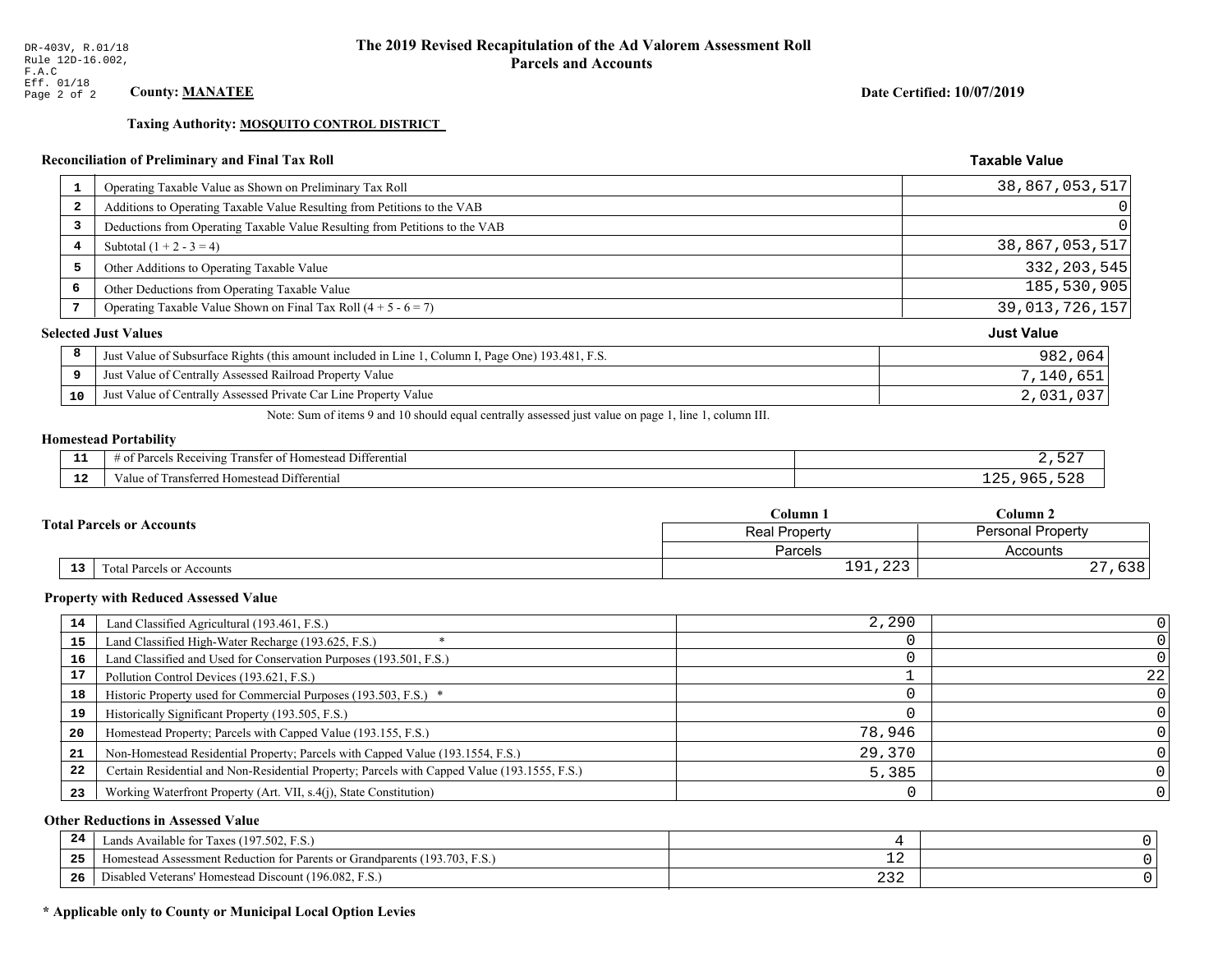Taxing Authority: MOSQUITO CONTROL DISTRICT

### Reconciliation of Preliminary and Final Tax Roll

| $\mathbf{1}$ | Operating Taxable Value as Shown on Preliminary Tax Roll                                           | 38,867,053,517    |
|--------------|----------------------------------------------------------------------------------------------------|-------------------|
| 2            | Additions to Operating Taxable Value Resulting from Petitions to the VAB                           | $\Omega$          |
| 3            | Deductions from Operating Taxable Value Resulting from Petitions to the VAB                        | 0                 |
| 4            | Subtotal $(1 + 2 - 3 = 4)$                                                                         | 38,867,053,517    |
| 5            | Other Additions to Operating Taxable Value                                                         | 332, 203, 545     |
| 6            | Other Deductions from Operating Taxable Value                                                      | 185,530,905       |
| 7            | Operating Taxable Value Shown on Final Tax Roll $(4 + 5 - 6 = 7)$                                  | 39,013,726,157    |
|              | <b>Selected Just Values</b>                                                                        | <b>Just Value</b> |
| 8            | Just Value of Subsurface Rights (this amount included in Line 1, Column I, Page One) 193.481, F.S. | 982,064           |
| 9            | Just Value of Centrally Assessed Railroad Property Value                                           | 7,140,651         |
| 10           | Just Value of Centrally Assessed Private Car Line Property Value                                   | 2,031,037         |

Note: Sum of items 9 and 10 should equal centrally assessed just value on page 1, line 1, column III.

# **Homestead Portability**

ł,

| - -<br>.     | .<br>$\cdots$<br>l Differential<br>Parcels Receiving<br>l ransfer of Homestead . |                         |
|--------------|----------------------------------------------------------------------------------|-------------------------|
| $\sim$<br>-- | Transferred Homestead Differential<br>Value of                                   | un r<br><b><i>r</i></b> |

|    |                                  | Column <sub>1</sub> | Column <sub>2</sub>      |  |
|----|----------------------------------|---------------------|--------------------------|--|
|    | <b>Fotal Parcels or Accounts</b> | Real Property       | <b>Personal Property</b> |  |
|    |                                  | Parcels             | Accounts                 |  |
| 13 | Total Parcels or Accounts        | 191,223             | ເລດ<br>030               |  |

#### **Property with Reduced Assessed Value**

| 14 | Land Classified Agricultural (193.461, F.S.)                                                 | 2,290  |    |
|----|----------------------------------------------------------------------------------------------|--------|----|
| 15 | Land Classified High-Water Recharge (193.625, F.S.)                                          |        |    |
| 16 | Land Classified and Used for Conservation Purposes (193.501, F.S.)                           |        |    |
| 17 | Pollution Control Devices (193.621, F.S.)                                                    |        | 22 |
| 18 | Historic Property used for Commercial Purposes (193.503, F.S.) *                             |        |    |
| 19 | Historically Significant Property (193.505, F.S.)                                            |        |    |
| 20 | Homestead Property; Parcels with Capped Value (193.155, F.S.)                                | 78,946 |    |
| 21 | Non-Homestead Residential Property; Parcels with Capped Value (193.1554, F.S.)               | 29,370 |    |
| 22 | Certain Residential and Non-Residential Property; Parcels with Capped Value (193.1555, F.S.) | 5,385  |    |
| 23 | Working Waterfront Property (Art. VII, s.4(j), State Constitution)                           |        |    |

### **Other Reductions in Assessed Value**

| 24    | Lands Available for Taxes (197.502, F.S.)                                  |     |  |
|-------|----------------------------------------------------------------------------|-----|--|
| - - - | Homestead Assessment Reduction for Parents or Grandparents (193.703, F.S.) | - 4 |  |
| -26   | F.S.<br>Disabled Veterans' Homestead Discount (196.082, F.                 | ے ت |  |

# \* Applicable only to County or Municipal Local Option Levies

Date Certified: 10/07/2019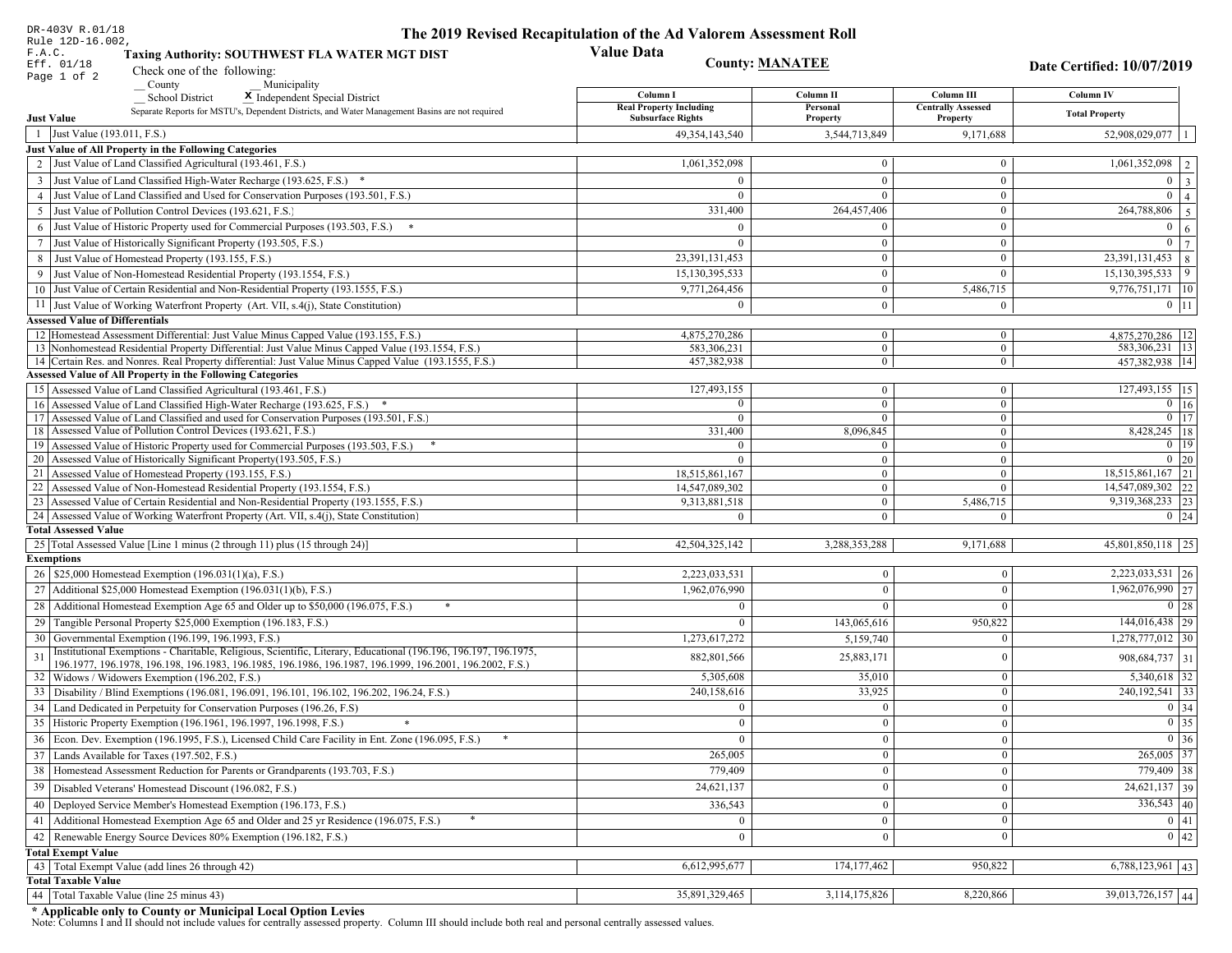| DR-403V R.01/18                                                                                                                                                                                             | The 2019 Revised Recapitulation of the Ad Valorem Assessment Roll |                                  |                                         |                                      |
|-------------------------------------------------------------------------------------------------------------------------------------------------------------------------------------------------------------|-------------------------------------------------------------------|----------------------------------|-----------------------------------------|--------------------------------------|
| Rule 12D-16.002,<br>F.A.C.<br>Taxing Authority: SOUTHWEST FLA WATER MGT DIST                                                                                                                                | <b>Value Data</b>                                                 |                                  |                                         |                                      |
| Eff. 01/18<br>Check one of the following:                                                                                                                                                                   |                                                                   | <b>County: MANATEE</b>           |                                         | Date Certified: 10/07/2019           |
| Page 1 of 2<br>County<br>Municipality                                                                                                                                                                       |                                                                   |                                  |                                         |                                      |
| <b>School District</b><br>X Independent Special District                                                                                                                                                    | Column I<br><b>Real Property Including</b>                        | Column II<br>Personal            | Column III<br><b>Centrally Assessed</b> | Column IV                            |
| Separate Reports for MSTU's, Dependent Districts, and Water Management Basins are not required<br><b>Just Value</b>                                                                                         | <b>Subsurface Rights</b>                                          | Property                         | Property                                | <b>Total Property</b>                |
| 1 Just Value (193.011, F.S.)                                                                                                                                                                                | 49, 354, 143, 540                                                 | 3,544,713,849                    | 9,171,688                               | 52,908,029,077                       |
| Just Value of All Property in the Following Categories                                                                                                                                                      |                                                                   |                                  |                                         |                                      |
| 2 Just Value of Land Classified Agricultural (193.461, F.S.)                                                                                                                                                | 1,061,352,098                                                     | $\bf{0}$                         | $\bf{0}$                                | $1,061,352,098$   2                  |
| 3 Just Value of Land Classified High-Water Recharge (193.625, F.S.) *                                                                                                                                       | $\Omega$                                                          | $\mathbf{0}$                     | $\mathbf{0}$                            | $0 \mid 3$                           |
| 4 Just Value of Land Classified and Used for Conservation Purposes (193.501, F.S.)                                                                                                                          | $\Omega$                                                          | $\Omega$                         | $\boldsymbol{0}$                        | $\overline{0}$<br>$\vert$ 4          |
| 5 Just Value of Pollution Control Devices (193.621, F.S.)                                                                                                                                                   | 331,400                                                           | 264,457,406                      | $\bf{0}$                                | $\overline{264,788,806}$ 5           |
| 6 Just Value of Historic Property used for Commercial Purposes (193.503, F.S.) *                                                                                                                            | $\Omega$                                                          | $\theta$                         | $\mathbf{0}$                            | $\mathbf{0}$<br>6                    |
| 7 Just Value of Historically Significant Property (193.505, F.S.)                                                                                                                                           | $\Omega$                                                          | $\bf{0}$                         | $\bf{0}$                                | $0 \mid 7$                           |
| 8 Just Value of Homestead Property (193.155, F.S.)                                                                                                                                                          | 23, 391, 131, 453                                                 | $\mathbf{0}$                     | $\mathbf{0}$                            | $23,391,131,453$   8                 |
| 9 Just Value of Non-Homestead Residential Property (193.1554, F.S.)                                                                                                                                         | 15,130,395,533                                                    | $\bf{0}$                         | $\theta$                                | $15,130,395,533$ 9                   |
| 10 Just Value of Certain Residential and Non-Residential Property (193.1555, F.S.)                                                                                                                          | 9,771,264,456                                                     | $\mathbf{0}$                     | 5,486,715                               | 9,776,751,171 10                     |
| 11 Just Value of Working Waterfront Property (Art. VII, s.4(j), State Constitution)                                                                                                                         | $\Omega$                                                          | $\bf{0}$                         | $\bf{0}$                                | $0$   11                             |
| <b>Assessed Value of Differentials</b>                                                                                                                                                                      |                                                                   |                                  |                                         |                                      |
| 12   Homestead Assessment Differential: Just Value Minus Capped Value (193.155, F.S.)                                                                                                                       | 4,875,270,286                                                     | $\mathbf{0}$                     | $\bf{0}$                                | 4,875,270,286   12                   |
| 13 Nonhomestead Residential Property Differential: Just Value Minus Capped Value (193.1554, F.S.)<br>14 Certain Res. and Nonres. Real Property differential: Just Value Minus Capped Value (193.1555, F.S.) | 583.306.231<br>457,382,938                                        | $\overline{0}$<br>$\overline{0}$ | $\mathbf{0}$<br>$\overline{0}$          | 583,306,231   13<br>457,382,938   14 |
| <b>Assessed Value of All Property in the Following Categories</b>                                                                                                                                           |                                                                   |                                  |                                         |                                      |
| 15 Assessed Value of Land Classified Agricultural (193.461, F.S.)                                                                                                                                           | 127,493,155                                                       | $\mathbf{0}$                     | $\mathbf{0}$                            | 127,493,155 15                       |
| Assessed Value of Land Classified High-Water Recharge (193.625, F.S.) *                                                                                                                                     | $\Omega$                                                          | $\overline{0}$                   | $\mathbf{0}$                            | $\overline{0}$ 16                    |
| Assessed Value of Land Classified and used for Conservation Purposes (193.501, F.S.)<br>17                                                                                                                  | $\Omega$                                                          | $\overline{0}$                   | $\boldsymbol{0}$                        | $0$   17                             |
| 18 Assessed Value of Pollution Control Devices (193.621, F.S.)                                                                                                                                              | 331,400                                                           | 8,096,845                        | $\mathbf{0}$                            | 8,428,245   18                       |
| 19 Assessed Value of Historic Property used for Commercial Purposes (193.503, F.S.)                                                                                                                         | $\overline{0}$                                                    | $\overline{0}$                   | $\overline{0}$                          | $0 \mid 19$                          |
| 20 Assessed Value of Historically Significant Property (193.505, F.S.)<br>21 Assessed Value of Homestead Property (193.155, F.S.)                                                                           | $\Omega$                                                          | $\overline{0}$                   | $\overline{0}$                          | $0 \mid 20$<br>$18,515,861,167$ 21   |
| 22 Assessed Value of Non-Homestead Residential Property (193.1554, F.S.)                                                                                                                                    | 18,515,861,167<br>14,547,089,302                                  | $\overline{0}$<br>$\overline{0}$ | $\boldsymbol{0}$<br>$\mathbf{0}$        | 14,547,089,302 22                    |
| 23 Assessed Value of Certain Residential and Non-Residential Property (193.1555, F.S.)                                                                                                                      | 9,313,881,518                                                     | $\overline{0}$                   | 5,486,715                               | 9,319,368,233 23                     |
| 24 Assessed Value of Working Waterfront Property (Art. VII, s.4(j), State Constitution)                                                                                                                     | $\Omega$                                                          | $\overline{0}$                   | $\mathbf{0}$                            | $0 \mid 24$                          |
| <b>Total Assessed Value</b>                                                                                                                                                                                 |                                                                   |                                  |                                         |                                      |
| 25 Total Assessed Value [Line 1 minus (2 through 11) plus (15 through 24)]                                                                                                                                  | 42,504,325,142                                                    | 3,288,353,288                    | 9,171,688                               | 45,801,850,118 25                    |
| <b>Exemptions</b>                                                                                                                                                                                           |                                                                   |                                  |                                         |                                      |
| 26   \$25,000 Homestead Exemption (196.031(1)(a), F.S.)                                                                                                                                                     | 2,223,033,531                                                     | $\bf{0}$                         | $\mathbf{0}$                            | 2,223,033,531 26                     |
| 27   Additional \$25,000 Homestead Exemption $(196.031(1)(b), F.S.)$                                                                                                                                        | 1,962,076,990                                                     | $\Omega$                         | $\Omega$                                | $\overline{1,962,076,990}$ 27        |
| 28 Additional Homestead Exemption Age 65 and Older up to \$50,000 (196.075, F.S.)                                                                                                                           | $\Omega$                                                          | $\Omega$                         | $\Omega$                                | 0 28                                 |
| 29 Tangible Personal Property \$25,000 Exemption (196.183, F.S.)                                                                                                                                            | $\theta$                                                          | 143,065,616                      | 950,822                                 | $\overline{144,016,438}$   29        |
| 30 Governmental Exemption (196.199, 196.1993, F.S.)                                                                                                                                                         | 1,273,617,272                                                     | 5,159,740                        | $\Omega$                                | $1,278,777,012$ 30                   |
| Institutional Exemptions - Charitable, Religious, Scientific, Literary, Educational (196.196, 196.197, 196.1975,                                                                                            | 882,801,566                                                       | 25,883,171                       | $\Omega$                                | 908,684,737 31                       |
| 196.1977, 196.1978, 196.198, 196.1983, 196.1985, 196.1986, 196.1987, 196.1999, 196.2001, 196.2002, F.S.)<br>32 Widows / Widowers Exemption (196.202, F.S.)                                                  | 5,305,608                                                         | 35,010                           | $\mathbf{0}$                            | $5,340,618$ 32                       |
| 33 Disability / Blind Exemptions (196.081, 196.091, 196.101, 196.102, 196.202, 196.24, F.S.)                                                                                                                | 240,158,616                                                       | 33,925                           | $\Omega$                                | 240, 192, 541 33                     |
| 34 Land Dedicated in Perpetuity for Conservation Purposes (196.26, F.S)                                                                                                                                     | $\theta$                                                          | $\mathbf{0}$                     | $\Omega$                                | 0 34                                 |
| 35 Historic Property Exemption (196.1961, 196.1997, 196.1998, F.S.)                                                                                                                                         | 0                                                                 | $\mathbf{0}$                     | $\mathbf{0}$                            | $\boxed{0}$ 35                       |
| 36 Econ. Dev. Exemption (196.1995, F.S.), Licensed Child Care Facility in Ent. Zone (196.095, F.S.)                                                                                                         |                                                                   | $\mathbf{0}$                     | $\Omega$                                | $0 \mid 36$                          |
| 37 Lands Available for Taxes (197.502, F.S.)                                                                                                                                                                | 265,005                                                           | $\mathbf{0}$                     | $\Omega$                                | 265,005 37                           |
| 38   Homestead Assessment Reduction for Parents or Grandparents (193.703, F.S.)                                                                                                                             | 779,409                                                           | $\mathbf{0}$                     | $\mathbf{0}$                            | 779,409 38                           |
| 39   Disabled Veterans' Homestead Discount (196.082, F.S.)                                                                                                                                                  | 24,621,137                                                        | $\mathbf{0}$                     | $\mathbf{0}$                            | $\overline{24,621,137}$ 39           |
| 40   Deployed Service Member's Homestead Exemption (196.173, F.S.)                                                                                                                                          | 336,543                                                           | $\mathbf{0}$                     | $\Omega$                                | $336,543$ 40                         |
| 41   Additional Homestead Exemption Age 65 and Older and 25 yr Residence (196.075, F.S.)                                                                                                                    | $\overline{0}$                                                    | $\mathbf{0}$                     | $\mathbf{0}$                            | 0 41                                 |
| 42 Renewable Energy Source Devices 80% Exemption (196.182, F.S.)                                                                                                                                            | $\mathbf{0}$                                                      | $\mathbf{0}$                     | $\Omega$                                | 0 42                                 |
| <b>Total Exempt Value</b>                                                                                                                                                                                   |                                                                   |                                  |                                         |                                      |
| 43 Total Exempt Value (add lines 26 through 42)                                                                                                                                                             | 6,612,995,677                                                     | 174, 177, 462                    | 950,822                                 | $6,788,123,961$ 43                   |
| <b>Total Taxable Value</b>                                                                                                                                                                                  |                                                                   |                                  |                                         |                                      |
| 44   Total Taxable Value (line 25 minus 43)                                                                                                                                                                 | 35,891,329,465                                                    | 3, 114, 175, 826                 | 8,220,866                               | 39,013,726,157 44                    |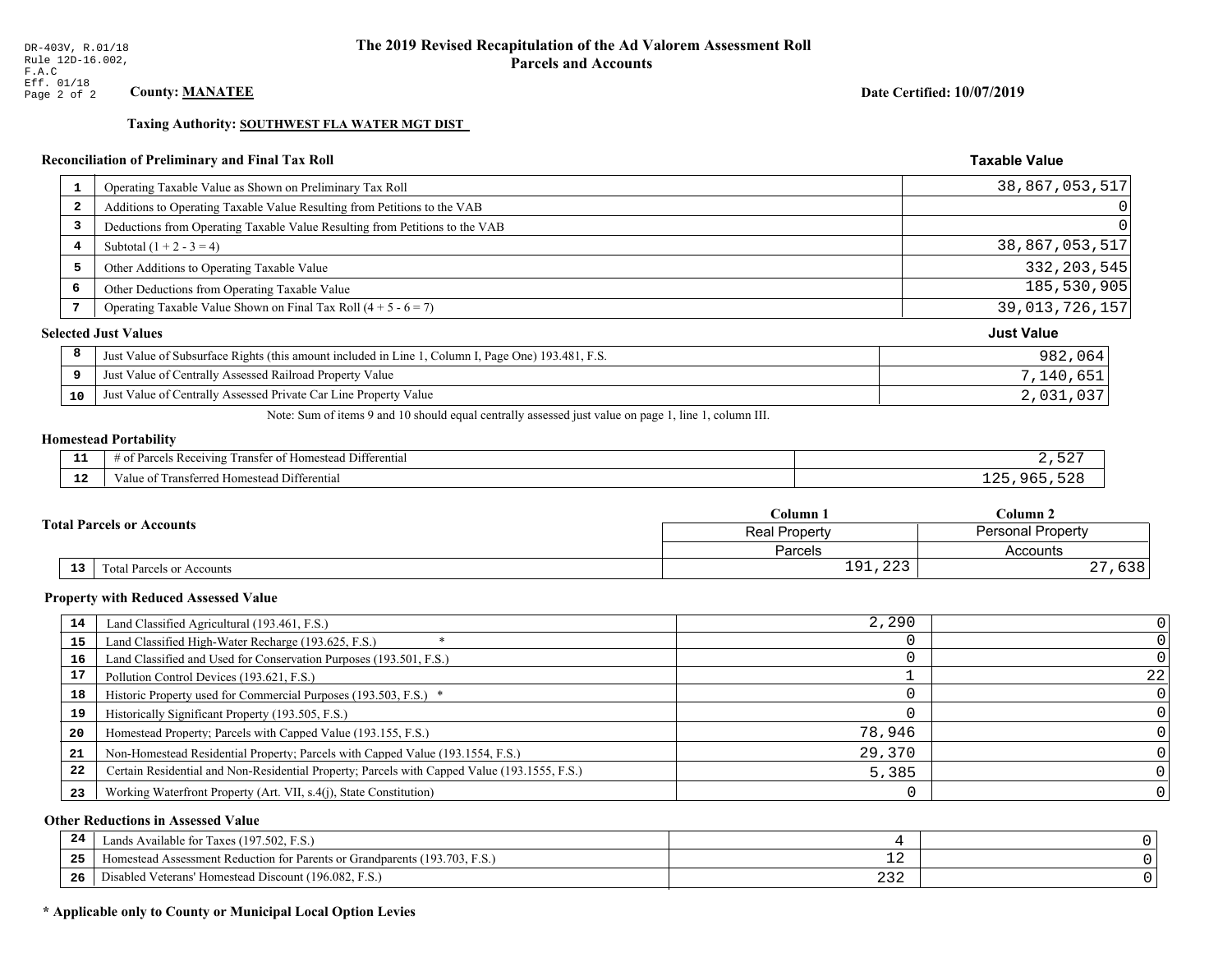Date Certified: 10/07/2019

**Taxable Value** 

### Taxing Authority: SOUTHWEST FLA WATER MGT DIST

### Reconciliation of Preliminary and Final Tax Roll

|                         | Operating Taxable Value as Shown on Preliminary Tax Roll                                           | 38,867,053,517    |
|-------------------------|----------------------------------------------------------------------------------------------------|-------------------|
| $\overline{\mathbf{2}}$ | Additions to Operating Taxable Value Resulting from Petitions to the VAB                           | $\overline{0}$    |
| 3                       | Deductions from Operating Taxable Value Resulting from Petitions to the VAB                        | $\Omega$          |
| 4                       | Subtotal $(1 + 2 - 3 = 4)$                                                                         | 38,867,053,517    |
| 5                       | Other Additions to Operating Taxable Value                                                         | 332, 203, 545     |
| 6                       | Other Deductions from Operating Taxable Value                                                      | 185,530,905       |
|                         | Operating Taxable Value Shown on Final Tax Roll $(4 + 5 - 6 = 7)$                                  | 39,013,726,157    |
|                         | <b>Selected Just Values</b>                                                                        | <b>Just Value</b> |
| 8                       | Just Value of Subsurface Rights (this amount included in Line 1, Column I, Page One) 193.481, F.S. | 982,064           |
| 9                       | Just Value of Centrally Assessed Railroad Property Value                                           | 7,140,651         |
| 10                      | Just Value of Centrally Assessed Private Car Line Property Value                                   | 2,031,037         |
|                         |                                                                                                    |                   |

Note: Sum of items 9 and 10 should equal centrally assessed just value on page 1, line 1, column III.

# **Homestead Portability**

| ---         | $  -$<br>.<br>$\cdot$ D $\sim$<br>. Differential<br>eivin.<br>rancter<br>lomeste:<br>SING. |  |
|-------------|--------------------------------------------------------------------------------------------|--|
| $\sim$<br>. | i Differential<br>Transferred Homestead<br>'aiue oi                                        |  |

|                                              | $C$ olumn $1$                                    | Column 2              |  |
|----------------------------------------------|--------------------------------------------------|-----------------------|--|
| <b>Total Parcels or Accounts</b>             | <b>Personal Property</b><br><b>Real Property</b> |                       |  |
|                                              | <b>Parcels</b>                                   | Accounts              |  |
| $\overline{13}$<br>Total Parcels or Accounts | $\cap$<br>01<br>1 J 1 1 4 4 J                    | $\sim$ $\sim$<br>0.30 |  |

#### **Property with Reduced Assessed Value**

| 14 | Land Classified Agricultural (193.461, F.S.)                                                 | 2,290  |    |
|----|----------------------------------------------------------------------------------------------|--------|----|
| 15 | Land Classified High-Water Recharge (193.625, F.S.)                                          |        |    |
| 16 | Land Classified and Used for Conservation Purposes (193.501, F.S.)                           |        |    |
| 17 | Pollution Control Devices (193.621, F.S.)                                                    |        | 22 |
| 18 | Historic Property used for Commercial Purposes (193.503, F.S.) *                             |        |    |
| 19 | Historically Significant Property (193.505, F.S.)                                            |        |    |
| 20 | Homestead Property; Parcels with Capped Value (193.155, F.S.)                                | 78,946 |    |
| 21 | Non-Homestead Residential Property; Parcels with Capped Value (193.1554, F.S.)               | 29,370 |    |
| 22 | Certain Residential and Non-Residential Property; Parcels with Capped Value (193.1555, F.S.) | 5,385  |    |
| 23 | Working Waterfront Property (Art. VII, s.4(j), State Constitution)                           |        |    |

### **Other Reductions in Assessed Value**

| 24  | Lands Available for Taxes (197.502, F.S.)                                                  |                              |  |
|-----|--------------------------------------------------------------------------------------------|------------------------------|--|
| -25 | 7103<br>93.703<br>Assessment Reduction for Parents or Grandparents<br>F.S.<br>-Homestead A | — <u>—</u>                   |  |
| -26 | d Veterans' Homestead Discount (196.082, F.S.)<br>Jisabled                                 | $\sim$ $\sim$ $\sim$<br>ے رے |  |

# \* Applicable only to County or Municipal Local Option Levies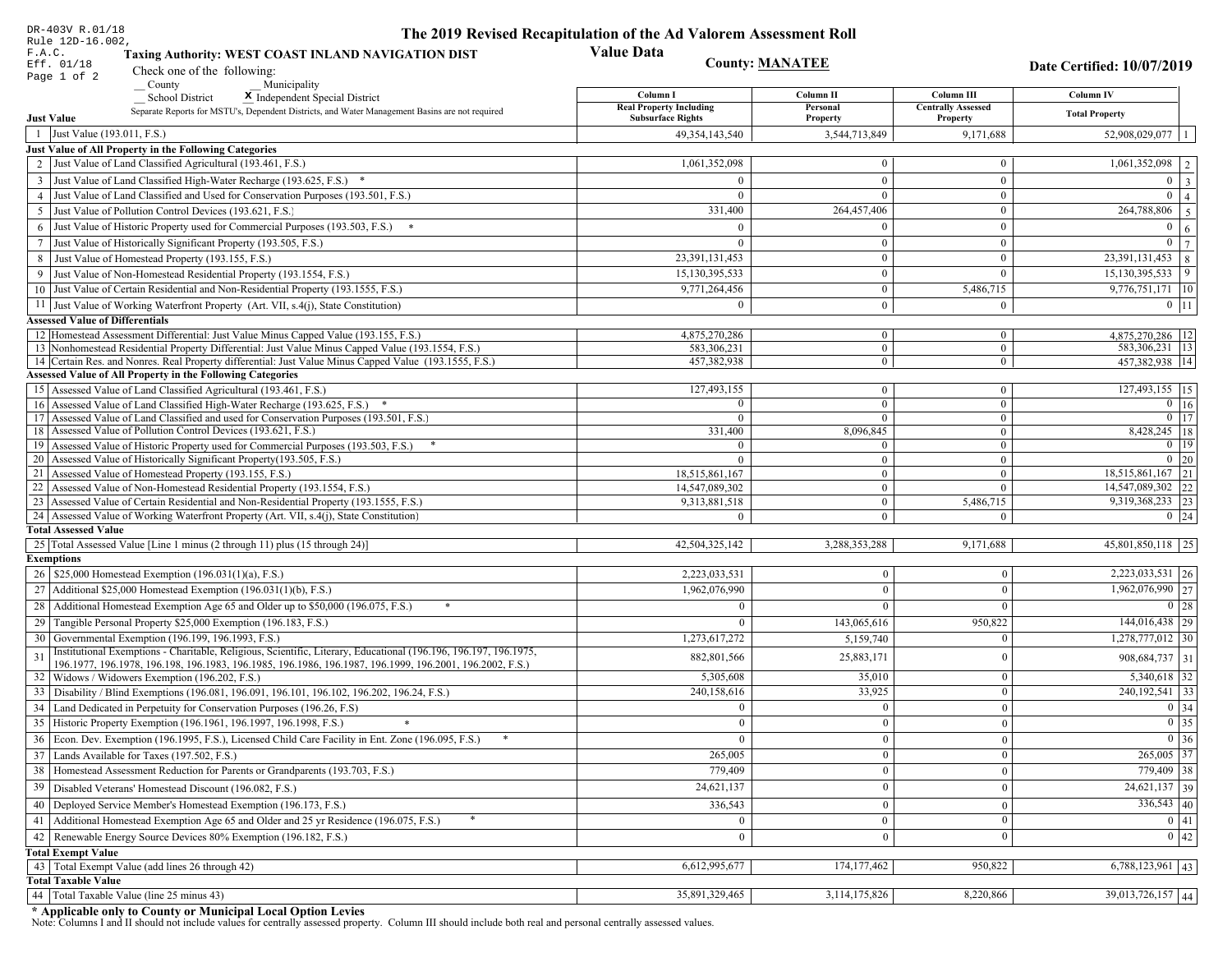| DR-403V R.01/18                                                                                                                                                                                             | The 2019 Revised Recapitulation of the Ad Valorem Assessment Roll |                                  |                                         |                                      |
|-------------------------------------------------------------------------------------------------------------------------------------------------------------------------------------------------------------|-------------------------------------------------------------------|----------------------------------|-----------------------------------------|--------------------------------------|
| Rule 12D-16.002,<br>F.A.C.<br>Taxing Authority: WEST COAST INLAND NAVIGATION DIST                                                                                                                           | <b>Value Data</b>                                                 |                                  |                                         |                                      |
| Eff. 01/18<br>Check one of the following:<br>Page 1 of 2                                                                                                                                                    |                                                                   | <b>County: MANATEE</b>           |                                         | Date Certified: 10/07/2019           |
| County<br>Municipality                                                                                                                                                                                      |                                                                   |                                  |                                         |                                      |
| <b>School District</b><br>X Independent Special District                                                                                                                                                    | Column I<br><b>Real Property Including</b>                        | Column II<br>Personal            | Column III<br><b>Centrally Assessed</b> | Column IV                            |
| Separate Reports for MSTU's, Dependent Districts, and Water Management Basins are not required<br><b>Just Value</b>                                                                                         | <b>Subsurface Rights</b>                                          | Property                         | Property                                | <b>Total Property</b>                |
| 1 Just Value (193.011, F.S.)                                                                                                                                                                                | 49, 354, 143, 540                                                 | 3,544,713,849                    | 9,171,688                               | 52,908,029,077                       |
| Just Value of All Property in the Following Categories                                                                                                                                                      |                                                                   |                                  |                                         |                                      |
| 2 Just Value of Land Classified Agricultural (193.461, F.S.)                                                                                                                                                | 1,061,352,098                                                     | $\overline{0}$                   | $\overline{0}$                          | $\boxed{1,061,352,098}$   2          |
| 3 Just Value of Land Classified High-Water Recharge (193.625, F.S.) *                                                                                                                                       |                                                                   | $\overline{0}$                   | $\theta$                                | $\overline{0}$<br>$\vert$ 3          |
| 4 Just Value of Land Classified and Used for Conservation Purposes (193.501, F.S.)                                                                                                                          | $\Omega$                                                          | $\overline{0}$                   | $\overline{0}$                          | $\overline{0}$<br>$\overline{4}$     |
| 5 Just Value of Pollution Control Devices (193.621, F.S.)                                                                                                                                                   | 331,400                                                           | 264,457,406                      | $\overline{0}$                          | 264,788,806<br>$5\overline{5}$       |
| 6 Just Value of Historic Property used for Commercial Purposes (193.503, F.S.) *                                                                                                                            | $\Omega$                                                          | $\theta$                         | $\theta$                                | $\mathbf{0}$<br>6                    |
| 7 Just Value of Historically Significant Property (193.505, F.S.)                                                                                                                                           | $\overline{0}$                                                    | $\overline{0}$                   | $\overline{0}$                          | $\overline{0}$<br>$7^{\circ}$        |
| 8 Just Value of Homestead Property (193.155, F.S.)                                                                                                                                                          | 23, 391, 131, 453                                                 | $\overline{0}$                   | $\boldsymbol{0}$                        | $\overline{23,391,131,453}$ 8        |
| 9 Just Value of Non-Homestead Residential Property (193.1554, F.S.)                                                                                                                                         | 15,130,395,533                                                    | $\mathbf{0}$                     | $\Omega$                                | 15,130,395,533<br>$ 9\rangle$        |
| 10 Just Value of Certain Residential and Non-Residential Property (193.1555, F.S.)                                                                                                                          | 9,771,264,456                                                     | $\overline{0}$                   | 5,486,715                               | $9,776,751,171$ 10                   |
| 11 Just Value of Working Waterfront Property (Art. VII, s.4(j), State Constitution)                                                                                                                         | $\Omega$                                                          | $\overline{0}$                   | $\overline{0}$                          | $0 \mid 11$                          |
| <b>Assessed Value of Differentials</b>                                                                                                                                                                      |                                                                   |                                  |                                         |                                      |
| 12 Homestead Assessment Differential: Just Value Minus Capped Value (193.155, F.S.)                                                                                                                         | 4,875,270,286                                                     | $\overline{0}$<br>$\overline{0}$ | $\mathbf{0}$<br>$\overline{0}$          | 4,875,270,286   12                   |
| 13 Nonhomestead Residential Property Differential: Just Value Minus Capped Value (193.1554, F.S.)<br>14 Certain Res. and Nonres. Real Property differential: Just Value Minus Capped Value (193.1555, F.S.) | 583,306,231<br>457,382,938                                        | $\overline{0}$                   | $\overline{0}$                          | 583,306,231   13  <br>457,382,938 14 |
| Assessed Value of All Property in the Following Categories                                                                                                                                                  |                                                                   |                                  |                                         |                                      |
| 15 Assessed Value of Land Classified Agricultural (193.461, F.S.)                                                                                                                                           | 127,493,155                                                       | $\overline{0}$                   | $\overline{0}$                          | 127,493,155   15                     |
| 16 Assessed Value of Land Classified High-Water Recharge (193.625, F.S.) *                                                                                                                                  | $\Omega$                                                          | $\overline{0}$                   | $\Omega$                                | $0$ 16                               |
| Assessed Value of Land Classified and used for Conservation Purposes (193.501, F.S.)<br>17                                                                                                                  | $\Omega$                                                          | $\mathbf{0}$                     | $\overline{0}$                          | $\overline{0}$ $\overline{17}$       |
| 18 Assessed Value of Pollution Control Devices (193.621, F.S.)                                                                                                                                              | 331,400                                                           | 8,096,845                        | $\overline{0}$                          | $8,428,245$ 18                       |
| 19 Assessed Value of Historic Property used for Commercial Purposes (193.503, F.S.)                                                                                                                         | $\Omega$                                                          | $\mathbf{0}$                     | $\overline{0}$                          | $0$ 19                               |
| 20 Assessed Value of Historically Significant Property (193.505, F.S.)<br>21 Assessed Value of Homestead Property (193.155, F.S.)                                                                           | $\Omega$<br>18,515,861,167                                        | $\overline{0}$<br>$\overline{0}$ | $\overline{0}$<br>$\overline{0}$        | $0\quad20$<br>$18,515,861,167$ 21    |
| 22 Assessed Value of Non-Homestead Residential Property (193.1554, F.S.)                                                                                                                                    | 14,547,089,302                                                    | $\overline{0}$                   | $\Omega$                                | 14,547,089,302 22                    |
| 23 Assessed Value of Certain Residential and Non-Residential Property (193.1555, F.S.)                                                                                                                      | 9,313,881,518                                                     | $\overline{0}$                   | 5,486,715                               | 9,319,368,233 23                     |
| 24 Assessed Value of Working Waterfront Property (Art. VII, s.4(j), State Constitution)                                                                                                                     |                                                                   | $\overline{0}$                   | $\Omega$                                | $0 \mid 24$                          |
| <b>Total Assessed Value</b>                                                                                                                                                                                 |                                                                   |                                  |                                         |                                      |
| 25 Total Assessed Value [Line 1 minus (2 through 11) plus (15 through 24)]                                                                                                                                  | 42,504,325,142                                                    | 3,288,353,288                    | 9,171,688                               | 45,801,850,118 25                    |
| <b>Exemptions</b>                                                                                                                                                                                           |                                                                   |                                  |                                         |                                      |
| 26   \$25,000 Homestead Exemption (196.031(1)(a), F.S.)                                                                                                                                                     | 2,223,033,531                                                     | $\bf{0}$                         | $\bf{0}$                                | $2,223,033,531$ 26                   |
| 27   Additional \$25,000 Homestead Exemption (196.031(1)(b), F.S.)                                                                                                                                          | 1,962,076,990                                                     | $\Omega$                         | $\Omega$                                | $\overline{1,962,076,990}$ 27        |
| 28 Additional Homestead Exemption Age 65 and Older up to \$50,000 (196.075, F.S.)                                                                                                                           | $\Omega$                                                          | $\Omega$                         | $\Omega$                                | $0 \mid 28$                          |
| 29 Tangible Personal Property \$25,000 Exemption (196.183, F.S.)                                                                                                                                            | $\Omega$                                                          | 143,065,616                      | 950,822                                 | $144,016,438$ 29                     |
| 30 Governmental Exemption (196.199, 196.1993, F.S.)                                                                                                                                                         | 1,273,617,272                                                     | 5,159,740                        | $\mathbf{0}$                            | $1,278,777,012$ 30                   |
| Institutional Exemptions - Charitable, Religious, Scientific, Literary, Educational (196.196, 196.197, 196.1975,                                                                                            | 882, 801, 566                                                     | 25,883,171                       | $\Omega$                                | $908,684,737$ 31                     |
| 196.1977, 196.1978, 196.198, 196.1983, 196.1985, 196.1986, 196.1987, 196.1999, 196.2001, 196.2002, F.S.)<br>32 Widows / Widowers Exemption (196.202, F.S.)                                                  | 5,305,608                                                         | 35,010                           | $\bf{0}$                                | $5,340,618$ 32                       |
| 33 Disability / Blind Exemptions (196.081, 196.091, 196.101, 196.102, 196.202, 196.24, F.S.)                                                                                                                | 240,158,616                                                       | 33,925                           | $\mathbf{0}$                            | $240,192,541$ 33                     |
| 34 Land Dedicated in Perpetuity for Conservation Purposes (196.26, F.S)                                                                                                                                     | $\Omega$                                                          | $\overline{0}$                   | $\theta$                                | $0 \mid 34$                          |
| 35 Historic Property Exemption (196.1961, 196.1997, 196.1998, F.S.)                                                                                                                                         | 0                                                                 | $\mathbf{0}$                     | $\mathbf{0}$                            | $\boxed{0}$ 35                       |
| 36 Econ. Dev. Exemption (196.1995, F.S.), Licensed Child Care Facility in Ent. Zone (196.095, F.S.)                                                                                                         | $\Omega$                                                          | $\boldsymbol{0}$                 | $\mathbf{0}$                            | $\boxed{0}$ 36                       |
| 37 Lands Available for Taxes (197.502, F.S.)                                                                                                                                                                | 265,005                                                           | $\mathbf{0}$                     | $\mathbf{0}$                            | 265,005 37                           |
| 38   Homestead Assessment Reduction for Parents or Grandparents (193.703, F.S.)                                                                                                                             | 779,409                                                           | $\bf{0}$                         | $\bf{0}$                                | 779,409 38                           |
| 39   Disabled Veterans' Homestead Discount (196.082, F.S.)                                                                                                                                                  | 24,621,137                                                        | $\mathbf{0}$                     | $\mathbf{0}$                            | $\overline{24,621,137}$ 39           |
| 40   Deployed Service Member's Homestead Exemption (196.173, F.S.)                                                                                                                                          | 336,543                                                           | $\overline{0}$                   | $\mathbf{0}$                            | $336,543$ 40                         |
| 41 Additional Homestead Exemption Age 65 and Older and 25 yr Residence (196.075, F.S.)                                                                                                                      | $\bf{0}$                                                          | $\mathbf{0}$                     | $\boldsymbol{0}$                        | $\boxed{0}$ 41                       |
| 42 Renewable Energy Source Devices 80% Exemption (196.182, F.S.)                                                                                                                                            | $\mathbf{0}$                                                      | $\boldsymbol{0}$                 | $\mathbf{0}$                            | 0 42                                 |
| <b>Total Exempt Value</b>                                                                                                                                                                                   |                                                                   |                                  |                                         |                                      |
| 43 Total Exempt Value (add lines 26 through 42)                                                                                                                                                             | 6,612,995,677                                                     | 174, 177, 462                    | 950,822                                 | $6,788,123,961$ 43                   |
| <b>Total Taxable Value</b>                                                                                                                                                                                  |                                                                   |                                  |                                         |                                      |
| 44   Total Taxable Value (line 25 minus 43)                                                                                                                                                                 | 35,891,329,465                                                    | 3,114,175,826                    | 8,220,866                               | 39,013,726,157 44                    |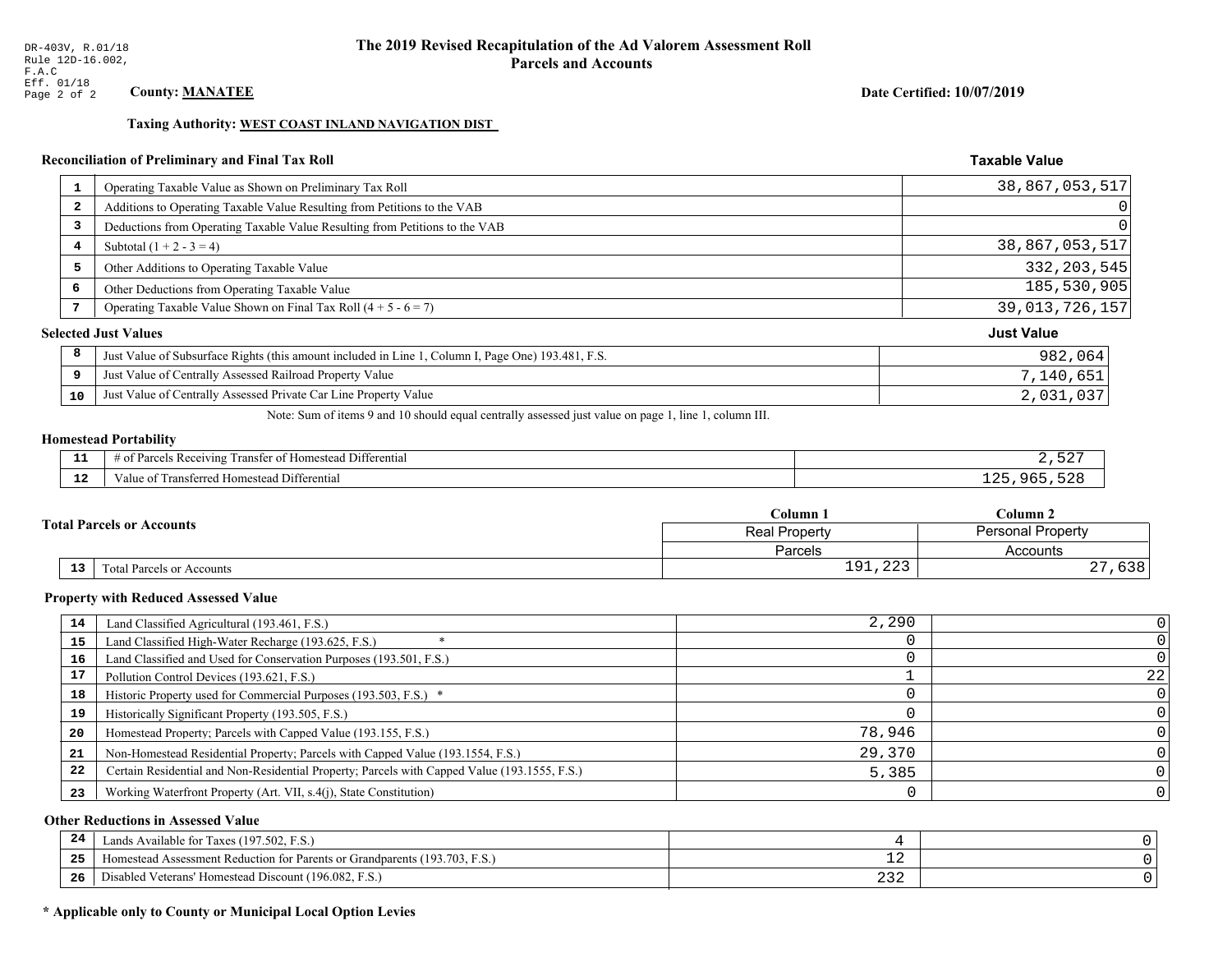### Date Certified: 10/07/2019

**Taxable Value** 

### Taxing Authority: WEST COAST INLAND NAVIGATION DIST

#### **Reconciliation of Preliminary and Final Tax Roll**

| Operating Taxable Value as Shown on Preliminary Tax Roll<br>$\mathbf{1}$                                | 38,867,053,517    |
|---------------------------------------------------------------------------------------------------------|-------------------|
| Additions to Operating Taxable Value Resulting from Petitions to the VAB<br>$\overline{\mathbf{2}}$     | 0                 |
| Deductions from Operating Taxable Value Resulting from Petitions to the VAB<br>3                        | $\Omega$          |
| Subtotal $(1 + 2 - 3 = 4)$<br>4                                                                         | 38,867,053,517    |
| 5<br>Other Additions to Operating Taxable Value                                                         | 332, 203, 545     |
| 6<br>Other Deductions from Operating Taxable Value                                                      | 185,530,905       |
| Operating Taxable Value Shown on Final Tax Roll $(4 + 5 - 6 = 7)$<br>7                                  | 39,013,726,157    |
| <b>Selected Just Values</b>                                                                             | <b>Just Value</b> |
| 8<br>Just Value of Subsurface Rights (this amount included in Line 1, Column I, Page One) 193.481, F.S. | 982,064           |
| Just Value of Centrally Assessed Railroad Property Value<br>9                                           | 7,140,651         |
| Just Value of Centrally Assessed Private Car Line Property Value<br>10                                  | 2,031,037         |
|                                                                                                         |                   |

Note: Sum of items 9 and 10 should equal centrally assessed just value on page 1, line 1, column III.

# **Homestead Portability**

| . | l Differential<br>$- -$<br>Transter of Homestead<br>s Receiving<br>0T.<br>-ягс                 |   |
|---|------------------------------------------------------------------------------------------------|---|
|   | <br>l Differential<br>metarrac<br>0.522<br>esteac<br>aiue oi<br>. ansierreg nou<br>nnicsicau . | ⌒ |

|                                              | $C$ olumn $1$                                    | Column 2              |  |
|----------------------------------------------|--------------------------------------------------|-----------------------|--|
| <b>Total Parcels or Accounts</b>             | <b>Personal Property</b><br><b>Real Property</b> |                       |  |
|                                              | <b>Parcels</b>                                   | Accounts              |  |
| $\overline{13}$<br>Total Parcels or Accounts | $\cap$<br>01<br>1 J 1 1 4 4 J                    | $\sim$ $\sim$<br>0.30 |  |

#### **Property with Reduced Assessed Value**

| 14 | Land Classified Agricultural (193.461, F.S.)                                                 | 2,290  |    |
|----|----------------------------------------------------------------------------------------------|--------|----|
| 15 | Land Classified High-Water Recharge (193.625, F.S.)                                          |        |    |
| 16 | Land Classified and Used for Conservation Purposes (193.501, F.S.)                           |        |    |
| 17 | Pollution Control Devices (193.621, F.S.)                                                    |        | 22 |
| 18 | Historic Property used for Commercial Purposes (193.503, F.S.) *                             |        |    |
| 19 | Historically Significant Property (193.505, F.S.)                                            |        |    |
| 20 | Homestead Property; Parcels with Capped Value (193.155, F.S.)                                | 78,946 |    |
| 21 | Non-Homestead Residential Property; Parcels with Capped Value (193.1554, F.S.)               | 29,370 |    |
| 22 | Certain Residential and Non-Residential Property; Parcels with Capped Value (193.1555, F.S.) | 5,385  |    |
| 23 | Working Waterfront Property (Art. VII, s.4(j), State Constitution)                           |        |    |

### **Other Reductions in Assessed Value**

| 24    | Lands Available for Taxes (197.502, F.S.)                                  |     |  |
|-------|----------------------------------------------------------------------------|-----|--|
| - - - | Homestead Assessment Reduction for Parents or Grandparents (193.703, F.S.) | - 4 |  |
| -26   | F.S.<br>Disabled Veterans' Homestead Discount (196.082, F.                 | ے ت |  |

### \* Applicable only to County or Municipal Local Option Levies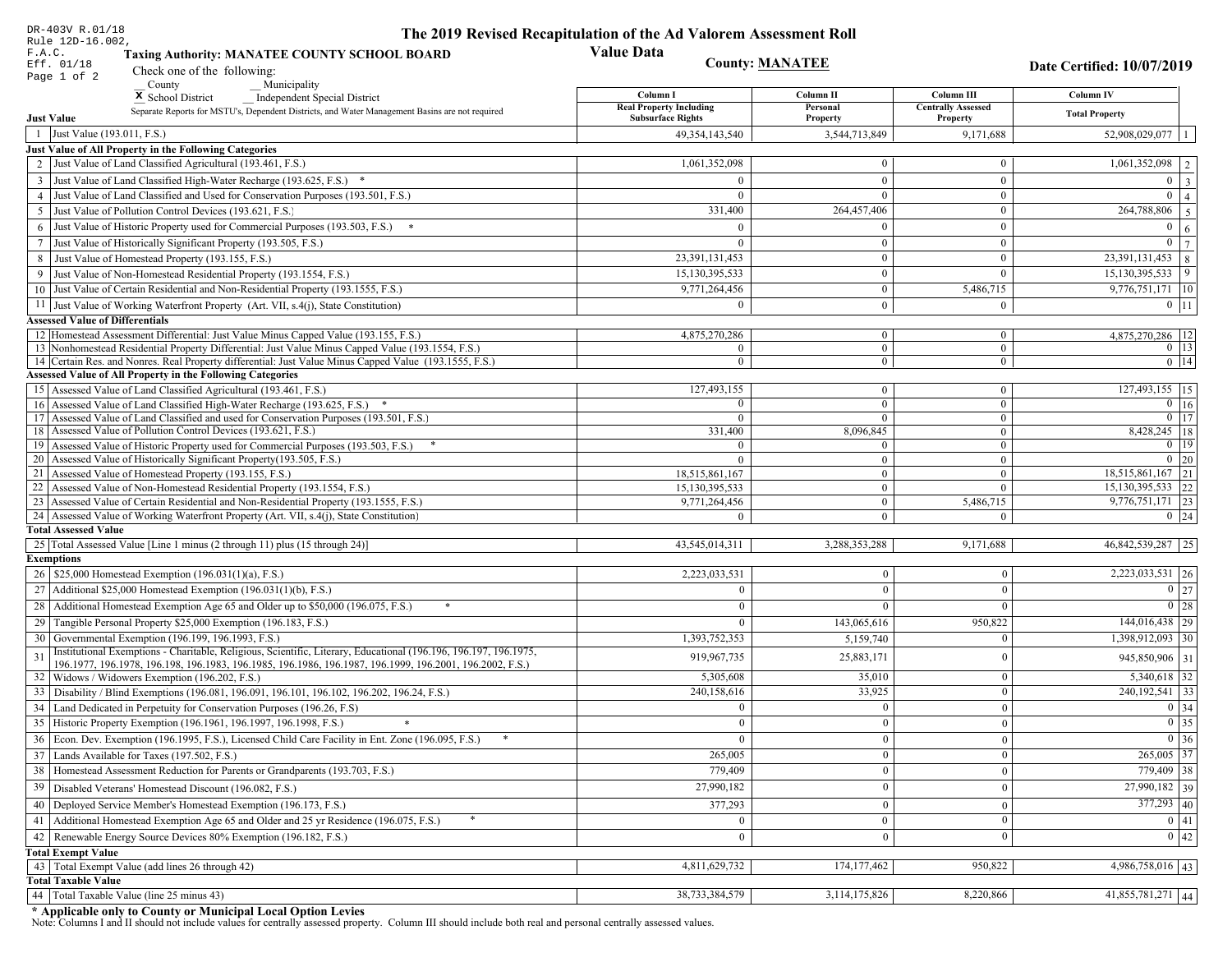| DR-403V R.01/18                                                                                                                                                                                                                    | The 2019 Revised Recapitulation of the Ad Valorem Assessment Roll |                                |                                         |                                  |
|------------------------------------------------------------------------------------------------------------------------------------------------------------------------------------------------------------------------------------|-------------------------------------------------------------------|--------------------------------|-----------------------------------------|----------------------------------|
| Rule 12D-16.002,<br>F.A.C.<br><b>Taxing Authority: MANATEE COUNTY SCHOOL BOARD</b>                                                                                                                                                 | <b>Value Data</b>                                                 |                                |                                         |                                  |
| Eff. 01/18<br>Check one of the following:<br>Page 1 of 2                                                                                                                                                                           | <b>County: MANATEE</b>                                            |                                |                                         | Date Certified: 10/07/2019       |
| County<br>Municipality                                                                                                                                                                                                             |                                                                   |                                |                                         |                                  |
| <sup>x</sup> School District<br>Independent Special District                                                                                                                                                                       | Column I<br><b>Real Property Including</b>                        | Column II<br>Personal          | Column III<br><b>Centrally Assessed</b> | Column IV                        |
| Separate Reports for MSTU's, Dependent Districts, and Water Management Basins are not required<br><b>Just Value</b>                                                                                                                | <b>Subsurface Rights</b>                                          | Property                       | Property                                | <b>Total Property</b>            |
| 1 Just Value (193.011, F.S.)                                                                                                                                                                                                       | 49, 354, 143, 540                                                 | 3,544,713,849                  | 9,171,688                               | 52,908,029,077                   |
| Just Value of All Property in the Following Categories                                                                                                                                                                             |                                                                   |                                |                                         |                                  |
| 2 Just Value of Land Classified Agricultural (193.461, F.S.)                                                                                                                                                                       | 1,061,352,098                                                     | $\bf{0}$                       | $\bf{0}$                                | $1,061,352,098$   2              |
| 3 Just Value of Land Classified High-Water Recharge (193.625, F.S.) *                                                                                                                                                              |                                                                   | $\mathbf{0}$                   | $\theta$                                | $0 \mid 3$                       |
| 4 Just Value of Land Classified and Used for Conservation Purposes (193.501, F.S.)                                                                                                                                                 | $\Omega$                                                          | $\theta$                       | $\boldsymbol{0}$                        | $\overline{0}$<br>$\vert$ 4      |
| 5 Just Value of Pollution Control Devices (193.621, F.S.)                                                                                                                                                                          | 331,400                                                           | 264,457,406                    | $\bf{0}$                                | $\boxed{264,788,806}$ 5          |
| 6 Just Value of Historic Property used for Commercial Purposes (193.503, F.S.) *                                                                                                                                                   |                                                                   | $\theta$                       | $\mathbf{0}$                            | $\boldsymbol{0}$<br><sup>6</sup> |
| 7 Just Value of Historically Significant Property (193.505, F.S.)                                                                                                                                                                  | $\Omega$                                                          | $\bf{0}$                       | $\overline{0}$                          | $0 \overline{7}$                 |
| 8 Just Value of Homestead Property (193.155, F.S.)                                                                                                                                                                                 | 23,391,131,453                                                    | $\bf{0}$                       | $\boldsymbol{0}$                        | $23,391,131,453$ 8               |
| 9 Just Value of Non-Homestead Residential Property (193.1554, F.S.)                                                                                                                                                                | 15,130,395,533                                                    | $\bf{0}$                       | $\Omega$                                | 15, 130, 395, 533   9            |
| 10 Just Value of Certain Residential and Non-Residential Property (193.1555, F.S.)                                                                                                                                                 | 9,771,264,456                                                     | $\mathbf{0}$                   | 5,486,715                               | 9,776,751,171 10                 |
| 11 Just Value of Working Waterfront Property (Art. VII, s.4(j), State Constitution)                                                                                                                                                | $\Omega$                                                          | $\mathbf{0}$                   | $\mathbf{0}$                            | $0$   11                         |
| <b>Assessed Value of Differentials</b>                                                                                                                                                                                             |                                                                   |                                |                                         |                                  |
| 12 Homestead Assessment Differential: Just Value Minus Capped Value (193.155, F.S.)<br>13 Nonhomestead Residential Property Differential: Just Value Minus Capped Value (193.1554, F.S.)                                           | 4,875,270,286<br>$\Omega$                                         | $\bf{0}$<br>$\overline{0}$     | $\bf{0}$<br>$\mathbf{0}$                | 4,875,270,286   12<br>$0$   13   |
| 14 Certain Res. and Nonres. Real Property differential: Just Value Minus Capped Value (193.1555, F.S.)                                                                                                                             | $\overline{0}$                                                    | $\overline{0}$                 | $\overline{0}$                          | $0$   14                         |
| <b>Assessed Value of All Property in the Following Categories</b>                                                                                                                                                                  |                                                                   |                                |                                         |                                  |
| 15 Assessed Value of Land Classified Agricultural (193.461, F.S.)                                                                                                                                                                  | 127,493,155                                                       | $\mathbf{0}$                   | $\bf{0}$                                | 127,493,155 15                   |
| 16 Assessed Value of Land Classified High-Water Recharge (193.625, F.S.) *                                                                                                                                                         | $\Omega$                                                          | $\overline{0}$                 | $\mathbf{0}$                            | $\overline{0}$ 16                |
| 17 Assessed Value of Land Classified and used for Conservation Purposes (193.501, F.S.)                                                                                                                                            | $\Omega$                                                          | $\overline{0}$                 | $\bf{0}$                                | $0$   17                         |
| 18 Assessed Value of Pollution Control Devices (193.621, F.S.)                                                                                                                                                                     | 331,400                                                           | 8,096,845                      | $\mathbf{0}$                            | 8,428,245   18                   |
| 19 Assessed Value of Historic Property used for Commercial Purposes (193.503, F.S.)<br>20 Assessed Value of Historically Significant Property (193.505, F.S.)                                                                      | $\Omega$<br>$\Omega$                                              | $\mathbf{0}$                   | $\bf{0}$                                | $0 \mid 19$<br>$0\vert 20$       |
| 21 Assessed Value of Homestead Property (193.155, F.S.)                                                                                                                                                                            | 18,515,861,167                                                    | $\overline{0}$<br>$\mathbf{0}$ | $\mathbf{0}$<br>$\mathbf{0}$            | $18,515,861,167$ 21              |
| 22 Assessed Value of Non-Homestead Residential Property (193.1554, F.S.)                                                                                                                                                           | 15,130,395,533                                                    | $\overline{0}$                 | $\mathbf{0}$                            | 15,130,395,533 22                |
| 23 Assessed Value of Certain Residential and Non-Residential Property (193.1555, F.S.)                                                                                                                                             | 9,771,264,456                                                     | $\overline{0}$                 | 5,486,715                               | 9,776,751,171 23                 |
| 24 Assessed Value of Working Waterfront Property (Art. VII, s.4(j), State Constitution)                                                                                                                                            | $\Omega$                                                          | $\overline{0}$                 | $\mathbf{0}$                            | $0 \quad 24$                     |
| <b>Total Assessed Value</b>                                                                                                                                                                                                        |                                                                   |                                |                                         |                                  |
| 25 Total Assessed Value [Line 1 minus (2 through 11) plus (15 through 24)]                                                                                                                                                         | 43,545,014,311                                                    | 3,288,353,288                  | 9,171,688                               | 46,842,539,287 25                |
| <b>Exemptions</b>                                                                                                                                                                                                                  |                                                                   |                                |                                         |                                  |
| 26   \$25,000 Homestead Exemption (196.031(1)(a), F.S.)                                                                                                                                                                            | 2,223,033,531                                                     | $\bf{0}$                       | $\mathbf{0}$                            | 2,223,033,531 26                 |
| 27   Additional \$25,000 Homestead Exemption (196.031(1)(b), F.S.)                                                                                                                                                                 | $\Omega$                                                          | $\Omega$                       | $\Omega$                                | $\boxed{0}$ 27                   |
| 28 Additional Homestead Exemption Age 65 and Older up to \$50,000 (196.075, F.S.)                                                                                                                                                  | $\Omega$                                                          | $\mathbf{0}$                   | $\Omega$                                |                                  |
| 29 Tangible Personal Property \$25,000 Exemption (196.183, F.S.)                                                                                                                                                                   | $\theta$                                                          | 143,065,616                    | 950,822                                 | $\overline{144,016,438}$   29    |
| 30 Governmental Exemption (196.199, 196.1993, F.S.)                                                                                                                                                                                | 1,393,752,353                                                     | 5,159,740                      | $\Omega$                                | 1,398,912,093 30                 |
| Institutional Exemptions - Charitable, Religious, Scientific, Literary, Educational (196.196, 196.197, 196.1975,<br>31<br>196.1977, 196.1978, 196.198, 196.1983, 196.1985, 196.1986, 196.1987, 196.1999, 196.2001, 196.2002, F.S.) | 919,967,735                                                       | 25,883,171                     | $\Omega$                                | 945,850,906 31                   |
| 32   Widows / Widowers Exemption (196.202, F.S.)                                                                                                                                                                                   | 5,305,608                                                         | 35,010                         | $\mathbf{0}$                            | $5,340,618$ 32                   |
| 33<br>Disability / Blind Exemptions (196.081, 196.091, 196.101, 196.102, 196.202, 196.24, F.S.)                                                                                                                                    | 240,158,616                                                       | 33,925                         | $\Omega$                                | 240, 192, 541 33                 |
| Land Dedicated in Perpetuity for Conservation Purposes (196.26, F.S)                                                                                                                                                               | $\Omega$                                                          | $\mathbf{0}$                   | $\Omega$                                | 0 34                             |
| 35 Historic Property Exemption (196.1961, 196.1997, 196.1998, F.S.)                                                                                                                                                                | 0.                                                                | $\mathbf{0}$                   | $\mathbf{0}$                            | $\boxed{0}$ 35                   |
| 36 Econ. Dev. Exemption (196.1995, F.S.), Licensed Child Care Facility in Ent. Zone (196.095, F.S.)                                                                                                                                | $\Omega$                                                          | $\boldsymbol{0}$               | $\Omega$                                | $0 \mid 36$                      |
| 37 Lands Available for Taxes (197.502, F.S.)                                                                                                                                                                                       | 265,005                                                           | $\mathbf{0}$                   | $\Omega$                                | 265,005 37                       |
| 38   Homestead Assessment Reduction for Parents or Grandparents (193.703, F.S.)                                                                                                                                                    | 779,409                                                           | $\bf{0}$                       | $\mathbf{0}$                            | 779,409 38                       |
| 39<br>Disabled Veterans' Homestead Discount (196.082, F.S.)                                                                                                                                                                        | 27,990,182                                                        | $\mathbf{0}$                   | $\mathbf{0}$                            | 27,990,182 39                    |
| Deployed Service Member's Homestead Exemption (196.173, F.S.)<br>40                                                                                                                                                                | 377,293                                                           | $\mathbf{0}$                   | $\Omega$                                | $377,293$ 40                     |
| 41   Additional Homestead Exemption Age 65 and Older and 25 yr Residence (196.075, F.S.)                                                                                                                                           | $\overline{0}$                                                    | $\overline{0}$                 | $\mathbf{0}$                            | 0 41                             |
| 42 Renewable Energy Source Devices 80% Exemption (196.182, F.S.)                                                                                                                                                                   | $\mathbf{0}$                                                      | $\bf{0}$                       | $\Omega$                                | $\boxed{0}$ 42                   |
| <b>Total Exempt Value</b>                                                                                                                                                                                                          |                                                                   |                                |                                         |                                  |
| 43 Total Exempt Value (add lines 26 through 42)                                                                                                                                                                                    | 4,811,629,732                                                     | 174, 177, 462                  | 950,822                                 | 4,986,758,016 43                 |
| <b>Total Taxable Value</b>                                                                                                                                                                                                         |                                                                   |                                |                                         |                                  |
| 44   Total Taxable Value (line 25 minus 43)                                                                                                                                                                                        | 38,733,384,579                                                    | 3,114,175,826                  | 8,220,866                               | 41,855,781,271 44                |